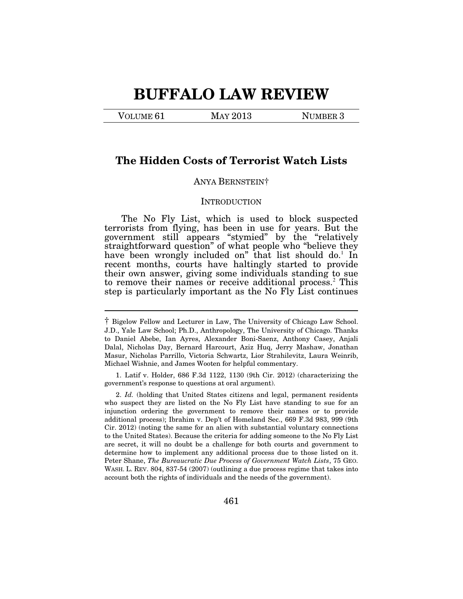# **BUFFALO LAW REVIEW**

VOLUME 61 MAY 2013 NUMBER 3

 $\overline{a}$ 

# **The Hidden Costs of Terrorist Watch Lists**

## ANYA BERNSTEIN†

#### **INTRODUCTION**

The No Fly List, which is used to block suspected terrorists from flying, has been in use for years. But the government still appears "stymied" by the "relatively straightforward question" of what people who "believe they have been wrongly included on" that list should do.<sup>1</sup> In recent months, courts have haltingly started to provide their own answer, giving some individuals standing to sue to remove their names or receive additional process.<sup>2</sup> This step is particularly important as the No Fly List continues

<sup>†</sup> Bigelow Fellow and Lecturer in Law, The University of Chicago Law School. J.D., Yale Law School; Ph.D., Anthropology, The University of Chicago. Thanks to Daniel Abebe, Ian Ayres, Alexander Boni-Saenz, Anthony Casey, Anjali Dalal, Nicholas Day, Bernard Harcourt, Aziz Huq, Jerry Mashaw, Jonathan Masur, Nicholas Parrillo, Victoria Schwartz, Lior Strahilevitz, Laura Weinrib, Michael Wishnie, and James Wooten for helpful commentary.

 <sup>1.</sup> Latif v. Holder, 686 F.3d 1122, 1130 (9th Cir. 2012) (characterizing the government's response to questions at oral argument).

 <sup>2.</sup> *Id.* (holding that United States citizens and legal, permanent residents who suspect they are listed on the No Fly List have standing to sue for an injunction ordering the government to remove their names or to provide additional process); Ibrahim v. Dep't of Homeland Sec., 669 F.3d 983, 999 (9th Cir. 2012) (noting the same for an alien with substantial voluntary connections to the United States). Because the criteria for adding someone to the No Fly List are secret, it will no doubt be a challenge for both courts and government to determine how to implement any additional process due to those listed on it. Peter Shane, *The Bureaucratic Due Process of Government Watch Lists*, 75 GEO. WASH. L. REV. 804, 837-54 (2007) (outlining a due process regime that takes into account both the rights of individuals and the needs of the government).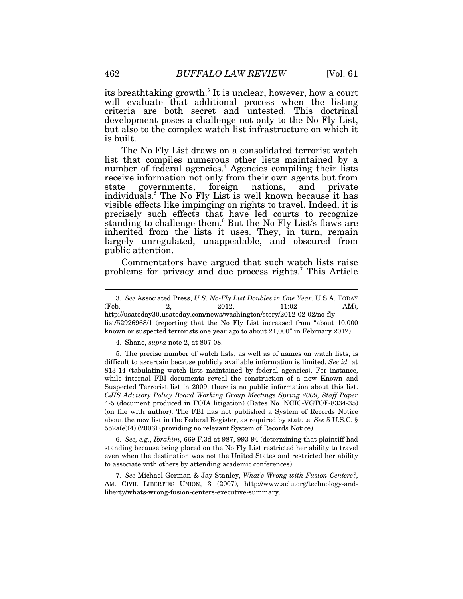its breathtaking growth.<sup>3</sup> It is unclear, however, how a court will evaluate that additional process when the listing criteria are both secret and untested. This doctrinal development poses a challenge not only to the No Fly List, but also to the complex watch list infrastructure on which it is built.

The No Fly List draws on a consolidated terrorist watch list that compiles numerous other lists maintained by a number of federal agencies.<sup>4</sup> Agencies compiling their lists receive information not only from their own agents but from state governments, foreign nations, and private individuals.<sup>5</sup> The No Fly List is well known because it has visible effects like impinging on rights to travel. Indeed, it is precisely such effects that have led courts to recognize standing to challenge them.<sup>6</sup> But the No Fly List's flaws are inherited from the lists it uses. They, in turn, remain largely unregulated, unappealable, and obscured from public attention.

Commentators have argued that such watch lists raise problems for privacy and due process rights.<sup>7</sup> This Article

list/52926968/1 (reporting that the No Fly List increased from "about 10,000 known or suspected terrorists one year ago to about 21,000" in February 2012).

4. Shane, *supra* note 2, at 807-08.

 5. The precise number of watch lists, as well as of names on watch lists, is difficult to ascertain because publicly available information is limited. *See id.* at 813-14 (tabulating watch lists maintained by federal agencies). For instance, while internal FBI documents reveal the construction of a new Known and Suspected Terrorist list in 2009, there is no public information about this list. *CJIS Advisory Policy Board Working Group Meetings Spring 2009, Staff Paper* 4-5 (document produced in FOIA litigation) (Bates No. NCIC-VGTOF-8334-35) (on file with author). The FBI has not published a System of Records Notice about the new list in the Federal Register, as required by statute. *See* 5 U.S.C. § 552a(e)(4) (2006) (providing no relevant System of Records Notice).

 6. *See, e.g.*, *Ibrahim*, 669 F.3d at 987, 993-94 (determining that plaintiff had standing because being placed on the No Fly List restricted her ability to travel even when the destination was not the United States and restricted her ability to associate with others by attending academic conferences).

 7. *See* Michael German & Jay Stanley, *What's Wrong with Fusion Centers?*, AM. CIVIL LIBERTIES UNION, 3 (2007), http://www.aclu.org/technology-andliberty/whats-wrong-fusion-centers-executive-summary.

 <sup>3.</sup> *See* Associated Press, *U.S. No-Fly List Doubles in One Year*, U.S.A. TODAY (Feb. 2, 2012, 11:02 AM), http://usatoday30.usatoday.com/news/washington/story/2012-02-02/no-fly-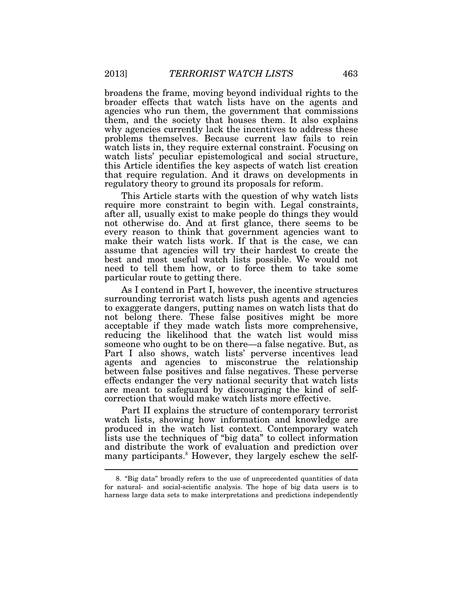broadens the frame, moving beyond individual rights to the broader effects that watch lists have on the agents and agencies who run them, the government that commissions them, and the society that houses them. It also explains why agencies currently lack the incentives to address these problems themselves. Because current law fails to rein watch lists in, they require external constraint. Focusing on watch lists' peculiar epistemological and social structure, this Article identifies the key aspects of watch list creation that require regulation. And it draws on developments in regulatory theory to ground its proposals for reform.

This Article starts with the question of why watch lists require more constraint to begin with. Legal constraints, after all, usually exist to make people do things they would not otherwise do. And at first glance, there seems to be every reason to think that government agencies want to make their watch lists work. If that is the case, we can assume that agencies will try their hardest to create the best and most useful watch lists possible. We would not need to tell them how, or to force them to take some particular route to getting there.

As I contend in Part I, however, the incentive structures surrounding terrorist watch lists push agents and agencies to exaggerate dangers, putting names on watch lists that do not belong there. These false positives might be more acceptable if they made watch lists more comprehensive, reducing the likelihood that the watch list would miss someone who ought to be on there—a false negative. But, as Part I also shows, watch lists' perverse incentives lead agents and agencies to misconstrue the relationship between false positives and false negatives. These perverse effects endanger the very national security that watch lists are meant to safeguard by discouraging the kind of selfcorrection that would make watch lists more effective.

Part II explains the structure of contemporary terrorist watch lists, showing how information and knowledge are produced in the watch list context. Contemporary watch lists use the techniques of "big data" to collect information and distribute the work of evaluation and prediction over many participants.<sup>8</sup> However, they largely eschew the self-

 <sup>8. &</sup>quot;Big data" broadly refers to the use of unprecedented quantities of data for natural- and social-scientific analysis. The hope of big data users is to harness large data sets to make interpretations and predictions independently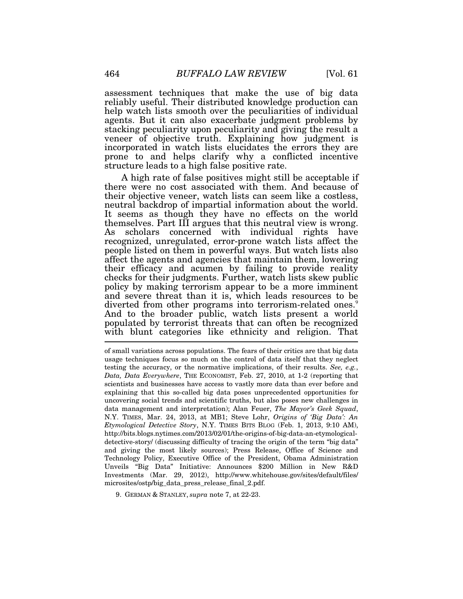assessment techniques that make the use of big data reliably useful. Their distributed knowledge production can help watch lists smooth over the peculiarities of individual agents. But it can also exacerbate judgment problems by stacking peculiarity upon peculiarity and giving the result a veneer of objective truth. Explaining how judgment is incorporated in watch lists elucidates the errors they are prone to and helps clarify why a conflicted incentive structure leads to a high false positive rate.

A high rate of false positives might still be acceptable if there were no cost associated with them. And because of their objective veneer, watch lists can seem like a costless, neutral backdrop of impartial information about the world. It seems as though they have no effects on the world themselves. Part III argues that this neutral view is wrong. As scholars concerned with individual rights have recognized, unregulated, error-prone watch lists affect the people listed on them in powerful ways. But watch lists also affect the agents and agencies that maintain them, lowering their efficacy and acumen by failing to provide reality checks for their judgments. Further, watch lists skew public policy by making terrorism appear to be a more imminent and severe threat than it is, which leads resources to be diverted from other programs into terrorism-related ones.<sup>9</sup> And to the broader public, watch lists present a world populated by terrorist threats that can often be recognized with blunt categories like ethnicity and religion. That

of small variations across populations. The fears of their critics are that big data usage techniques focus so much on the control of data itself that they neglect testing the accuracy, or the normative implications, of their results. *See, e.g.*, *Data, Data Everywhere*, THE ECONOMIST, Feb. 27, 2010, at 1-2 (reporting that scientists and businesses have access to vastly more data than ever before and explaining that this so-called big data poses unprecedented opportunities for uncovering social trends and scientific truths, but also poses new challenges in data management and interpretation); Alan Feuer, *The Mayor's Geek Squad*, N.Y. TIMES, Mar. 24, 2013, at MB1; Steve Lohr, *Origins of 'Big Data': An Etymological Detective Story*, N.Y. TIMES BITS BLOG (Feb. 1, 2013, 9:10 AM), http://bits.blogs.nytimes.com/2013/02/01/the-origins-of-big-data-an-etymologicaldetective-story/ (discussing difficulty of tracing the origin of the term "big data" and giving the most likely sources); Press Release, Office of Science and Technology Policy, Executive Office of the President, Obama Administration Unveils "Big Data" Initiative: Announces \$200 Million in New R&D Investments (Mar. 29, 2012), http://www.whitehouse.gov/sites/default/files/ microsites/ostp/big\_data\_press\_release\_final\_2.pdf.

9. GERMAN & STANLEY, *supra* note 7, at 22-23.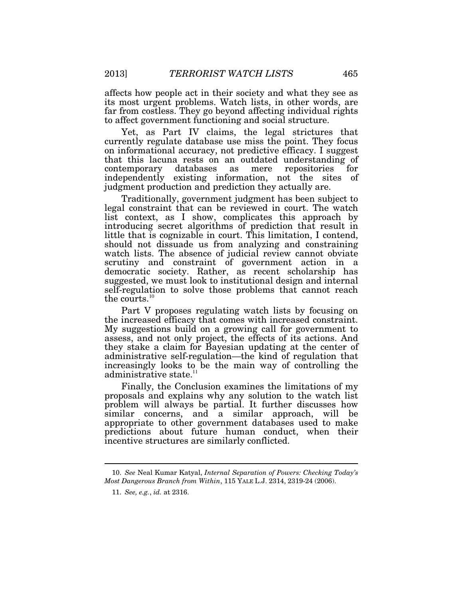affects how people act in their society and what they see as its most urgent problems. Watch lists, in other words, are far from costless. They go beyond affecting individual rights to affect government functioning and social structure.

Yet, as Part IV claims, the legal strictures that currently regulate database use miss the point. They focus on informational accuracy, not predictive efficacy. I suggest that this lacuna rests on an outdated understanding of contemporary databases as mere repositories for independently existing information, not the sites of judgment production and prediction they actually are.

Traditionally, government judgment has been subject to legal constraint that can be reviewed in court. The watch list context, as I show, complicates this approach by introducing secret algorithms of prediction that result in little that is cognizable in court. This limitation, I contend, should not dissuade us from analyzing and constraining watch lists. The absence of judicial review cannot obviate scrutiny and constraint of government action in a democratic society. Rather, as recent scholarship has suggested, we must look to institutional design and internal self-regulation to solve those problems that cannot reach the courts.<sup>10</sup>

Part V proposes regulating watch lists by focusing on the increased efficacy that comes with increased constraint. My suggestions build on a growing call for government to assess, and not only project, the effects of its actions. And they stake a claim for Bayesian updating at the center of administrative self-regulation—the kind of regulation that increasingly looks to be the main way of controlling the administrative state.<sup>11</sup>

Finally, the Conclusion examines the limitations of my proposals and explains why any solution to the watch list problem will always be partial. It further discusses how similar concerns, and a similar approach, will be appropriate to other government databases used to make predictions about future human conduct, when their incentive structures are similarly conflicted.

 <sup>10.</sup> *See* Neal Kumar Katyal, *Internal Separation of Powers: Checking Today's Most Dangerous Branch from Within*, 115 YALE L.J. 2314, 2319-24 (2006).

 <sup>11.</sup> *See, e.g.*, *id.* at 2316.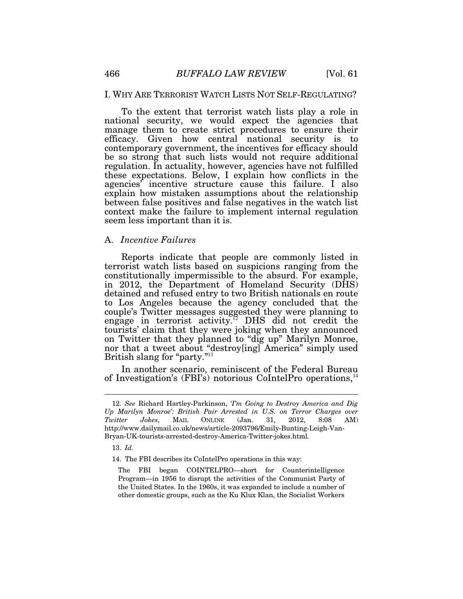### I. WHY ARE TERRORIST WATCH LISTS NOT SELF-REGULATING?

To the extent that terrorist watch lists play a role in national security, we would expect the agencies that manage them to create strict procedures to ensure their efficacy. Given how central national security is to contemporary government, the incentives for efficacy should be so strong that such lists would not require additional regulation. In actuality, however, agencies have not fulfilled these expectations. Below, I explain how conflicts in the agencies' incentive structure cause this failure. I also explain how mistaken assumptions about the relationship between false positives and false negatives in the watch list context make the failure to implement internal regulation seem less important than it is.

#### A. *Incentive Failures*

Reports indicate that people are commonly listed in terrorist watch lists based on suspicions ranging from the constitutionally impermissible to the absurd. For example, in 2012, the Department of Homeland Security (DHS) detained and refused entry to two British nationals en route to Los Angeles because the agency concluded that the couple's Twitter messages suggested they were planning to engage in terrorist activity.<sup>12</sup> DHS did not credit the tourists' claim that they were joking when they announced on Twitter that they planned to "dig up" Marilyn Monroe, nor that a tweet about "destroy[ing] America" simply used British slang for "party."<sup>13</sup>

In another scenario, reminiscent of the Federal Bureau of Investigation's (FBI's) notorious CoIntelPro operations,<sup>14</sup>

13. *Id.*

 <sup>12.</sup> *See* Richard Hartley-Parkinson, *'I'm Going to Destroy America and Dig Up Marilyn Monroe': British Pair Arrested in U.S. on Terror Charges over Twitter Jokes*, MAIL ONLINE (Jan. 31, 2012, 8:08 AM) http://www.dailymail.co.uk/news/article-2093796/Emily-Bunting-Leigh-Van-Bryan-UK-tourists-arrested-destroy-America-Twitter-jokes.html*.*

 <sup>14.</sup> The FBI describes its CoIntelPro operations in this way:

The FBI began COINTELPRO—short for Counterintelligence Program—in 1956 to disrupt the activities of the Communist Party of the United States. In the 1960s, it was expanded to include a number of other domestic groups, such as the Ku Klux Klan, the Socialist Workers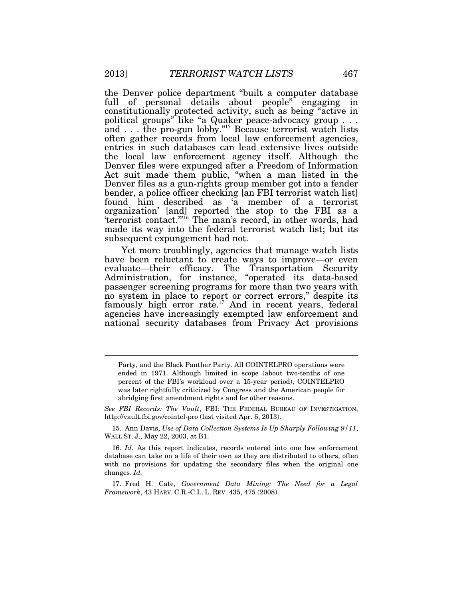the Denver police department "built a computer database full of personal details about people" engaging in constitutionally protected activity, such as being "active in political groups" like "a Quaker peace-advocacy group . . . and  $\ldots$  the pro-gun lobby."<sup>15</sup> Because terrorist watch lists often gather records from local law enforcement agencies, entries in such databases can lead extensive lives outside the local law enforcement agency itself. Although the Denver files were expunged after a Freedom of Information Act suit made them public, "when a man listed in the Denver files as a gun-rights group member got into a fender bender, a police officer checking [an FBI terrorist watch list] found him described as 'a member of a terrorist organization' [and] reported the stop to the FBI as a 'terrorist contact.'"<sup>16</sup> The man's record, in other words, had made its way into the federal terrorist watch list; but its subsequent expungement had not.

Yet more troublingly, agencies that manage watch lists have been reluctant to create ways to improve—or even evaluate—their efficacy. The Transportation Security Administration, for instance, "operated its data-based passenger screening programs for more than two years with no system in place to report or correct errors," despite its famously high error rate.<sup>17</sup> And in recent years, federal agencies have increasingly exempted law enforcement and national security databases from Privacy Act provisions

*See FBI Records: The Vault*, FBI: THE FEDERAL BUREAU OF INVESTIGATION, http://vault.fbi.gov/cointel-pro (last visited Apr. 6, 2013).

 15. Ann Davis, *Use of Data Collection Systems Is Up Sharply Following 9/11*, WALL ST. J., May 22, 2003, at B1.

 16. *Id.* As this report indicates, records entered into one law enforcement database can take on a life of their own as they are distributed to others, often with no provisions for updating the secondary files when the original one changes. *Id.*

 17. Fred H. Cate, *Government Data Mining: The Need for a Legal Framework*, 43 HARV. C.R.-C.L. L. REV. 435, 475 (2008).

Party, and the Black Panther Party. All COINTELPRO operations were ended in 1971. Although limited in scope (about two-tenths of one percent of the FBI's workload over a 15-year period), COINTELPRO was later rightfully criticized by Congress and the American people for abridging first amendment rights and for other reasons.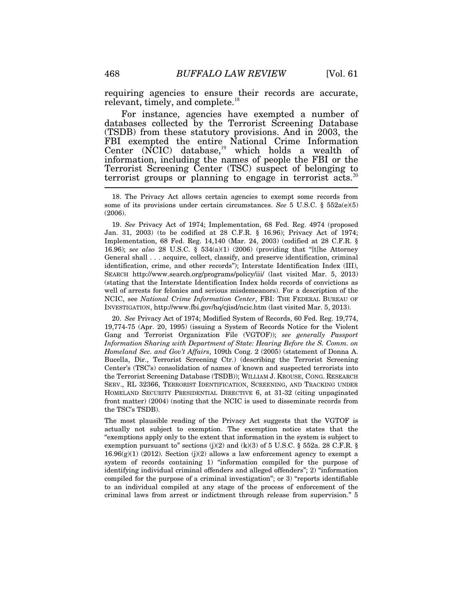requiring agencies to ensure their records are accurate, relevant, timely, and complete.<sup>18</sup>

For instance, agencies have exempted a number of databases collected by the Terrorist Screening Database (TSDB) from these statutory provisions. And in 2003, the FBI exempted the entire National Crime Information Center  $(NCIC)$  database,<sup>19</sup> which holds a wealth of information, including the names of people the FBI or the Terrorist Screening Center (TSC) suspect of belonging to terrorist groups or planning to engage in terrorist acts.<sup>20</sup>

 19. *See* Privacy Act of 1974; Implementation, 68 Fed. Reg. 4974 (proposed Jan. 31, 2003) (to be codified at 28 C.F.R. § 16.96); Privacy Act of 1974; Implementation, 68 Fed. Reg. 14,140 (Mar. 24, 2003) (codified at 28 C.F.R. § 16.96); *see also* 28 U.S.C. § 534(a)(1) (2006) (providing that "[t]he Attorney General shall . . . acquire, collect, classify, and preserve identification, criminal identification, crime, and other records"); Interstate Identification Index (III), SEARCH http://www.search.org/programs/policy/iii/ (last visited Mar. 5, 2013) (stating that the Interstate Identification Index holds records of convictions as well of arrests for felonies and serious misdemeanors). For a description of the NCIC, see *National Crime Information Center*, FBI: THE FEDERAL BUREAU OF INVESTIGATION, http://www.fbi.gov/hq/cjisd/ncic.htm (last visited Mar. 5, 2013).

 20. *See* Privacy Act of 1974; Modified System of Records, 60 Fed. Reg. 19,774, 19,774-75 (Apr. 20, 1995) (issuing a System of Records Notice for the Violent Gang and Terrorist Organization File (VGTOF)); *see generally Passport Information Sharing with Department of State: Hearing Before the S. Comm. on Homeland Sec. and Gov't Affairs*, 109th Cong. 2 (2005) (statement of Donna A. Bucella, Dir., Terrorist Screening Ctr.) (describing the Terrorist Screening Center's (TSC's) consolidation of names of known and suspected terrorists into the Terrorist Screening Database (TSDB)); WILLIAM J. KROUSE, CONG. RESEARCH SERV., RL 32366, TERRORIST IDENTIFICATION, SCREENING, AND TRACKING UNDER HOMELAND SECURITY PRESIDENTIAL DIRECTIVE 6, at 31-32 (citing unpaginated front matter) (2004) (noting that the NCIC is used to disseminate records from the TSC's TSDB).

The most plausible reading of the Privacy Act suggests that the VGTOF is actually not subject to exemption. The exemption notice states that the "exemptions apply only to the extent that information in the system is subject to exemption pursuant to" sections (j)(2) and (k)(3) of 5 U.S.C. § 552a. 28 C.F.R. §  $16.96(g)(1)$  (2012). Section (j)(2) allows a law enforcement agency to exempt a system of records containing 1) "information compiled for the purpose of identifying individual criminal offenders and alleged offenders"; 2) "information compiled for the purpose of a criminal investigation"; or 3) "reports identifiable to an individual compiled at any stage of the process of enforcement of the criminal laws from arrest or indictment through release from supervision." 5

 <sup>18.</sup> The Privacy Act allows certain agencies to exempt some records from some of its provisions under certain circumstances. *See* 5 U.S.C. § 552a(e)(5) (2006).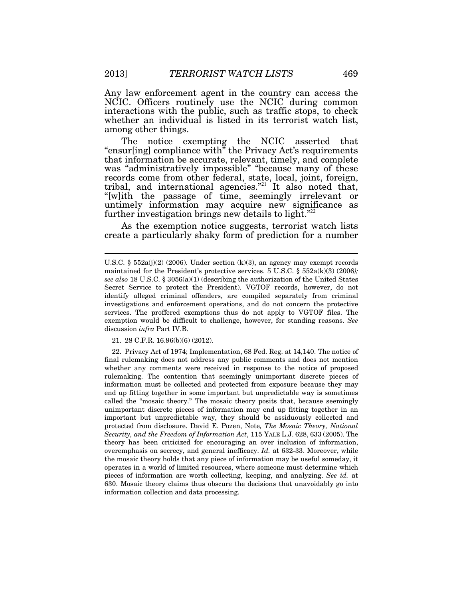Any law enforcement agent in the country can access the NCIC. Officers routinely use the NCIC during common interactions with the public, such as traffic stops, to check whether an individual is listed in its terrorist watch list, among other things.

The notice exempting the NCIC asserted that "ensur[ing] compliance with" the Privacy Act's requirements that information be accurate, relevant, timely, and complete was "administratively impossible" "because many of these records come from other federal, state, local, joint, foreign, tribal, and international agencies."<sup>21</sup> It also noted that, "[w]ith the passage of time, seemingly irrelevant or untimely information may acquire new significance as further investigation brings new details to light."<sup>22</sup>

As the exemption notice suggests, terrorist watch lists create a particularly shaky form of prediction for a number

21. 28 C.F.R. 16.96(b)(6) (2012).

 22. Privacy Act of 1974; Implementation, 68 Fed. Reg. at 14,140. The notice of final rulemaking does not address any public comments and does not mention whether any comments were received in response to the notice of proposed rulemaking. The contention that seemingly unimportant discrete pieces of information must be collected and protected from exposure because they may end up fitting together in some important but unpredictable way is sometimes called the "mosaic theory." The mosaic theory posits that, because seemingly unimportant discrete pieces of information may end up fitting together in an important but unpredictable way, they should be assiduously collected and protected from disclosure. David E. Pozen, Note*, The Mosaic Theory, National Security, and the Freedom of Information Act*, 115 YALE L.J. 628, 633 (2005). The theory has been criticized for encouraging an over inclusion of information, overemphasis on secrecy, and general inefficacy. *Id.* at 632-33. Moreover, while the mosaic theory holds that any piece of information may be useful someday, it operates in a world of limited resources, where someone must determine which pieces of information are worth collecting, keeping, and analyzing. *See id.* at 630. Mosaic theory claims thus obscure the decisions that unavoidably go into information collection and data processing.

U.S.C. § 552a(j)(2) (2006). Under section (k)(3), an agency may exempt records maintained for the President's protective services. 5 U.S.C. § 552a(k)(3) (2006*); see also* 18 U.S.C. § 3056(a)(1) (describing the authorization of the United States Secret Service to protect the President). VGTOF records, however, do not identify alleged criminal offenders, are compiled separately from criminal investigations and enforcement operations, and do not concern the protective services. The proffered exemptions thus do not apply to VGTOF files. The exemption would be difficult to challenge, however, for standing reasons. *See* discussion *infra* Part IV.B.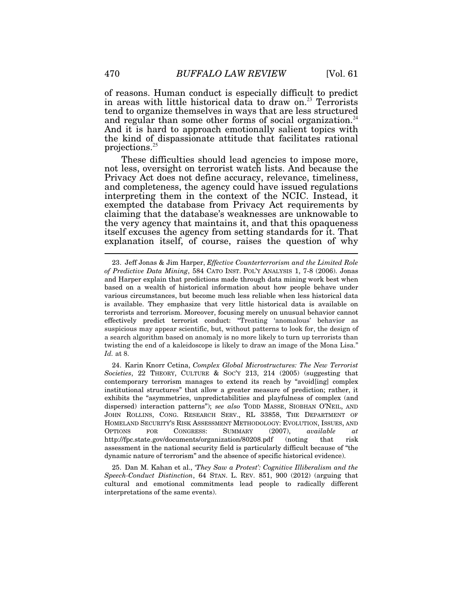of reasons. Human conduct is especially difficult to predict in areas with little historical data to draw on.<sup>23</sup> Terrorists tend to organize themselves in ways that are less structured and regular than some other forms of social organization.<sup>24</sup> And it is hard to approach emotionally salient topics with the kind of dispassionate attitude that facilitates rational projections.<sup>25</sup>

These difficulties should lead agencies to impose more, not less, oversight on terrorist watch lists. And because the Privacy Act does not define accuracy, relevance, timeliness, and completeness, the agency could have issued regulations interpreting them in the context of the NCIC. Instead, it exempted the database from Privacy Act requirements by claiming that the database's weaknesses are unknowable to the very agency that maintains it, and that this opaqueness itself excuses the agency from setting standards for it. That explanation itself, of course, raises the question of why

 24. Karin Knorr Cetina, *Complex Global Microstructures: The New Terrorist Societies*, 22 THEORY, CULTURE & SOC'Y 213, 214 (2005) (suggesting that contemporary terrorism manages to extend its reach by "avoid[ing] complex institutional structures" that allow a greater measure of prediction; rather, it exhibits the "asymmetries, unpredictabilities and playfulness of complex (and dispersed) interaction patterns"); *see also* TODD MASSE, SIOBHAN O'NEIL, AND JOHN ROLLINS, CONG. RESEARCH SERV., RL 33858, THE DEPARTMENT OF HOMELAND SECURITY'S RISK ASSESSMENT METHODOLOGY: EVOLUTION, ISSUES, AND OPTIONS FOR CONGRESS: SUMMARY (2007), *available at* http://fpc.state.gov/documents/organization/80208.pdf (noting that risk assessment in the national security field is particularly difficult because of "the dynamic nature of terrorism" and the absence of specific historical evidence).

 25. Dan M. Kahan et al., *'They Saw a Protest': Cognitive Illiberalism and the Speech-Conduct Distinction*, 64 STAN. L. REV. 851, 900 (2012) (arguing that cultural and emotional commitments lead people to radically different interpretations of the same events).

 <sup>23.</sup> Jeff Jonas & Jim Harper, *Effective Counterterrorism and the Limited Role of Predictive Data Mining*, 584 CATO INST. POL'Y ANALYSIS 1, 7-8 (2006). Jonas and Harper explain that predictions made through data mining work best when based on a wealth of historical information about how people behave under various circumstances, but become much less reliable when less historical data is available. They emphasize that very little historical data is available on terrorists and terrorism. Moreover, focusing merely on unusual behavior cannot effectively predict terrorist conduct: "Treating 'anomalous' behavior as suspicious may appear scientific, but, without patterns to look for, the design of a search algorithm based on anomaly is no more likely to turn up terrorists than twisting the end of a kaleidoscope is likely to draw an image of the Mona Lisa." *Id.* at 8.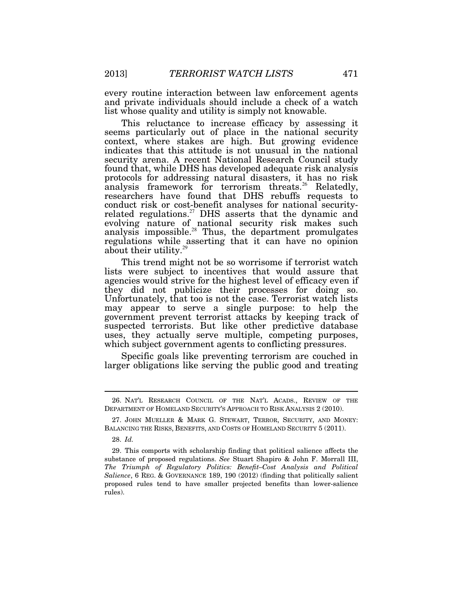every routine interaction between law enforcement agents and private individuals should include a check of a watch list whose quality and utility is simply not knowable.

This reluctance to increase efficacy by assessing it seems particularly out of place in the national security context, where stakes are high. But growing evidence indicates that this attitude is not unusual in the national security arena. A recent National Research Council study found that, while DHS has developed adequate risk analysis protocols for addressing natural disasters, it has no risk analysis framework for terrorism threats.<sup>26</sup> Relatedly, researchers have found that DHS rebuffs requests to conduct risk or cost-benefit analyses for national securityrelated regulations.<sup>27</sup> DHS asserts that the dynamic and evolving nature of national security risk makes such analysis impossible.<sup>28</sup> Thus, the department promulgates regulations while asserting that it can have no opinion about their utility.<sup>29</sup>

This trend might not be so worrisome if terrorist watch lists were subject to incentives that would assure that agencies would strive for the highest level of efficacy even if they did not publicize their processes for doing so. Unfortunately, that too is not the case. Terrorist watch lists may appear to serve a single purpose: to help the government prevent terrorist attacks by keeping track of suspected terrorists. But like other predictive database uses, they actually serve multiple, competing purposes, which subject government agents to conflicting pressures.

Specific goals like preventing terrorism are couched in larger obligations like serving the public good and treating

 <sup>26.</sup> NAT'L RESEARCH COUNCIL OF THE NAT'L ACADS., REVIEW OF THE DEPARTMENT OF HOMELAND SECURITY'S APPROACH TO RISK ANALYSIS 2 (2010).

 <sup>27.</sup> JOHN MUELLER & MARK G. STEWART, TERROR, SECURITY, AND MONEY: BALANCING THE RISKS, BENEFITS, AND COSTS OF HOMELAND SECURITY 5 (2011).

 <sup>28.</sup> *Id.*

 <sup>29.</sup> This comports with scholarship finding that political salience affects the substance of proposed regulations. *See* Stuart Shapiro & John F. Morrall III, *The Triumph of Regulatory Politics: Benefit–Cost Analysis and Political Salience*, 6 REG. & GOVERNANCE 189, 190 (2012) (finding that politically salient proposed rules tend to have smaller projected benefits than lower-salience rules).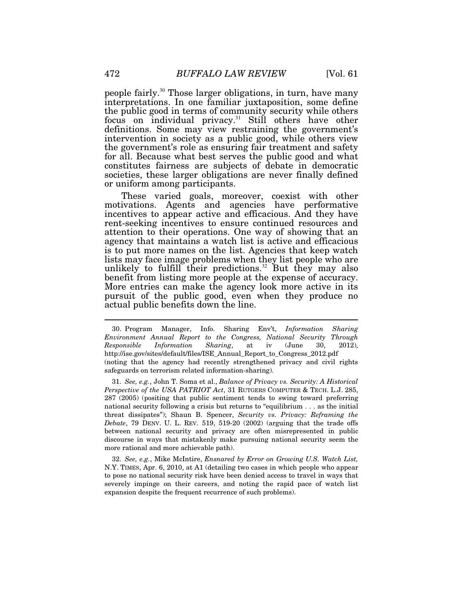people fairly.<sup>30</sup> Those larger obligations, in turn, have many interpretations. In one familiar juxtaposition, some define the public good in terms of community security while others focus on individual privacy.<sup>31</sup> Still others have other definitions. Some may view restraining the government's intervention in society as a public good, while others view the government's role as ensuring fair treatment and safety for all. Because what best serves the public good and what constitutes fairness are subjects of debate in democratic societies, these larger obligations are never finally defined or uniform among participants.

These varied goals, moreover, coexist with other motivations. Agents and agencies have performative incentives to appear active and efficacious. And they have rent-seeking incentives to ensure continued resources and attention to their operations. One way of showing that an agency that maintains a watch list is active and efficacious is to put more names on the list. Agencies that keep watch lists may face image problems when they list people who are unlikely to fulfill their predictions.<sup>32</sup> But they may also benefit from listing more people at the expense of accuracy. More entries can make the agency look more active in its pursuit of the public good, even when they produce no actual public benefits down the line.

 31. *See, e.g.*, John T. Soma et al., *Balance of Privacy vs. Security: A Historical Perspective of the USA PATRIOT Act*, 31 RUTGERS COMPUTER & TECH. L.J. 285, 287 (2005) (positing that public sentiment tends to swing toward preferring national security following a crisis but returns to "equilibrium . . . as the initial threat dissipates"); Shaun B. Spencer, *Security vs. Privacy: Reframing the Debate*, 79 DENV. U. L. REV. 519, 519-20 (2002) (arguing that the trade offs between national security and privacy are often misrepresented in public discourse in ways that mistakenly make pursuing national security seem the more rational and more achievable path).

 32. *See, e.g.*, Mike McIntire, *Ensnared by Error on Growing U.S. Watch List,*  N.Y. TIMES, Apr. 6, 2010, at A1 (detailing two cases in which people who appear to pose no national security risk have been denied access to travel in ways that severely impinge on their careers, and noting the rapid pace of watch list expansion despite the frequent recurrence of such problems).

 <sup>30.</sup> Program Manager, Info. Sharing Env't, *Information Sharing Environment Annual Report to the Congress, National Security Through Responsible Information Sharing*, at iv (June 30, 2012), http://ise.gov/sites/default/files/ISE\_Annual\_Report\_to\_Congress\_2012.pdf (noting that the agency had recently strengthened privacy and civil rights safeguards on terrorism related information-sharing).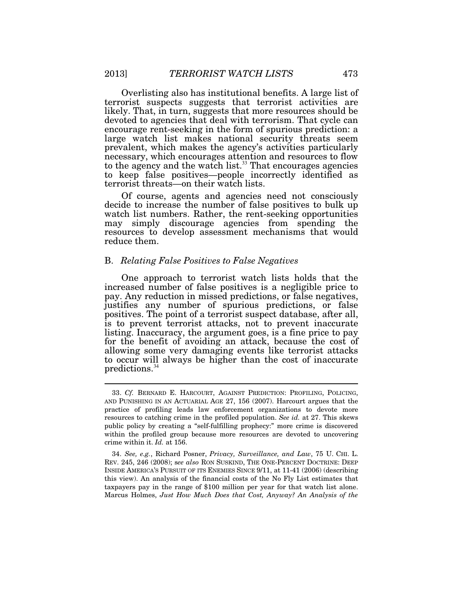Overlisting also has institutional benefits. A large list of terrorist suspects suggests that terrorist activities are likely. That, in turn, suggests that more resources should be devoted to agencies that deal with terrorism. That cycle can encourage rent-seeking in the form of spurious prediction: a large watch list makes national security threats seem prevalent, which makes the agency's activities particularly necessary, which encourages attention and resources to flow to the agency and the watch list. $33$  That encourages agencies to keep false positives—people incorrectly identified as terrorist threats—on their watch lists.

Of course, agents and agencies need not consciously decide to increase the number of false positives to bulk up watch list numbers. Rather, the rent-seeking opportunities may simply discourage agencies from spending the resources to develop assessment mechanisms that would reduce them.

#### B. *Relating False Positives to False Negatives*

One approach to terrorist watch lists holds that the increased number of false positives is a negligible price to pay. Any reduction in missed predictions, or false negatives, justifies any number of spurious predictions, or false positives. The point of a terrorist suspect database, after all, is to prevent terrorist attacks, not to prevent inaccurate listing. Inaccuracy, the argument goes, is a fine price to pay for the benefit of avoiding an attack, because the cost of allowing some very damaging events like terrorist attacks to occur will always be higher than the cost of inaccurate predictions.<sup>34</sup>

 <sup>33.</sup> *Cf.* BERNARD E. HARCOURT, AGAINST PREDICTION: PROFILING, POLICING, AND PUNISHING IN AN ACTUARIAL AGE 27, 156 (2007). Harcourt argues that the practice of profiling leads law enforcement organizations to devote more resources to catching crime in the profiled population. *See id.* at 27. This skews public policy by creating a "self-fulfilling prophecy:" more crime is discovered within the profiled group because more resources are devoted to uncovering crime within it. *Id.* at 156.

 <sup>34.</sup> *See, e.g.*, Richard Posner, *Privacy, Surveillance, and Law*, 75 U. CHI. L. REV. 245, 246 (2008); s*ee also* RON SUSKIND, THE ONE-PERCENT DOCTRINE: DEEP INSIDE AMERICA'S PURSUIT OF ITS ENEMIES SINCE 9/11, at 11-41 (2006) (describing this view). An analysis of the financial costs of the No Fly List estimates that taxpayers pay in the range of \$100 million per year for that watch list alone. Marcus Holmes, *Just How Much Does that Cost, Anyway? An Analysis of the*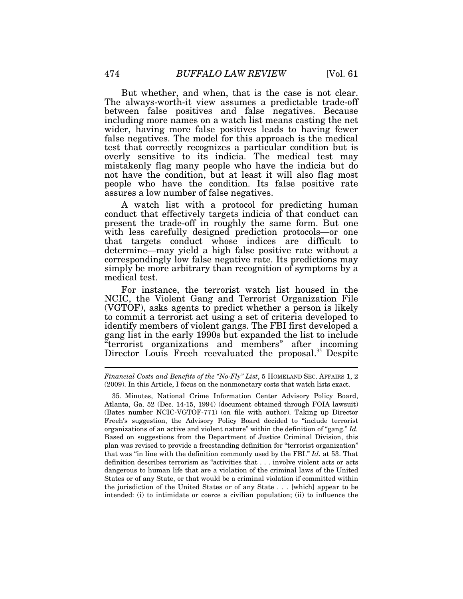But whether, and when, that is the case is not clear. The always-worth-it view assumes a predictable trade-off between false positives and false negatives. Because including more names on a watch list means casting the net wider, having more false positives leads to having fewer false negatives. The model for this approach is the medical test that correctly recognizes a particular condition but is overly sensitive to its indicia. The medical test may mistakenly flag many people who have the indicia but do not have the condition, but at least it will also flag most people who have the condition. Its false positive rate assures a low number of false negatives.

A watch list with a protocol for predicting human conduct that effectively targets indicia of that conduct can present the trade-off in roughly the same form. But one with less carefully designed prediction protocols—or one that targets conduct whose indices are difficult to determine—may yield a high false positive rate without a correspondingly low false negative rate. Its predictions may simply be more arbitrary than recognition of symptoms by a medical test.

For instance, the terrorist watch list housed in the NCIC, the Violent Gang and Terrorist Organization File (VGTOF), asks agents to predict whether a person is likely to commit a terrorist act using a set of criteria developed to identify members of violent gangs. The FBI first developed a gang list in the early 1990s but expanded the list to include "terrorist organizations and members" after incoming Director Louis Freeh reevaluated the proposal.<sup>35</sup> Despite

35*.* Minutes, National Crime Information Center Advisory Policy Board, Atlanta, Ga. 52 (Dec. 14-15, 1994) (document obtained through FOIA lawsuit) (Bates number NCIC-VGTOF-771) (on file with author). Taking up Director Freeh's suggestion, the Advisory Policy Board decided to "include terrorist organizations of an active and violent nature" within the definition of "gang." *Id.* Based on suggestions from the Department of Justice Criminal Division, this plan was revised to provide a freestanding definition for "terrorist organization" that was "in line with the definition commonly used by the FBI." *Id.* at 53. That definition describes terrorism as "activities that . . . involve violent acts or acts dangerous to human life that are a violation of the criminal laws of the United States or of any State, or that would be a criminal violation if committed within the jurisdiction of the United States or of any State . . . [which] appear to be intended: (i) to intimidate or coerce a civilian population; (ii) to influence the

*Financial Costs and Benefits of the "No-Fly" List*, 5 HOMELAND SEC. AFFAIRS 1, 2 (2009). In this Article, I focus on the nonmonetary costs that watch lists exact.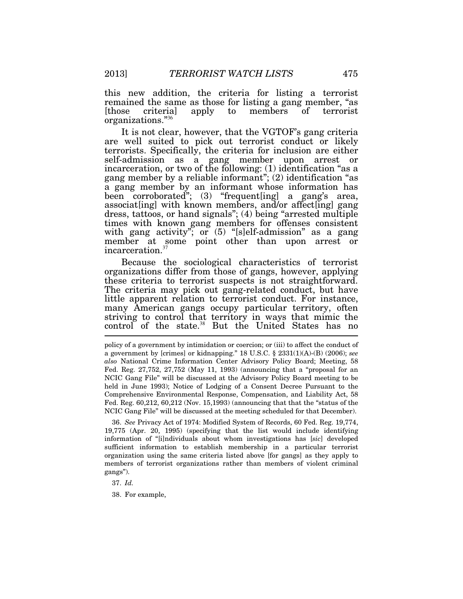this new addition, the criteria for listing a terrorist remained the same as those for listing a gang member, "as<br>those criterial apply to members of terrorist [those criteria] apply to members of terrorist organizations."<sup>36</sup>

It is not clear, however, that the VGTOF's gang criteria are well suited to pick out terrorist conduct or likely terrorists. Specifically, the criteria for inclusion are either self-admission as a gang member upon arrest or incarceration, or two of the following: (1) identification "as a gang member by a reliable informant"; (2) identification "as a gang member by an informant whose information has been corroborated"; (3) "frequent[ing] a gang's area, associat[ing] with known members, and/or affect[ing] gang dress, tattoos, or hand signals"; (4) being "arrested multiple times with known gang members for offenses consistent with gang activity"; or  $(5)$  "[s]elf-admission" as a gang member at some point other than upon arrest or incarceration.<sup>37</sup>

Because the sociological characteristics of terrorist organizations differ from those of gangs, however, applying these criteria to terrorist suspects is not straightforward. The criteria may pick out gang-related conduct, but have little apparent relation to terrorist conduct. For instance, many American gangs occupy particular territory, often striving to control that territory in ways that mimic the control of the state.<sup>38</sup> But the United States has no

policy of a government by intimidation or coercion; or (iii) to affect the conduct of a government by [crimes] or kidnapping." 18 U.S.C. § 2331(1)(A)-(B) (2006); *see also* National Crime Information Center Advisory Policy Board; Meeting, 58 Fed. Reg. 27,752, 27,752 (May 11, 1993) (announcing that a "proposal for an NCIC Gang File" will be discussed at the Advisory Policy Board meeting to be held in June 1993); Notice of Lodging of a Consent Decree Pursuant to the Comprehensive Environmental Response, Compensation, and Liability Act, 58 Fed. Reg. 60,212, 60,212 (Nov. 15,1993) (announcing that that the "status of the NCIC Gang File" will be discussed at the meeting scheduled for that December).

 36. *See* Privacy Act of 1974: Modified System of Records, 60 Fed. Reg. 19,774, 19,775 (Apr. 20, 1995) (specifying that the list would include identifying information of "[i]ndividuals about whom investigations has [*sic*] developed sufficient information to establish membership in a particular terrorist organization using the same criteria listed above [for gangs] as they apply to members of terrorist organizations rather than members of violent criminal gangs").

37. *Id.*

38. For example,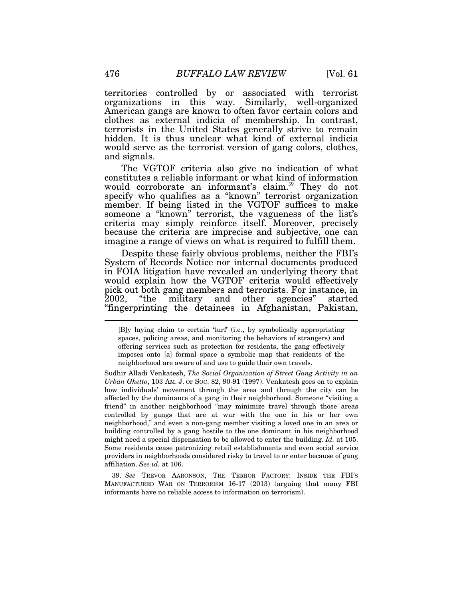territories controlled by or associated with terrorist organizations in this way. Similarly, well-organized American gangs are known to often favor certain colors and clothes as external indicia of membership. In contrast, terrorists in the United States generally strive to remain hidden. It is thus unclear what kind of external indicia would serve as the terrorist version of gang colors, clothes, and signals.

The VGTOF criteria also give no indication of what constitutes a reliable informant or what kind of information would corroborate an informant's claim.<sup>39</sup> They do not specify who qualifies as a "known" terrorist organization member. If being listed in the VGTOF suffices to make someone a "known" terrorist, the vagueness of the list's criteria may simply reinforce itself. Moreover, precisely because the criteria are imprecise and subjective, one can imagine a range of views on what is required to fulfill them.

Despite these fairly obvious problems, neither the FBI's System of Records Notice nor internal documents produced in FOIA litigation have revealed an underlying theory that would explain how the VGTOF criteria would effectively pick out both gang members and terrorists. For instance, in "the military and other agencies" started "fingerprinting the detainees in Afghanistan, Pakistan,

Sudhir Alladi Venkatesh, *The Social Organization of Street Gang Activity in an Urban Ghetto*, 103 AM. J. OF SOC. 82, 90-91 (1997). Venkatesh goes on to explain how individuals' movement through the area and through the city can be affected by the dominance of a gang in their neighborhood. Someone "visiting a friend" in another neighborhood "may minimize travel through those areas controlled by gangs that are at war with the one in his or her own neighborhood," and even a non-gang member visiting a loved one in an area or building controlled by a gang hostile to the one dominant in his neighborhood might need a special dispensation to be allowed to enter the building. *Id.* at 105. Some residents cease patronizing retail establishments and even social service providers in neighborhoods considered risky to travel to or enter because of gang affiliation. *See id.* at 106.

 39. *See* TREVOR AARONSON, THE TERROR FACTORY: INSIDE THE FBI'S MANUFACTURED WAR ON TERRORISM 16-17 (2013) (arguing that many FBI informants have no reliable access to information on terrorism).

<sup>[</sup>B]y laying claim to certain 'turf' (i.e., by symbolically appropriating spaces, policing areas, and monitoring the behaviors of strangers) and offering services such as protection for residents, the gang effectively imposes onto [a] formal space a symbolic map that residents of the neighborhood are aware of and use to guide their own travels.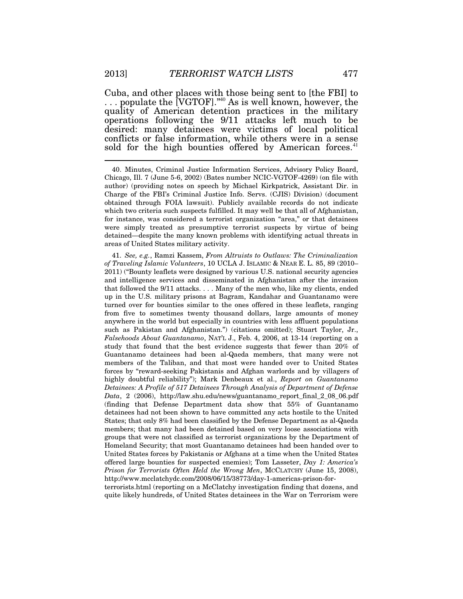Cuba, and other places with those being sent to [the FBI] to ... populate the [VGTOF].<sup>340</sup> As is well known, however, the quality of American detention practices in the military operations following the 9/11 attacks left much to be desired: many detainees were victims of local political conflicts or false information, while others were in a sense sold for the high bounties offered by American forces.<sup>41</sup>

 40. Minutes, Criminal Justice Information Services, Advisory Policy Board, Chicago, Ill. 7 (June 5-6, 2002) (Bates number NCIC-VGTOF-4269) (on file with author) (providing notes on speech by Michael Kirkpatrick, Assistant Dir. in Charge of the FBI's Criminal Justice Info. Servs. (CJIS) Division) (document obtained through FOIA lawsuit). Publicly available records do not indicate which two criteria such suspects fulfilled. It may well be that all of Afghanistan, for instance, was considered a terrorist organization "area," or that detainees were simply treated as presumptive terrorist suspects by virtue of being detained—despite the many known problems with identifying actual threats in areas of United States military activity.

 41. *See, e.g.*, Ramzi Kassem, *From Altruists to Outlaws: The Criminalization of Traveling Islamic Volunteers*, 10 UCLA J. ISLAMIC & NEAR E. L. 85, 89 (2010– 2011) ("Bounty leaflets were designed by various U.S. national security agencies and intelligence services and disseminated in Afghanistan after the invasion that followed the 9/11 attacks. . . . Many of the men who, like my clients, ended up in the U.S. military prisons at Bagram, Kandahar and Guantanamo were turned over for bounties similar to the ones offered in these leaflets, ranging from five to sometimes twenty thousand dollars, large amounts of money anywhere in the world but especially in countries with less affluent populations such as Pakistan and Afghanistan.") (citations omitted); Stuart Taylor, Jr., *Falsehoods About Guantanamo*, NAT'L J., Feb. 4, 2006, at 13-14 (reporting on a study that found that the best evidence suggests that fewer than 20% of Guantanamo detainees had been al-Qaeda members, that many were not members of the Taliban, and that most were handed over to United States forces by "reward-seeking Pakistanis and Afghan warlords and by villagers of highly doubtful reliability"); Mark Denbeaux et al., *Report on Guantanamo Detainees: A Profile of 517 Detainees Through Analysis of Department of Defense Data*, 2 (2006), http://law.shu.edu/news/guantanamo\_report\_final\_2\_08\_06.pdf (finding that Defense Department data show that 55% of Guantanamo detainees had not been shown to have committed any acts hostile to the United States; that only 8% had been classified by the Defense Department as al-Qaeda members; that many had been detained based on very loose associations with groups that were not classified as terrorist organizations by the Department of Homeland Security; that most Guantanamo detainees had been handed over to United States forces by Pakistanis or Afghans at a time when the United States offered large bounties for suspected enemies); Tom Lasseter, *Day 1: America's Prison for Terrorists Often Held the Wrong Men*, MCCLATCHY (June 15, 2008), http://www.mcclatchydc.com/2008/06/15/38773/day-1-americas-prison-for-

terrorists.html (reporting on a McClatchy investigation finding that dozens, and quite likely hundreds, of United States detainees in the War on Terrorism were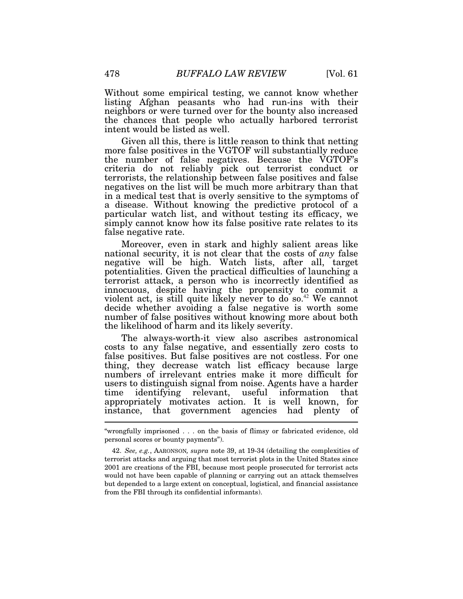Without some empirical testing, we cannot know whether listing Afghan peasants who had run-ins with their neighbors or were turned over for the bounty also increased the chances that people who actually harbored terrorist intent would be listed as well.

Given all this, there is little reason to think that netting more false positives in the VGTOF will substantially reduce the number of false negatives. Because the VGTOF's criteria do not reliably pick out terrorist conduct or terrorists, the relationship between false positives and false negatives on the list will be much more arbitrary than that in a medical test that is overly sensitive to the symptoms of a disease. Without knowing the predictive protocol of a particular watch list, and without testing its efficacy, we simply cannot know how its false positive rate relates to its false negative rate.

Moreover, even in stark and highly salient areas like national security, it is not clear that the costs of *any* false negative will be high. Watch lists, after all, target potentialities. Given the practical difficulties of launching a terrorist attack, a person who is incorrectly identified as innocuous, despite having the propensity to commit a violent act, is still quite likely never to do so.<sup>42</sup> We cannot decide whether avoiding a false negative is worth some number of false positives without knowing more about both the likelihood of harm and its likely severity.

The always-worth-it view also ascribes astronomical costs to any false negative, and essentially zero costs to false positives. But false positives are not costless. For one thing, they decrease watch list efficacy because large numbers of irrelevant entries make it more difficult for users to distinguish signal from noise. Agents have a harder<br>time identifying relevant, useful information that time identifying relevant, useful information that appropriately motivates action. It is well known, for instance, that government agencies had plenty of Ï

<sup>&</sup>quot;wrongfully imprisoned . . . on the basis of flimsy or fabricated evidence, old personal scores or bounty payments").

 <sup>42.</sup> *See, e.g.*, AARONSON*, supra* note 39, at 19-34 (detailing the complexities of terrorist attacks and arguing that most terrorist plots in the United States since 2001 are creations of the FBI, because most people prosecuted for terrorist acts would not have been capable of planning or carrying out an attack themselves but depended to a large extent on conceptual, logistical, and financial assistance from the FBI through its confidential informants).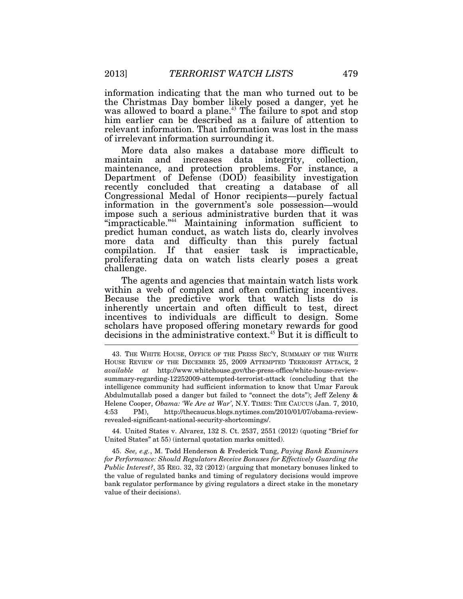information indicating that the man who turned out to be the Christmas Day bomber likely posed a danger, yet he was allowed to board a plane.<sup>43</sup> The failure to spot and stop him earlier can be described as a failure of attention to relevant information. That information was lost in the mass of irrelevant information surrounding it.

More data also makes a database more difficult to maintain and increases data integrity, collection, maintenance, and protection problems. For instance, a Department of Defense (DOD) feasibility investigation recently concluded that creating a database of all Congressional Medal of Honor recipients—purely factual information in the government's sole possession—would impose such a serious administrative burden that it was "impracticable."<sup>44</sup> Maintaining information sufficient to predict human conduct, as watch lists do, clearly involves more data and difficulty than this purely factual compilation. If that easier task is impracticable, proliferating data on watch lists clearly poses a great challenge.

The agents and agencies that maintain watch lists work within a web of complex and often conflicting incentives. Because the predictive work that watch lists do is inherently uncertain and often difficult to test, direct incentives to individuals are difficult to design. Some scholars have proposed offering monetary rewards for good decisions in the administrative context.<sup>45</sup> But it is difficult to

 44. United States v. Alvarez, 132 S. Ct. 2537, 2551 (2012) (quoting "Brief for United States" at 55) (internal quotation marks omitted).

 45. *See, e.g.*, M. Todd Henderson & Frederick Tung, *Paying Bank Examiners for Performance: Should Regulators Receive Bonuses for Effectively Guarding the Public Interest?*, 35 REG. 32, 32 (2012) (arguing that monetary bonuses linked to the value of regulated banks and timing of regulatory decisions would improve bank regulator performance by giving regulators a direct stake in the monetary value of their decisions).

 <sup>43.</sup> THE WHITE HOUSE, OFFICE OF THE PRESS SEC'Y, SUMMARY OF THE WHITE HOUSE REVIEW OF THE DECEMBER 25, 2009 ATTEMPTED TERRORIST ATTACK, 2 *available at* http://www.whitehouse.gov/the-press-office/white-house-reviewsummary-regarding-12252009-attempted-terrorist-attack (concluding that the intelligence community had sufficient information to know that Umar Farouk Abdulmutallab posed a danger but failed to "connect the dots"); Jeff Zeleny & Helene Cooper, *Obama: 'We Are at War'*, N.Y. TIMES: THE CAUCUS (Jan. 7, 2010, 4:53 PM), http://thecaucus.blogs.nytimes.com/2010/01/07/obama-reviewrevealed-significant-national-security-shortcomings/.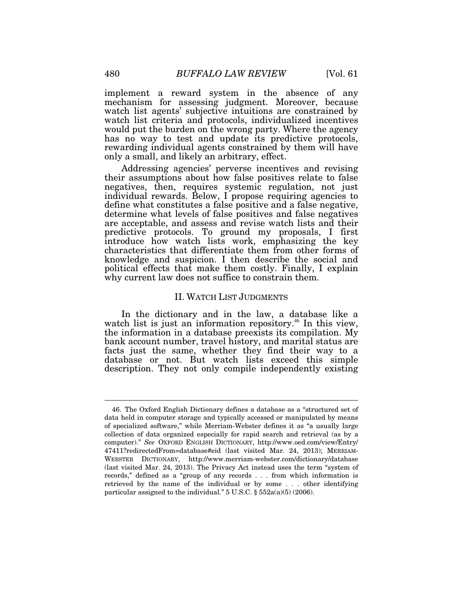implement a reward system in the absence of any mechanism for assessing judgment. Moreover, because watch list agents' subjective intuitions are constrained by watch list criteria and protocols, individualized incentives would put the burden on the wrong party. Where the agency has no way to test and update its predictive protocols, rewarding individual agents constrained by them will have only a small, and likely an arbitrary, effect.

Addressing agencies' perverse incentives and revising their assumptions about how false positives relate to false negatives, then, requires systemic regulation, not just individual rewards. Below, I propose requiring agencies to define what constitutes a false positive and a false negative, determine what levels of false positives and false negatives are acceptable, and assess and revise watch lists and their predictive protocols. To ground my proposals, I first introduce how watch lists work, emphasizing the key characteristics that differentiate them from other forms of knowledge and suspicion. I then describe the social and political effects that make them costly. Finally, I explain why current law does not suffice to constrain them.

# II. WATCH LIST JUDGMENTS

In the dictionary and in the law, a database like a watch list is just an information repository.<sup>46</sup> In this view, the information in a database preexists its compilation. My bank account number, travel history, and marital status are facts just the same, whether they find their way to a database or not. But watch lists exceed this simple description. They not only compile independently existing

 <sup>46.</sup> The Oxford English Dictionary defines a database as a "structured set of data held in computer storage and typically accessed or manipulated by means of specialized software," while Merriam-Webster defines it as "a usually large collection of data organized especially for rapid search and retrieval (as by a computer)." *See* OXFORD ENGLISH DICTIONARY, http://www.oed.com/view/Entry/ 47411?redirectedFrom=database#eid (last visited Mar. 24, 2013); MERRIAM-WEBSTER DICTIONARY, http://www.merriam-webster.com/dictionary/database (last visited Mar. 24, 2013). The Privacy Act instead uses the term "system of records," defined as a "group of any records . . . from which information is retrieved by the name of the individual or by some . . . other identifying particular assigned to the individual."  $5 \text{ U.S.C. }$   $\S 552a(a)(5)(2006)$ .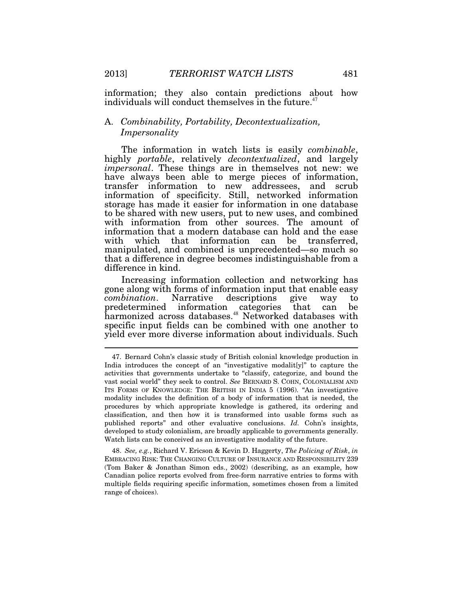information; they also contain predictions about how individuals will conduct themselves in the future.<sup>47</sup>

# A. *Combinability, Portability, Decontextualization, Impersonality*

The information in watch lists is easily *combinable*, highly *portable*, relatively *decontextualized*, and largely *impersonal*. These things are in themselves not new: we have always been able to merge pieces of information, transfer information to new addressees, and scrub information of specificity. Still, networked information storage has made it easier for information in one database to be shared with new users, put to new uses, and combined with information from other sources. The amount of information that a modern database can hold and the ease with which that information can be transferred, manipulated, and combined is unprecedented—so much so that a difference in degree becomes indistinguishable from a difference in kind.

Increasing information collection and networking has gone along with forms of information input that enable easy *combination*. Narrative descriptions give way to predetermined information categories that can be harmonized across databases.<sup>48</sup> Networked databases with specific input fields can be combined with one another to yield ever more diverse information about individuals. Such  $\overline{\phantom{a}}$ 

 <sup>47.</sup> Bernard Cohn's classic study of British colonial knowledge production in India introduces the concept of an "investigative modalit[y]" to capture the activities that governments undertake to "classify, categorize, and bound the vast social world" they seek to control. *See* BERNARD S. COHN, COLONIALISM AND ITS FORMS OF KNOWLEDGE: THE BRITISH IN INDIA 5 (1996). "An investigative modality includes the definition of a body of information that is needed, the procedures by which appropriate knowledge is gathered, its ordering and classification, and then how it is transformed into usable forms such as published reports" and other evaluative conclusions. *Id.* Cohn's insights, developed to study colonialism, are broadly applicable to governments generally. Watch lists can be conceived as an investigative modality of the future.

 <sup>48.</sup> *See, e.g.*, Richard V. Ericson & Kevin D. Haggerty, *The Policing of Risk*, *in* EMBRACING RISK: THE CHANGING CULTURE OF INSURANCE AND RESPONSIBILITY 239 (Tom Baker & Jonathan Simon eds., 2002) (describing, as an example, how Canadian police reports evolved from free-form narrative entries to forms with multiple fields requiring specific information, sometimes chosen from a limited range of choices).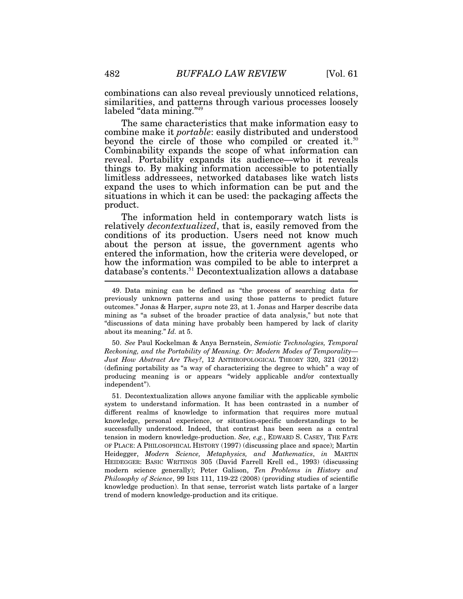combinations can also reveal previously unnoticed relations, similarities, and patterns through various processes loosely labeled "data mining."<sup>49</sup>

The same characteristics that make information easy to combine make it *portable*: easily distributed and understood beyond the circle of those who compiled or created it.<sup>50</sup> Combinability expands the scope of what information can reveal. Portability expands its audience—who it reveals things to. By making information accessible to potentially limitless addressees, networked databases like watch lists expand the uses to which information can be put and the situations in which it can be used: the packaging affects the product.

The information held in contemporary watch lists is relatively *decontextualized*, that is, easily removed from the conditions of its production. Users need not know much about the person at issue, the government agents who entered the information, how the criteria were developed, or how the information was compiled to be able to interpret a database's contents.<sup>51</sup> Decontextualization allows a database

 50. *See* Paul Kockelman & Anya Bernstein, *Semiotic Technologies, Temporal Reckoning, and the Portability of Meaning. Or: Modern Modes of Temporality— Just How Abstract Are They?*, 12 ANTHROPOLOGICAL THEORY 320, 321 (2012) (defining portability as "a way of characterizing the degree to which" a way of producing meaning is or appears "widely applicable and/or contextually independent").

 51. Decontextualization allows anyone familiar with the applicable symbolic system to understand information. It has been contrasted in a number of different realms of knowledge to information that requires more mutual knowledge, personal experience, or situation-specific understandings to be successfully understood. Indeed, that contrast has been seen as a central tension in modern knowledge-production. *See, e.g.*, EDWARD S. CASEY, THE FATE OF PLACE: A PHILOSOPHICAL HISTORY (1997) (discussing place and space); Martin Heidegger, *Modern Science, Metaphysics, and Mathematics*, *in* MARTIN HEIDEGGER: BASIC WRITINGS 305 (David Farrell Krell ed., 1993) (discussing modern science generally); Peter Galison, *Ten Problems in History and Philosophy of Science*, 99 ISIS 111, 119-22 (2008) (providing studies of scientific knowledge production). In that sense, terrorist watch lists partake of a larger trend of modern knowledge-production and its critique.

 <sup>49.</sup> Data mining can be defined as "the process of searching data for previously unknown patterns and using those patterns to predict future outcomes." Jonas & Harper, *supra* note 23, at 1. Jonas and Harper describe data mining as "a subset of the broader practice of data analysis," but note that "discussions of data mining have probably been hampered by lack of clarity about its meaning." *Id.* at 5.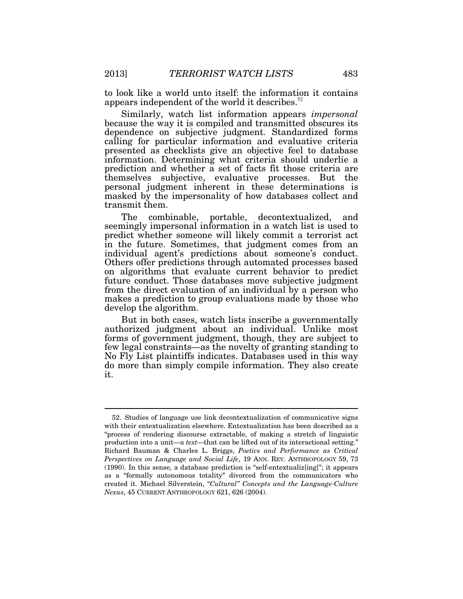to look like a world unto itself: the information it contains appears independent of the world it describes.<sup>52</sup>

Similarly, watch list information appears *impersonal* because the way it is compiled and transmitted obscures its dependence on subjective judgment. Standardized forms calling for particular information and evaluative criteria presented as checklists give an objective feel to database information. Determining what criteria should underlie a prediction and whether a set of facts fit those criteria are themselves subjective, evaluative processes. But the personal judgment inherent in these determinations is masked by the impersonality of how databases collect and transmit them.

The combinable, portable, decontextualized, and seemingly impersonal information in a watch list is used to predict whether someone will likely commit a terrorist act in the future. Sometimes, that judgment comes from an individual agent's predictions about someone's conduct. Others offer predictions through automated processes based on algorithms that evaluate current behavior to predict future conduct. Those databases move subjective judgment from the direct evaluation of an individual by a person who makes a prediction to group evaluations made by those who develop the algorithm.

But in both cases, watch lists inscribe a governmentally authorized judgment about an individual. Unlike most forms of government judgment, though, they are subject to few legal constraints—as the novelty of granting standing to No Fly List plaintiffs indicates. Databases used in this way do more than simply compile information. They also create it.

 <sup>52.</sup> Studies of language use link decontextualization of communicative signs with their entextualization elsewhere. Entextualization has been described as a "process of rendering discourse extractable, of making a stretch of linguistic production into a unit—a *text*—that can be lifted out of its interactional setting." Richard Bauman & Charles L. Briggs, *Poetics and Performance as Critical Perspectives on Language and Social Life*, 19 ANN. REV. ANTHROPOLOGY 59, 73 (1990). In this sense, a database prediction is "self-entextualiz[ing]"; it appears as a "formally autonomous totality" divorced from the communicators who created it. Michael Silverstein, "*Cultural" Concepts and the Language-Culture Nexus*, 45 CURRENT ANTHROPOLOGY 621, 626 (2004).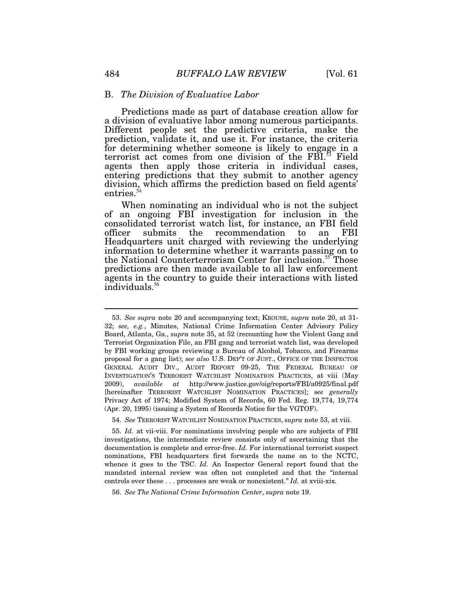## B. *The Division of Evaluative Labor*

Predictions made as part of database creation allow for a division of evaluative labor among numerous participants. Different people set the predictive criteria, make the prediction, validate it, and use it. For instance, the criteria for determining whether someone is likely to engage in a terrorist act comes from one division of the FBI.<sup>53</sup> Field agents then apply those criteria in individual cases, entering predictions that they submit to another agency division, which affirms the prediction based on field agents' entries.<sup>54</sup>

When nominating an individual who is not the subject of an ongoing FBI investigation for inclusion in the consolidated terrorist watch list, for instance, an FBI field the recommendation to an FBI Headquarters unit charged with reviewing the underlying information to determine whether it warrants passing on to the National Counterterrorism Center for inclusion.<sup>55</sup> Those predictions are then made available to all law enforcement agents in the country to guide their interactions with listed individuals.<sup>56</sup>

 <sup>53.</sup> *See supra* note 20 and accompanying text; KROUSE, *supra* note 20, at 31- 32; *see, e.g.*, Minutes, National Crime Information Center Advisory Policy Board, Atlanta, Ga., *supra* note 35, at 52 (recounting how the Violent Gang and Terrorist Organization File, an FBI gang and terrorist watch list, was developed by FBI working groups reviewing a Bureau of Alcohol, Tobacco, and Firearms proposal for a gang list); *see also* U.S. DEP'T OF JUST., OFFICE OF THE INSPECTOR GENERAL AUDIT DIV., AUDIT REPORT 09-25, THE FEDERAL BUREAU OF INVESTIGATION'S TERRORIST WATCHLIST NOMINATION PRACTICES, at viii (May 2009), *available at* http://www.justice.gov/oig/reports/FBI/a0925/final.pdf [hereinafter TERRORIST WATCHLIST NOMINATION PRACTICES]; s*ee generally* Privacy Act of 1974; Modified System of Records, 60 Fed. Reg. 19,774, 19,774 (Apr. 20, 1995) (issuing a System of Records Notice for the VGTOF).

 <sup>54.</sup> *See* TERRORIST WATCHLIST NOMINATION PRACTICES, *supra* note 53, at viii.

 <sup>55.</sup> *Id.* at vii-viii. For nominations involving people who are subjects of FBI investigations, the intermediate review consists only of ascertaining that the documentation is complete and error-free. *Id.* For international terrorist suspect nominations, FBI headquarters first forwards the name on to the NCTC, whence it goes to the TSC. *Id.* An Inspector General report found that the mandated internal review was often not completed and that the "internal controls over these . . . processes are weak or nonexistent." *Id.* at xviii-xix*.*

 <sup>56.</sup> *See The National Crime Information Center*, *supra* note 19.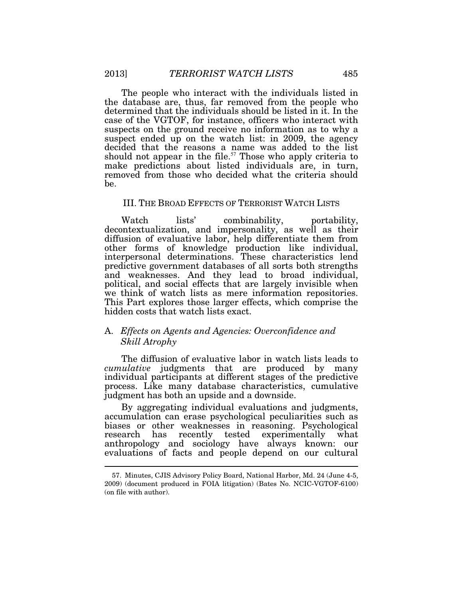The people who interact with the individuals listed in the database are, thus, far removed from the people who determined that the individuals should be listed in it. In the case of the VGTOF, for instance, officers who interact with suspects on the ground receive no information as to why a suspect ended up on the watch list: in 2009, the agency decided that the reasons a name was added to the list should not appear in the file.<sup>57</sup> Those who apply criteria to make predictions about listed individuals are, in turn, removed from those who decided what the criteria should be.

## III. THE BROAD EFFECTS OF TERRORIST WATCH LISTS

Watch lists' combinability, portability, decontextualization, and impersonality, as well as their diffusion of evaluative labor, help differentiate them from other forms of knowledge production like individual, interpersonal determinations. These characteristics lend predictive government databases of all sorts both strengths and weaknesses. And they lead to broad individual, political, and social effects that are largely invisible when we think of watch lists as mere information repositories. This Part explores those larger effects, which comprise the hidden costs that watch lists exact.

## A. *Effects on Agents and Agencies: Overconfidence and Skill Atrophy*

The diffusion of evaluative labor in watch lists leads to *cumulative* judgments that are produced by many individual participants at different stages of the predictive process. Like many database characteristics, cumulative judgment has both an upside and a downside.

By aggregating individual evaluations and judgments, accumulation can erase psychological peculiarities such as biases or other weaknesses in reasoning. Psychological research has recently tested experimentally what anthropology and sociology have always known: our evaluations of facts and people depend on our cultural

 <sup>57.</sup> Minutes, CJIS Advisory Policy Board, National Harbor, Md. 24 (June 4-5, 2009) (document produced in FOIA litigation) (Bates No. NCIC-VGTOF-6100) (on file with author).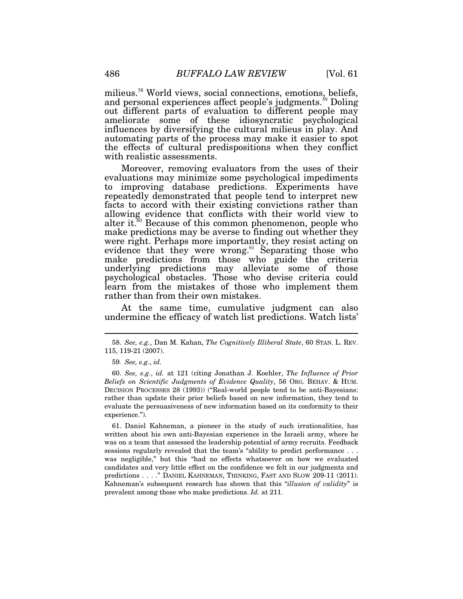milieus.<sup>58</sup> World views, social connections, emotions, beliefs, and personal experiences affect people's judgments.<sup>59</sup> Doling out different parts of evaluation to different people may ameliorate some of these idiosyncratic psychological influences by diversifying the cultural milieus in play. And automating parts of the process may make it easier to spot the effects of cultural predispositions when they conflict with realistic assessments.

Moreover, removing evaluators from the uses of their evaluations may minimize some psychological impediments to improving database predictions. Experiments have repeatedly demonstrated that people tend to interpret new facts to accord with their existing convictions rather than allowing evidence that conflicts with their world view to alter it.<sup>60</sup> Because of this common phenomenon, people who make predictions may be averse to finding out whether they were right. Perhaps more importantly, they resist acting on evidence that they were wrong.<sup>61</sup> Separating those who make predictions from those who guide the criteria underlying predictions may alleviate some of those psychological obstacles. Those who devise criteria could learn from the mistakes of those who implement them rather than from their own mistakes.

At the same time, cumulative judgment can also undermine the efficacy of watch list predictions. Watch lists'

 <sup>58.</sup> *See, e.g.*, Dan M. Kahan, *The Cognitively Illiberal State*, 60 STAN. L. REV. 115, 119-21 (2007).

<sup>59</sup>*. See, e.g.*, *id.*

 <sup>60.</sup> *See, e.g.*, *id.* at 121 (citing Jonathan J. Koehler, *The Influence of Prior Beliefs on Scientific Judgments of Evidence Quality*, 56 ORG. BEHAV. & HUM. DECISION PROCESSES 28 (1993)) ("Real-world people tend to be anti-Bayesians: rather than update their prior beliefs based on new information, they tend to evaluate the persuasiveness of new information based on its conformity to their experience.").

 <sup>61.</sup> Daniel Kahneman, a pioneer in the study of such irrationalities, has written about his own anti-Bayesian experience in the Israeli army, where he was on a team that assessed the leadership potential of army recruits. Feedback sessions regularly revealed that the team's "ability to predict performance . . . was negligible," but this "had no effects whatsoever on how we evaluated candidates and very little effect on the confidence we felt in our judgments and predictions . . . ." DANIEL KAHNEMAN, THINKING, FAST AND SLOW 209-11 (2011). Kahneman's subsequent research has shown that this "*illusion of validity*" is prevalent among those who make predictions. *Id.* at 211.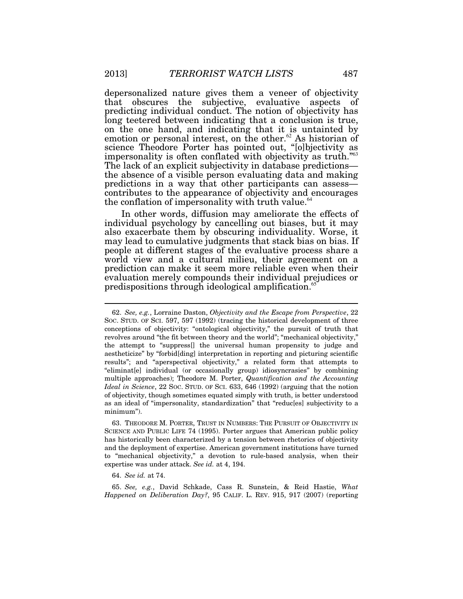depersonalized nature gives them a veneer of objectivity that obscures the subjective, evaluative aspects of predicting individual conduct. The notion of objectivity has long teetered between indicating that a conclusion is true, on the one hand, and indicating that it is untainted by emotion or personal interest, on the other.<sup>62</sup> As historian of science Theodore Porter has pointed out, "[o]bjectivity as impersonality is often conflated with objectivity as truth."<sup>63</sup> The lack of an explicit subjectivity in database predictions the absence of a visible person evaluating data and making predictions in a way that other participants can assess contributes to the appearance of objectivity and encourages the conflation of impersonality with truth value. $64$ 

In other words, diffusion may ameliorate the effects of individual psychology by cancelling out biases, but it may also exacerbate them by obscuring individuality. Worse, it may lead to cumulative judgments that stack bias on bias. If people at different stages of the evaluative process share a world view and a cultural milieu, their agreement on a prediction can make it seem more reliable even when their evaluation merely compounds their individual prejudices or predispositions through ideological amplification.<sup>65</sup>

 63. THEODORE M. PORTER, TRUST IN NUMBERS: THE PURSUIT OF OBJECTIVITY IN SCIENCE AND PUBLIC LIFE 74 (1995). Porter argues that American public policy has historically been characterized by a tension between rhetorics of objectivity and the deployment of expertise. American government institutions have turned to "mechanical objectivity," a devotion to rule-based analysis, when their expertise was under attack. *See id.* at 4, 194.

64. *See id.* at 74.

 65. *See, e.g.*, David Schkade, Cass R. Sunstein, & Reid Hastie, *What Happened on Deliberation Day?*, 95 CALIF. L. REV. 915, 917 (2007) (reporting

 <sup>62.</sup> *See, e.g.*, Lorraine Daston, *Objectivity and the Escape from Perspective*, 22 SOC. STUD. OF SCI. 597, 597 (1992) (tracing the historical development of three conceptions of objectivity: "ontological objectivity," the pursuit of truth that revolves around "the fit between theory and the world"; "mechanical objectivity," the attempt to "suppress[] the universal human propensity to judge and aestheticize" by "forbid[ding] interpretation in reporting and picturing scientific results"; and "aperspectival objectivity," a related form that attempts to "eliminat[e] individual (or occasionally group) idiosyncrasies" by combining multiple approaches); Theodore M. Porter, *Quantification and the Accounting Ideal in Science*, 22 SOC. STUD. OF SCI. 633, 646 (1992) (arguing that the notion of objectivity, though sometimes equated simply with truth, is better understood as an ideal of "impersonality, standardization" that "reduc[es] subjectivity to a minimum").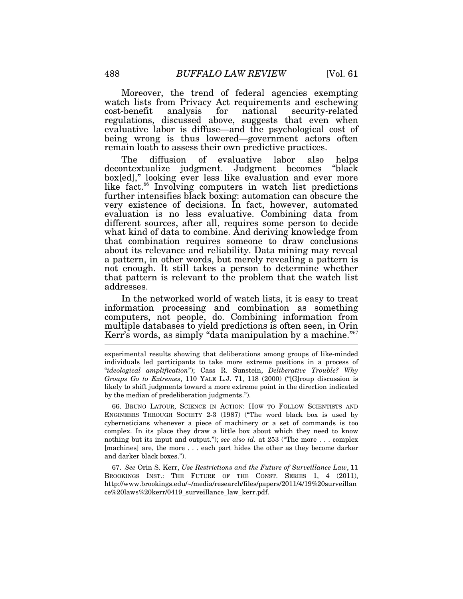Moreover, the trend of federal agencies exempting watch lists from Privacy Act requirements and eschewing cost-benefit analysis for national security-related regulations, discussed above, suggests that even when evaluative labor is diffuse—and the psychological cost of being wrong is thus lowered—government actors often remain loath to assess their own predictive practices.

The diffusion of evaluative labor also helps decontextualize judgment. Judgment becomes "black box[ed]," looking ever less like evaluation and ever more like fact.<sup>66</sup> Involving computers in watch list predictions further intensifies black boxing: automation can obscure the very existence of decisions. In fact, however, automated evaluation is no less evaluative. Combining data from different sources, after all, requires some person to decide what kind of data to combine. And deriving knowledge from that combination requires someone to draw conclusions about its relevance and reliability. Data mining may reveal a pattern, in other words, but merely revealing a pattern is not enough. It still takes a person to determine whether that pattern is relevant to the problem that the watch list addresses.

In the networked world of watch lists, it is easy to treat information processing and combination as something computers, not people, do. Combining information from multiple databases to yield predictions is often seen, in Orin Kerr's words, as simply "data manipulation by a machine."<sup>67</sup>

experimental results showing that deliberations among groups of like-minded individuals led participants to take more extreme positions in a process of "*ideological amplification*"); Cass R. Sunstein, *Deliberative Trouble? Why Groups Go to Extremes*, 110 YALE L.J. 71, 118 (2000) ("[G]roup discussion is likely to shift judgments toward a more extreme point in the direction indicated by the median of predeliberation judgments.").

 66. BRUNO LATOUR, SCIENCE IN ACTION: HOW TO FOLLOW SCIENTISTS AND ENGINEERS THROUGH SOCIETY 2-3 (1987) ("The word black box is used by cyberneticians whenever a piece of machinery or a set of commands is too complex. In its place they draw a little box about which they need to know nothing but its input and output."); *see also id.* at 253 ("The more . . . complex [machines] are, the more . . . each part hides the other as they become darker and darker black boxes.").

 67. *See* Orin S. Kerr, *Use Restrictions and the Future of Surveillance Law*, 11 BROOKINGS INST.: THE FUTURE OF THE CONST. SERIES 1, 4 (2011), http://www.brookings.edu/~/media/research/files/papers/2011/4/19%20surveillan ce%20laws%20kerr/0419\_surveillance\_law\_kerr.pdf.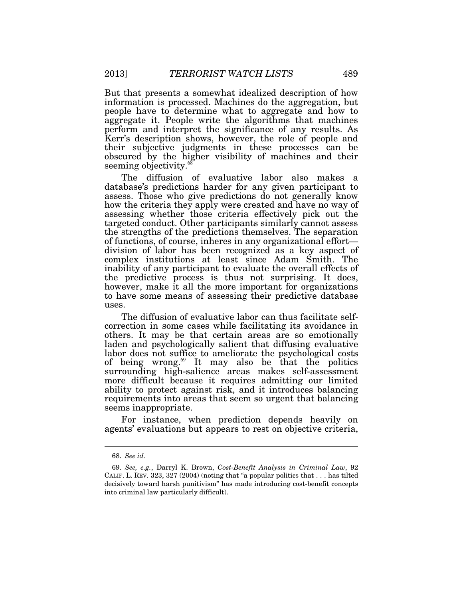But that presents a somewhat idealized description of how information is processed. Machines do the aggregation, but people have to determine what to aggregate and how to aggregate it. People write the algorithms that machines perform and interpret the significance of any results. As Kerr's description shows, however, the role of people and their subjective judgments in these processes can be obscured by the higher visibility of machines and their seeming objectivity.<sup>68</sup>

The diffusion of evaluative labor also makes a database's predictions harder for any given participant to assess. Those who give predictions do not generally know how the criteria they apply were created and have no way of assessing whether those criteria effectively pick out the targeted conduct. Other participants similarly cannot assess the strengths of the predictions themselves. The separation of functions, of course, inheres in any organizational effort division of labor has been recognized as a key aspect of complex institutions at least since Adam Smith. The inability of any participant to evaluate the overall effects of the predictive process is thus not surprising. It does, however, make it all the more important for organizations to have some means of assessing their predictive database uses.

The diffusion of evaluative labor can thus facilitate selfcorrection in some cases while facilitating its avoidance in others. It may be that certain areas are so emotionally laden and psychologically salient that diffusing evaluative labor does not suffice to ameliorate the psychological costs of being wrong.<sup>69</sup> It may also be that the politics surrounding high-salience areas makes self-assessment more difficult because it requires admitting our limited ability to protect against risk, and it introduces balancing requirements into areas that seem so urgent that balancing seems inappropriate.

For instance, when prediction depends heavily on agents' evaluations but appears to rest on objective criteria,

 <sup>68.</sup> *See id.*

 <sup>69.</sup> *See, e.g.*, Darryl K. Brown, *Cost-Benefit Analysis in Criminal Law*, 92 CALIF. L. REV. 323, 327 (2004) (noting that "a popular politics that . . . has tilted decisively toward harsh punitivism" has made introducing cost-benefit concepts into criminal law particularly difficult).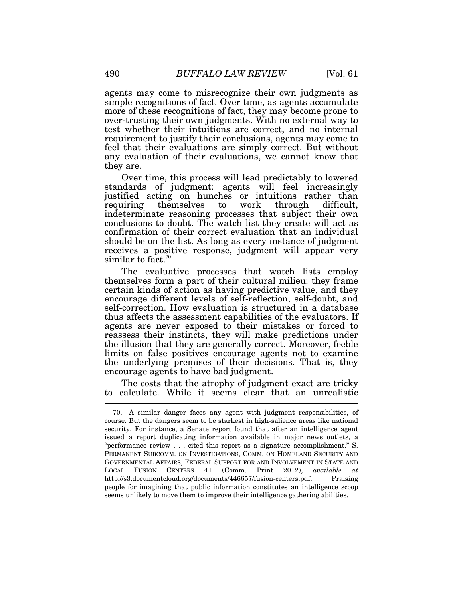agents may come to misrecognize their own judgments as simple recognitions of fact. Over time, as agents accumulate more of these recognitions of fact, they may become prone to over-trusting their own judgments. With no external way to test whether their intuitions are correct, and no internal requirement to justify their conclusions, agents may come to feel that their evaluations are simply correct. But without any evaluation of their evaluations, we cannot know that they are.

Over time, this process will lead predictably to lowered standards of judgment: agents will feel increasingly justified acting on hunches or intuitions rather than requiring themselves to work through difficult, indeterminate reasoning processes that subject their own conclusions to doubt. The watch list they create will act as confirmation of their correct evaluation that an individual should be on the list. As long as every instance of judgment receives a positive response, judgment will appear very similar to fact.<sup>70</sup>

The evaluative processes that watch lists employ themselves form a part of their cultural milieu: they frame certain kinds of action as having predictive value, and they encourage different levels of self-reflection, self-doubt, and self-correction. How evaluation is structured in a database thus affects the assessment capabilities of the evaluators. If agents are never exposed to their mistakes or forced to reassess their instincts, they will make predictions under the illusion that they are generally correct. Moreover, feeble limits on false positives encourage agents not to examine the underlying premises of their decisions. That is, they encourage agents to have bad judgment.

The costs that the atrophy of judgment exact are tricky to calculate. While it seems clear that an unrealistic

<sup>70.</sup> A similar danger faces any agent with judgment responsibilities, of course. But the dangers seem to be starkest in high-salience areas like national security. For instance, a Senate report found that after an intelligence agent issued a report duplicating information available in major news outlets, a "performance review . . . cited this report as a signature accomplishment." S. PERMANENT SUBCOMM. ON INVESTIGATIONS, COMM. ON HOMELAND SECURITY AND GOVERNMENTAL AFFAIRS, FEDERAL SUPPORT FOR AND INVOLVEMENT IN STATE AND LOCAL FUSION CENTERS 41 (Comm. Print 2012), *available at* http://s3.documentcloud.org/documents/446657/fusion-centers.pdf. Praising people for imagining that public information constitutes an intelligence scoop seems unlikely to move them to improve their intelligence gathering abilities.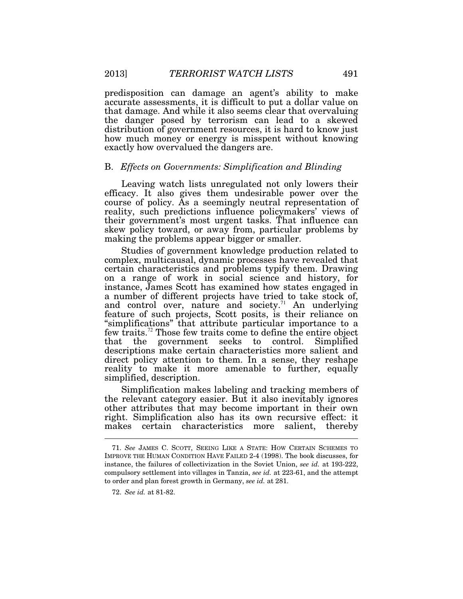predisposition can damage an agent's ability to make accurate assessments, it is difficult to put a dollar value on that damage. And while it also seems clear that overvaluing the danger posed by terrorism can lead to a skewed distribution of government resources, it is hard to know just how much money or energy is misspent without knowing exactly how overvalued the dangers are.

## B. *Effects on Governments: Simplification and Blinding*

Leaving watch lists unregulated not only lowers their efficacy. It also gives them undesirable power over the course of policy. As a seemingly neutral representation of reality, such predictions influence policymakers' views of their government's most urgent tasks. That influence can skew policy toward, or away from, particular problems by making the problems appear bigger or smaller.

Studies of government knowledge production related to complex, multicausal, dynamic processes have revealed that certain characteristics and problems typify them. Drawing on a range of work in social science and history, for instance, James Scott has examined how states engaged in a number of different projects have tried to take stock of, and control over, nature and society.<sup>71</sup> An underlying feature of such projects, Scott posits, is their reliance on "simplifications" that attribute particular importance to a few traits.<sup>72</sup> Those few traits come to define the entire object that the government seeks to control. Simplified descriptions make certain characteristics more salient and direct policy attention to them. In a sense, they reshape reality to make it more amenable to further, equally simplified, description.

Simplification makes labeling and tracking members of the relevant category easier. But it also inevitably ignores other attributes that may become important in their own right. Simplification also has its own recursive effect: it makes certain characteristics more salient, thereby  $\ddot{\phantom{a}}$ 

 <sup>71.</sup> *See* JAMES C. SCOTT, SEEING LIKE A STATE: HOW CERTAIN SCHEMES TO IMPROVE THE HUMAN CONDITION HAVE FAILED 2-4 (1998). The book discusses, for instance, the failures of collectivization in the Soviet Union, *see id.* at 193-222, compulsory settlement into villages in Tanzia, *see id.* at 223-61, and the attempt to order and plan forest growth in Germany, *see id.* at 281.

 <sup>72.</sup> *See id.* at 81-82.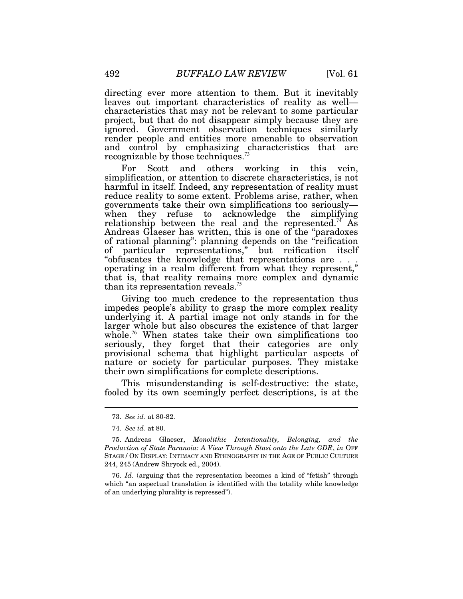directing ever more attention to them. But it inevitably leaves out important characteristics of reality as well characteristics that may not be relevant to some particular project, but that do not disappear simply because they are ignored. Government observation techniques similarly render people and entities more amenable to observation and control by emphasizing characteristics that are recognizable by those techniques.<sup>73</sup>

For Scott and others working in this vein, simplification, or attention to discrete characteristics, is not harmful in itself. Indeed, any representation of reality must reduce reality to some extent. Problems arise, rather, when governments take their own simplifications too seriously when they refuse to acknowledge the simplifying relationship between the real and the represented.<sup>74</sup> As Andreas Glaeser has written, this is one of the "paradoxes of rational planning": planning depends on the "reification of particular representations," but reification itself "obfuscates the knowledge that representations are . . . operating in a realm different from what they represent," that is, that reality remains more complex and dynamic than its representation reveals.<sup>75</sup>

Giving too much credence to the representation thus impedes people's ability to grasp the more complex reality underlying it. A partial image not only stands in for the larger whole but also obscures the existence of that larger whole.<sup>76</sup> When states take their own simplifications too seriously, they forget that their categories are only provisional schema that highlight particular aspects of nature or society for particular purposes. They mistake their own simplifications for complete descriptions.

This misunderstanding is self-destructive: the state, fooled by its own seemingly perfect descriptions, is at the

 $\ddot{\phantom{a}}$ 

 76. *Id.* (arguing that the representation becomes a kind of "fetish" through which "an aspectual translation is identified with the totality while knowledge of an underlying plurality is repressed").

 <sup>73.</sup> *See id.* at 80-82.

 <sup>74.</sup> *See id.* at 80.

 <sup>75.</sup> Andreas Glaeser, *Monolithic Intentionality, Belonging, and the Production of State Paranoia: A View Through Stasi onto the Late GDR*, *in* OFF STAGE / ON DISPLAY: INTIMACY AND ETHNOGRAPHY IN THE AGE OF PUBLIC CULTURE 244, 245 (Andrew Shryock ed., 2004).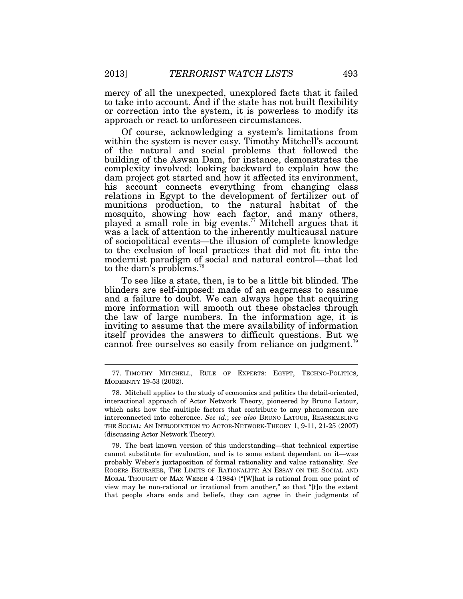mercy of all the unexpected, unexplored facts that it failed to take into account. And if the state has not built flexibility or correction into the system, it is powerless to modify its approach or react to unforeseen circumstances.

Of course, acknowledging a system's limitations from within the system is never easy. Timothy Mitchell's account of the natural and social problems that followed the building of the Aswan Dam, for instance, demonstrates the complexity involved: looking backward to explain how the dam project got started and how it affected its environment, his account connects everything from changing class relations in Egypt to the development of fertilizer out of munitions production, to the natural habitat of the mosquito, showing how each factor, and many others, played a small role in big events.<sup>77</sup> Mitchell argues that it was a lack of attention to the inherently multicausal nature of sociopolitical events—the illusion of complete knowledge to the exclusion of local practices that did not fit into the modernist paradigm of social and natural control—that led to the dam's problems.<sup>78</sup>

To see like a state, then, is to be a little bit blinded. The blinders are self-imposed: made of an eagerness to assume and a failure to doubt. We can always hope that acquiring more information will smooth out these obstacles through the law of large numbers. In the information age, it is inviting to assume that the mere availability of information itself provides the answers to difficult questions. But we cannot free ourselves so easily from reliance on judgment.<sup>79</sup>

 79. The best known version of this understanding—that technical expertise cannot substitute for evaluation, and is to some extent dependent on it—was probably Weber's juxtaposition of formal rationality and value rationality. *See*  ROGERS BRUBAKER, THE LIMITS OF RATIONALITY: AN ESSAY ON THE SOCIAL AND MORAL THOUGHT OF MAX WEBER 4 (1984) ("[W]hat is rational from one point of view may be non-rational or irrational from another," so that "[t]o the extent that people share ends and beliefs, they can agree in their judgments of

 <sup>77.</sup> TIMOTHY MITCHELL, RULE OF EXPERTS: EGYPT, TECHNO-POLITICS, MODERNITY 19-53 (2002).

 <sup>78.</sup> Mitchell applies to the study of economics and politics the detail-oriented, interactional approach of Actor Network Theory, pioneered by Bruno Latour, which asks how the multiple factors that contribute to any phenomenon are interconnected into coherence. *See id.*; *see also* BRUNO LATOUR, REASSEMBLING THE SOCIAL: AN INTRODUCTION TO ACTOR-NETWORK-THEORY 1, 9-11, 21-25 (2007) (discussing Actor Network Theory).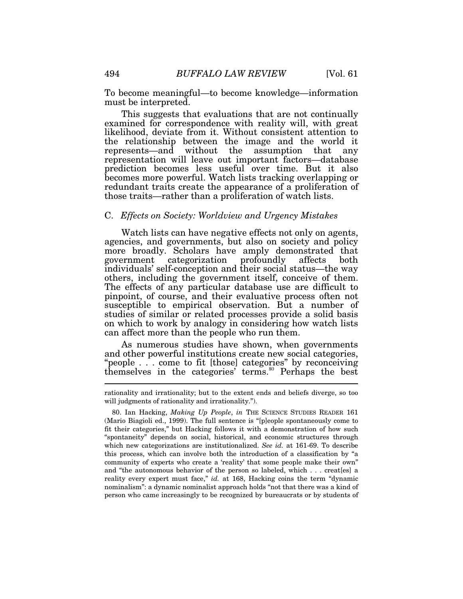To become meaningful—to become knowledge—information must be interpreted.

This suggests that evaluations that are not continually examined for correspondence with reality will, with great likelihood, deviate from it. Without consistent attention to the relationship between the image and the world it represents—and without the assumption that any representation will leave out important factors—database prediction becomes less useful over time. But it also becomes more powerful. Watch lists tracking overlapping or redundant traits create the appearance of a proliferation of those traits—rather than a proliferation of watch lists.

#### C. *Effects on Society: Worldview and Urgency Mistakes*

Watch lists can have negative effects not only on agents, agencies, and governments, but also on society and policy more broadly. Scholars have amply demonstrated that government categorization profoundly affects both government categorization profoundly affects both individuals' self-conception and their social status—the way others, including the government itself, conceive of them. The effects of any particular database use are difficult to pinpoint, of course, and their evaluative process often not susceptible to empirical observation. But a number of studies of similar or related processes provide a solid basis on which to work by analogy in considering how watch lists can affect more than the people who run them.

As numerous studies have shown, when governments and other powerful institutions create new social categories, "people . . . come to fit [those] categories" by reconceiving themselves in the categories' terms.<sup>80</sup> Perhaps the best

rationality and irrationality; but to the extent ends and beliefs diverge, so too will judgments of rationality and irrationality.").

 <sup>80.</sup> Ian Hacking, *Making Up People*, *in* THE SCIENCE STUDIES READER 161 (Mario Biagioli ed., 1999). The full sentence is "[p]eople spontaneously come to fit their categories," but Hacking follows it with a demonstration of how such "spontaneity" depends on social, historical, and economic structures through which new categorizations are institutionalized. *See id.* at 161-69. To describe this process, which can involve both the introduction of a classification by "a community of experts who create a 'reality' that some people make their own" and "the autonomous behavior of the person so labeled, which . . . creat[es] a reality every expert must face," *id.* at 168, Hacking coins the term "dynamic nominalism": a dynamic nominalist approach holds "not that there was a kind of person who came increasingly to be recognized by bureaucrats or by students of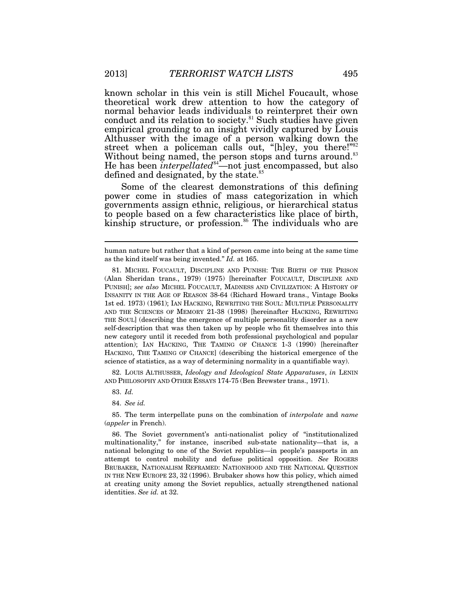known scholar in this vein is still Michel Foucault, whose theoretical work drew attention to how the category of normal behavior leads individuals to reinterpret their own conduct and its relation to society. $81$  Such studies have given empirical grounding to an insight vividly captured by Louis Althusser with the image of a person walking down the street when a policeman calls out, "[h]ey, you there!"<sup>82</sup> Without being named, the person stops and turns around.<sup>83</sup> He has been *interpellated*<sup>84</sup>—not just encompassed, but also defined and designated, by the state.<sup>85</sup>

Some of the clearest demonstrations of this defining power come in studies of mass categorization in which governments assign ethnic, religious, or hierarchical status to people based on a few characteristics like place of birth, kinship structure, or profession.<sup>86</sup> The individuals who are

 82. LOUIS ALTHUSSER, *Ideology and Ideological State Apparatuses*, *in* LENIN AND PHILOSOPHY AND OTHER ESSAYS 174-75 (Ben Brewster trans., 1971).

83. *Id.*

84. *See id.*

 85. The term interpellate puns on the combination of *interpolate* and *name* (*appeler* in French).

 86. The Soviet government's anti-nationalist policy of "institutionalized multinationality," for instance, inscribed sub-state nationality—that is, a national belonging to one of the Soviet republics—in people's passports in an attempt to control mobility and defuse political opposition. *See* ROGERS BRUBAKER, NATIONALISM REFRAMED: NATIONHOOD AND THE NATIONAL QUESTION IN THE NEW EUROPE 23, 32 (1996). Brubaker shows how this policy, which aimed at creating unity among the Soviet republics, actually strengthened national identities. *See id.* at 32.

human nature but rather that a kind of person came into being at the same time as the kind itself was being invented." *Id.* at 165.

 <sup>81.</sup> MICHEL FOUCAULT, DISCIPLINE AND PUNISH: THE BIRTH OF THE PRISON (Alan Sheridan trans., 1979) (1975) [hereinafter FOUCAULT, DISCIPLINE AND PUNISH]; *see also* MICHEL FOUCAULT, MADNESS AND CIVILIZATION: A HISTORY OF INSANITY IN THE AGE OF REASON 38-64 (Richard Howard trans., Vintage Books 1st ed. 1973) (1961); IAN HACKING, REWRITING THE SOUL: MULTIPLE PERSONALITY AND THE SCIENCES OF MEMORY 21-38 (1998) [hereinafter HACKING, REWRITING THE SOUL] (describing the emergence of multiple personality disorder as a new self-description that was then taken up by people who fit themselves into this new category until it receded from both professional psychological and popular attention); IAN HACKING, THE TAMING OF CHANCE 1-3 (1990) [hereinafter HACKING, THE TAMING OF CHANCE] (describing the historical emergence of the science of statistics, as a way of determining normality in a quantifiable way).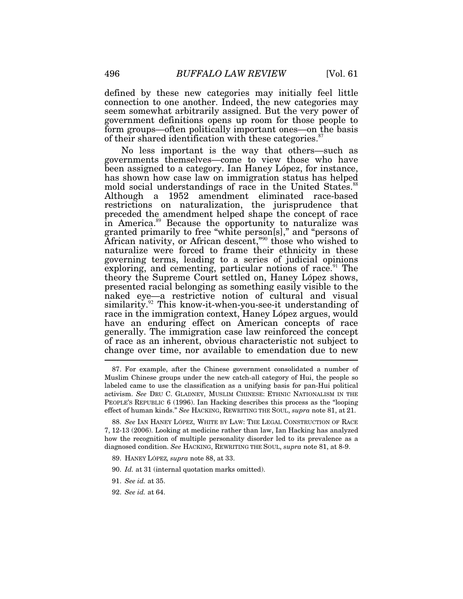defined by these new categories may initially feel little connection to one another. Indeed, the new categories may seem somewhat arbitrarily assigned. But the very power of government definitions opens up room for those people to form groups—often politically important ones—on the basis of their shared identification with these categories. $87$ 

No less important is the way that others—such as governments themselves—come to view those who have been assigned to a category. Ian Haney López, for instance, has shown how case law on immigration status has helped mold social understandings of race in the United States.<sup>88</sup> Although a 1952 amendment eliminated race-based restrictions on naturalization, the jurisprudence that preceded the amendment helped shape the concept of race in America.<sup>89</sup> Because the opportunity to naturalize was granted primarily to free "white person[s]," and "persons of African nativity, or African descent,"<sup>90</sup> those who wished to naturalize were forced to frame their ethnicity in these governing terms, leading to a series of judicial opinions exploring, and cementing, particular notions of race.<sup>91</sup> The theory the Supreme Court settled on, Haney López shows, presented racial belonging as something easily visible to the naked eye—a restrictive notion of cultural and visual similarity.<sup>92</sup> This know-it-when-you-see-it understanding of race in the immigration context, Haney López argues, would have an enduring effect on American concepts of race generally. The immigration case law reinforced the concept of race as an inherent, obvious characteristic not subject to change over time, nor available to emendation due to new

- 91. *See id.* at 35.
- 92. *See id.* at 64.

 <sup>87.</sup> For example, after the Chinese government consolidated a number of Muslim Chinese groups under the new catch-all category of Hui, the people so labeled came to use the classification as a unifying basis for pan-Hui political activism. *See* DRU C. GLADNEY, MUSLIM CHINESE: ETHNIC NATIONALISM IN THE PEOPLE'S REPUBLIC 6 (1996). Ian Hacking describes this process as the "looping effect of human kinds." *See* HACKING, REWRITING THE SOUL, *supra* note 81, at 21.

 <sup>88.</sup> *See* IAN HANEY LÓPEZ, WHITE BY LAW: THE LEGAL CONSTRUCTION OF RACE 7, 12-13 (2006). Looking at medicine rather than law, Ian Hacking has analyzed how the recognition of multiple personality disorder led to its prevalence as a diagnosed condition. *See* HACKING, REWRITING THE SOUL, *supra* note 81, at 8-9.

 <sup>89.</sup> HANEY LÓPEZ*, supra* note 88, at 33.

 <sup>90.</sup> *Id.* at 31 (internal quotation marks omitted).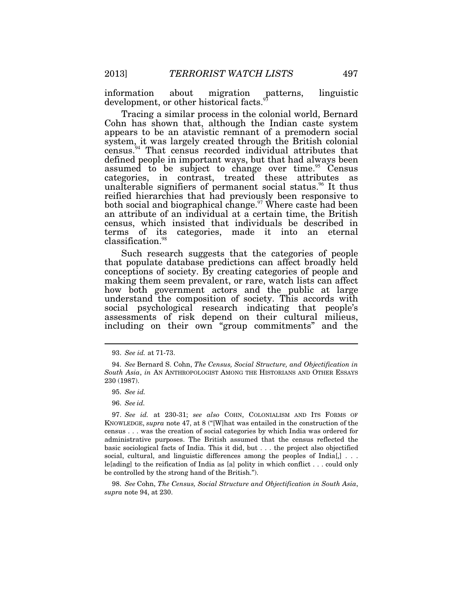information about migration patterns, linguistic development, or other historical facts.<sup>5</sup>

Tracing a similar process in the colonial world, Bernard Cohn has shown that, although the Indian caste system appears to be an atavistic remnant of a premodern social system, it was largely created through the British colonial census.<sup>94</sup> That census recorded individual attributes that defined people in important ways, but that had always been assumed to be subject to change over time.<sup>95</sup> Census categories, in contrast, treated these attributes as unalterable signifiers of permanent social status.<sup>96</sup> It thus reified hierarchies that had previously been responsive to both social and biographical change.<sup>97</sup> Where caste had been an attribute of an individual at a certain time, the British census, which insisted that individuals be described in terms of its categories, made it into an eternal classification.<sup>98</sup>

Such research suggests that the categories of people that populate database predictions can affect broadly held conceptions of society. By creating categories of people and making them seem prevalent, or rare, watch lists can affect how both government actors and the public at large understand the composition of society. This accords with social psychological research indicating that people's assessments of risk depend on their cultural milieus, including on their own "group commitments" and the

 $\overline{a}$ 

 98. *See* Cohn, *The Census, Social Structure and Objectification in South Asia*, *supra* note 94, at 230.

 <sup>93.</sup> *See id.* at 71-73.

 <sup>94.</sup> *See* Bernard S. Cohn, *The Census, Social Structure, and Objectification in South Asia*, *in* AN ANTHROPOLOGIST AMONG THE HISTORIANS AND OTHER ESSAYS 230 (1987).

 <sup>95.</sup> *See id.*

 <sup>96.</sup> *See id.*

 <sup>97.</sup> *See id.* at 230-31; *see also* COHN, COLONIALISM AND ITS FORMS OF KNOWLEDGE, *supra* note 47, at 8 ("[W]hat was entailed in the construction of the census . . . was the creation of social categories by which India was ordered for administrative purposes. The British assumed that the census reflected the basic sociological facts of India. This it did, but . . . the project also objectified social, cultural, and linguistic differences among the peoples of India[,] . . . le[ading] to the reification of India as [a] polity in which conflict . . . could only be controlled by the strong hand of the British.").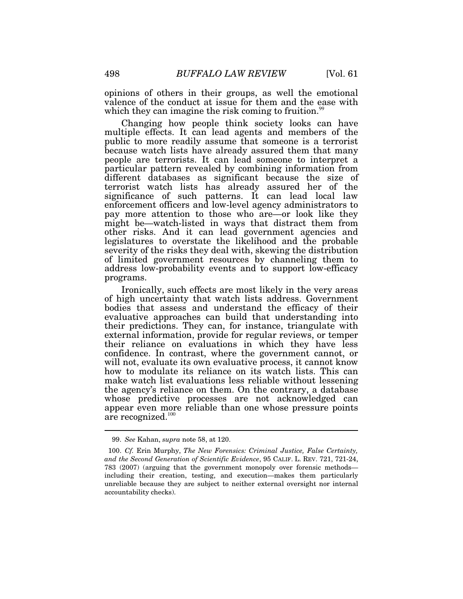opinions of others in their groups, as well the emotional valence of the conduct at issue for them and the ease with which they can imagine the risk coming to fruition.<sup>99</sup>

Changing how people think society looks can have multiple effects. It can lead agents and members of the public to more readily assume that someone is a terrorist because watch lists have already assured them that many people are terrorists. It can lead someone to interpret a particular pattern revealed by combining information from different databases as significant because the size of terrorist watch lists has already assured her of the significance of such patterns. It can lead local law enforcement officers and low-level agency administrators to pay more attention to those who are—or look like they might be—watch-listed in ways that distract them from other risks. And it can lead government agencies and legislatures to overstate the likelihood and the probable severity of the risks they deal with, skewing the distribution of limited government resources by channeling them to address low-probability events and to support low-efficacy programs.

Ironically, such effects are most likely in the very areas of high uncertainty that watch lists address. Government bodies that assess and understand the efficacy of their evaluative approaches can build that understanding into their predictions. They can, for instance, triangulate with external information, provide for regular reviews, or temper their reliance on evaluations in which they have less confidence. In contrast, where the government cannot, or will not, evaluate its own evaluative process, it cannot know how to modulate its reliance on its watch lists. This can make watch list evaluations less reliable without lessening the agency's reliance on them. On the contrary, a database whose predictive processes are not acknowledged can appear even more reliable than one whose pressure points are recognized.<sup>100</sup>

 <sup>99.</sup> *See* Kahan, *supra* note 58, at 120.

 <sup>100.</sup> *Cf.* Erin Murphy, *The New Forensics: Criminal Justice, False Certainty, and the Second Generation of Scientific Evidence*, 95 CALIF. L. REV. 721, 721-24, 783 (2007) (arguing that the government monopoly over forensic methods including their creation, testing, and execution—makes them particularly unreliable because they are subject to neither external oversight nor internal accountability checks).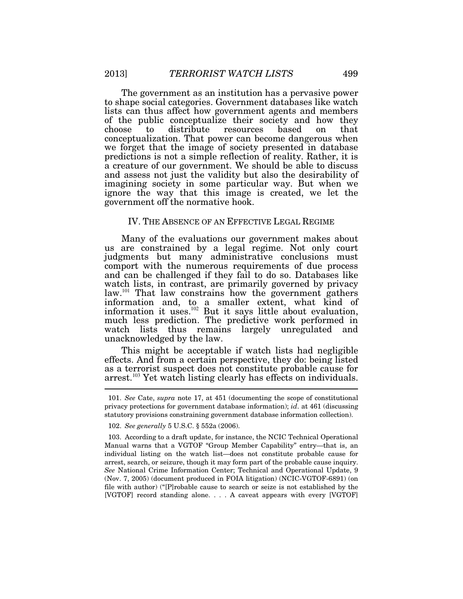The government as an institution has a pervasive power to shape social categories. Government databases like watch lists can thus affect how government agents and members of the public conceptualize their society and how they choose to distribute resources based on that conceptualization. That power can become dangerous when we forget that the image of society presented in database predictions is not a simple reflection of reality. Rather, it is a creature of our government. We should be able to discuss and assess not just the validity but also the desirability of imagining society in some particular way. But when we ignore the way that this image is created, we let the government off the normative hook.

#### IV. THE ABSENCE OF AN EFFECTIVE LEGAL REGIME

Many of the evaluations our government makes about us are constrained by a legal regime. Not only court judgments but many administrative conclusions must comport with the numerous requirements of due process and can be challenged if they fail to do so. Databases like watch lists, in contrast, are primarily governed by privacy law.<sup>101</sup> That law constrains how the government gathers information and, to a smaller extent, what kind of information it uses.<sup>102</sup> But it says little about evaluation, much less prediction. The predictive work performed in watch lists thus remains largely unregulated and unacknowledged by the law.

This might be acceptable if watch lists had negligible effects. And from a certain perspective, they do: being listed as a terrorist suspect does not constitute probable cause for arrest.<sup>103</sup> Yet watch listing clearly has effects on individuals.

 <sup>101.</sup> *See* Cate, *supra* note 17, at 451 (documenting the scope of constitutional privacy protections for government database information); *id*. at 461 (discussing statutory provisions constraining government database information collection).

 <sup>102.</sup> *See generally* 5 U.S.C. § 552a (2006).

 <sup>103.</sup> According to a draft update, for instance, the NCIC Technical Operational Manual warns that a VGTOF "Group Member Capability" entry—that is, an individual listing on the watch list—does not constitute probable cause for arrest, search, or seizure, though it may form part of the probable cause inquiry. *See* National Crime Information Center; Technical and Operational Update, 9 (Nov. 7, 2005) (document produced in FOIA litigation) (NCIC-VGTOF-6891) (on file with author) ("[P]robable cause to search or seize is not established by the [VGTOF] record standing alone. . . . A caveat appears with every [VGTOF]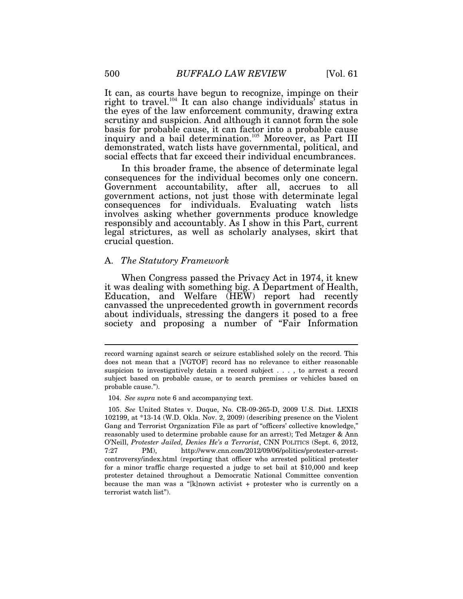It can, as courts have begun to recognize, impinge on their right to travel.<sup>104</sup> It can also change individuals' status in the eyes of the law enforcement community, drawing extra scrutiny and suspicion. And although it cannot form the sole basis for probable cause, it can factor into a probable cause inquiry and a bail determination.<sup>105</sup> Moreover, as Part III demonstrated, watch lists have governmental, political, and social effects that far exceed their individual encumbrances.

In this broader frame, the absence of determinate legal consequences for the individual becomes only one concern. Government accountability, after all, accrues to all government actions, not just those with determinate legal consequences for individuals. Evaluating watch lists involves asking whether governments produce knowledge responsibly and accountably. As I show in this Part, current legal strictures, as well as scholarly analyses, skirt that crucial question.

# A. *The Statutory Framework*

When Congress passed the Privacy Act in 1974, it knew it was dealing with something big. A Department of Health, Education, and Welfare (HEW) report had recently canvassed the unprecedented growth in government records about individuals, stressing the dangers it posed to a free society and proposing a number of "Fair Information"

104. *See supra* note 6 and accompanying text.

record warning against search or seizure established solely on the record. This does not mean that a [VGTOF] record has no relevance to either reasonable suspicion to investigatively detain a record subject . . . , to arrest a record subject based on probable cause, or to search premises or vehicles based on probable cause.").

 <sup>105.</sup> *See* United States v. Duque, No. CR-09-265-D, 2009 U.S. Dist. LEXIS 102199, at \*13-14 (W.D. Okla. Nov. 2, 2009) (describing presence on the Violent Gang and Terrorist Organization File as part of "officers' collective knowledge," reasonably used to determine probable cause for an arrest); Ted Metzger & Ann O'Neill, *Protester Jailed, Denies He's a Terrorist*, CNN POLITICS (Sept. 6, 2012, 7:27 PM), http://www.cnn.com/2012/09/06/politics/protester-arrestcontroversy/index.html (reporting that officer who arrested political protester for a minor traffic charge requested a judge to set bail at \$10,000 and keep protester detained throughout a Democratic National Committee convention because the man was a "[k]nown activist + protester who is currently on a terrorist watch list").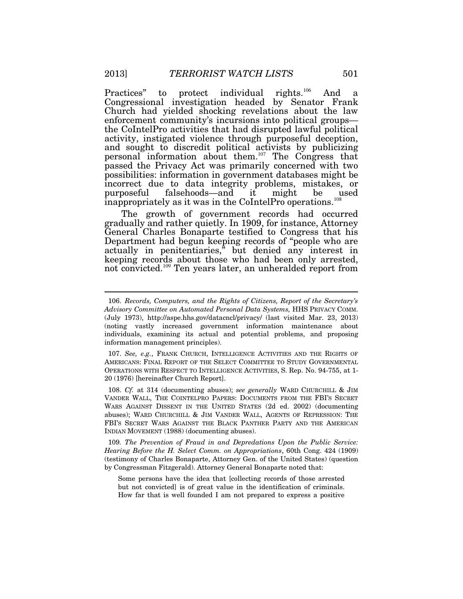Practices" to protect individual rights.<sup>106</sup> And a Congressional investigation headed by Senator Frank Church had yielded shocking revelations about the law enforcement community's incursions into political groups the CoIntelPro activities that had disrupted lawful political activity, instigated violence through purposeful deception, and sought to discredit political activists by publicizing personal information about them.<sup>107</sup> The Congress that passed the Privacy Act was primarily concerned with two possibilities: information in government databases might be incorrect due to data integrity problems, mistakes, or<br>purposeful falsehoods—and it might be used  $purposeful$  falsehoods—and it might be inappropriately as it was in the CoIntelPro operations.<sup>108</sup>

The growth of government records had occurred gradually and rather quietly. In 1909, for instance, Attorney General Charles Bonaparte testified to Congress that his Department had begun keeping records of "people who are actually in penitentiaries," but denied any interest in keeping records about those who had been only arrested, not convicted.<sup>109</sup> Ten years later, an unheralded report from

 <sup>106.</sup> *Records, Computers, and the Rights of Citizens, Report of the Secretary's Advisory Committee on Automated Personal Data Systems,* HHS PRIVACY COMM. (July 1973), http://aspe.hhs.gov/datacncl/privacy/ (last visited Mar. 23, 2013) (noting vastly increased government information maintenance about individuals, examining its actual and potential problems, and proposing information management principles).

 <sup>107.</sup> *See, e.g.*, FRANK CHURCH, INTELLIGENCE ACTIVITIES AND THE RIGHTS OF AMERICANS: FINAL REPORT OF THE SELECT COMMITTEE TO STUDY GOVERNMENTAL OPERATIONS WITH RESPECT TO INTELLIGENCE ACTIVITIES, S. Rep. No. 94-755, at 1- 20 (1976) [hereinafter Church Report].

 <sup>108.</sup> *Cf.* at 314 (documenting abuses); *see generally* WARD CHURCHILL & JIM VANDER WALL, THE COINTELPRO PAPERS: DOCUMENTS FROM THE FBI'S SECRET WARS AGAINST DISSENT IN THE UNITED STATES (2d ed. 2002) (documenting abuses); WARD CHURCHILL & JIM VANDER WALL, AGENTS OF REPRESSION: THE FBI'S SECRET WARS AGAINST THE BLACK PANTHER PARTY AND THE AMERICAN INDIAN MOVEMENT (1988) (documenting abuses).

 <sup>109</sup>*. The Prevention of Fraud in and Depredations Upon the Public Service: Hearing Before the H. Select Comm. on Appropriations*, 60th Cong. 424 (1909) (testimony of Charles Bonaparte, Attorney Gen. of the United States) (question by Congressman Fitzgerald). Attorney General Bonaparte noted that:

Some persons have the idea that [collecting records of those arrested but not convicted] is of great value in the identification of criminals. How far that is well founded I am not prepared to express a positive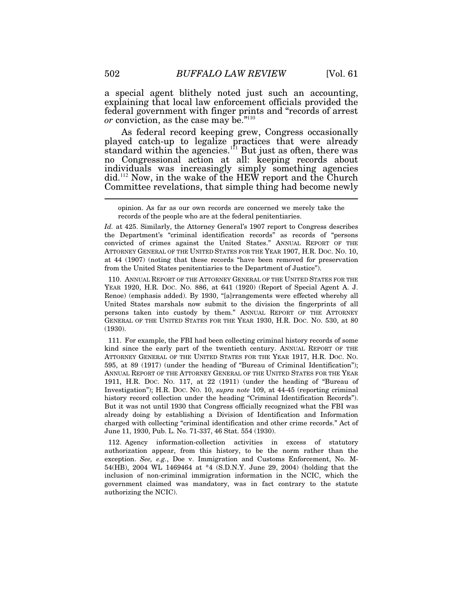a special agent blithely noted just such an accounting, explaining that local law enforcement officials provided the federal government with finger prints and "records of arrest *or* conviction, as the case may be."<sup>110</sup>

As federal record keeping grew, Congress occasionally played catch-up to legalize practices that were already standard within the agencies.<sup>111</sup> But just as often, there was no Congressional action at all: keeping records about individuals was increasingly simply something agencies did.<sup>112</sup> Now, in the wake of the HEW report and the Church Committee revelations, that simple thing had become newly

opinion. As far as our own records are concerned we merely take the records of the people who are at the federal penitentiaries.

*Id.* at 425. Similarly, the Attorney General's 1907 report to Congress describes the Department's "criminal identification records" as records of "persons convicted of crimes against the United States." ANNUAL REPORT OF THE ATTORNEY GENERAL OF THE UNITED STATES FOR THE YEAR 1907, H.R. DOC. NO. 10, at 44 (1907) (noting that these records "have been removed for preservation from the United States penitentiaries to the Department of Justice").

 110. ANNUAL REPORT OF THE ATTORNEY GENERAL OF THE UNITED STATES FOR THE YEAR 1920, H.R. DOC. NO. 886, at 641 (1920) (Report of Special Agent A. J. Renoe) (emphasis added). By 1930, "[a]rrangements were effected whereby all United States marshals now submit to the division the fingerprints of all persons taken into custody by them." ANNUAL REPORT OF THE ATTORNEY GENERAL OF THE UNITED STATES FOR THE YEAR 1930, H.R. DOC. NO. 530, at 80 (1930).

 111. For example, the FBI had been collecting criminal history records of some kind since the early part of the twentieth century. ANNUAL REPORT OF THE ATTORNEY GENERAL OF THE UNITED STATES FOR THE YEAR 1917, H.R. DOC. NO. 595, at 89 (1917) (under the heading of "Bureau of Criminal Identification"); ANNUAL REPORT OF THE ATTORNEY GENERAL OF THE UNITED STATES FOR THE YEAR 1911, H.R. DOC. NO. 117, at 22 (1911) (under the heading of "Bureau of Investigation"); H.R. DOC. NO. 10, *supra note* 109, at 44-45 (reporting criminal history record collection under the heading "Criminal Identification Records"). But it was not until 1930 that Congress officially recognized what the FBI was already doing by establishing a Division of Identification and Information charged with collecting "criminal identification and other crime records." Act of June 11, 1930, Pub. L. No. 71-337, 46 Stat. 554 (1930).

 112. Agency information-collection activities in excess of statutory authorization appear, from this history, to be the norm rather than the exception. *See, e.g.*, Doe v. Immigration and Customs Enforcement, No. M-54(HB), 2004 WL 1469464 at \*4 (S.D.N.Y. June 29, 2004) (holding that the inclusion of non-criminal immigration information in the NCIC, which the government claimed was mandatory, was in fact contrary to the statute authorizing the NCIC).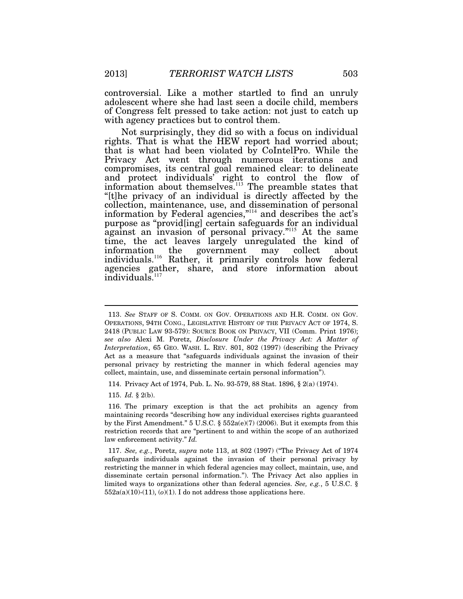controversial. Like a mother startled to find an unruly adolescent where she had last seen a docile child, members of Congress felt pressed to take action: not just to catch up with agency practices but to control them.

Not surprisingly, they did so with a focus on individual rights. That is what the HEW report had worried about; that is what had been violated by CoIntelPro. While the Privacy Act went through numerous iterations and compromises, its central goal remained clear: to delineate and protect individuals' right to control the flow of information about themselves.<sup>113</sup> The preamble states that "[t]he privacy of an individual is directly affected by the collection, maintenance, use, and dissemination of personal information by Federal agencies,"<sup>114</sup> and describes the act's purpose as "provid[ing] certain safeguards for an individual against an invasion of personal privacy."<sup>115</sup> At the same time, the act leaves largely unregulated the kind of information the government may collect about information the government may collect about individuals.<sup>116</sup> Rather, it primarily controls how federal agencies gather, share, and store information about individuals.<sup>117</sup>

114. Privacy Act of 1974, Pub. L. No. 93-579, 88 Stat. 1896, § 2(a) (1974).

115. *Id.* § 2(b).

 $\overline{a}$ 

 116. The primary exception is that the act prohibits an agency from maintaining records "describing how any individual exercises rights guaranteed by the First Amendment."  $5 \text{ U.S.C. }$  §  $552a(e)(7)(2006)$ . But it exempts from this restriction records that are "pertinent to and within the scope of an authorized law enforcement activity." *Id.*

 <sup>113.</sup> *See* STAFF OF S. COMM. ON GOV. OPERATIONS AND H.R. COMM. ON GOV. OPERATIONS, 94TH CONG., LEGISLATIVE HISTORY OF THE PRIVACY ACT OF 1974, S. 2418 (PUBLIC LAW 93-579): SOURCE BOOK ON PRIVACY, VII (Comm. Print 1976); *see also* Alexi M. Poretz, *Disclosure Under the Privacy Act: A Matter of Interpretation*, 65 GEO. WASH. L. REV. 801, 802 (1997) (describing the Privacy Act as a measure that "safeguards individuals against the invasion of their personal privacy by restricting the manner in which federal agencies may collect, maintain, use, and disseminate certain personal information").

 <sup>117.</sup> *See, e.g.*, Poretz, *supra* note 113, at 802 (1997) ("The Privacy Act of 1974 safeguards individuals against the invasion of their personal privacy by restricting the manner in which federal agencies may collect, maintain, use, and disseminate certain personal information."). The Privacy Act also applies in limited ways to organizations other than federal agencies. *See, e.g.*, 5 U.S.C. §  $552a(a)(10)-(11), (o)(1)$ . I do not address those applications here.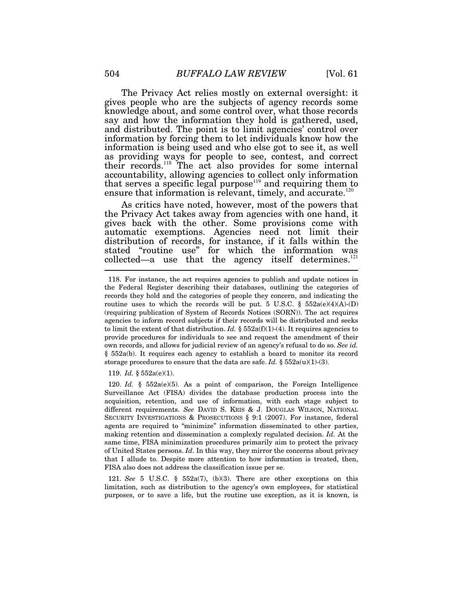The Privacy Act relies mostly on external oversight: it gives people who are the subjects of agency records some knowledge about, and some control over, what those records say and how the information they hold is gathered, used, and distributed. The point is to limit agencies' control over information by forcing them to let individuals know how the information is being used and who else got to see it, as well as providing ways for people to see, contest, and correct their records.<sup>118</sup> The act also provides for some internal accountability, allowing agencies to collect only information that serves a specific legal purpose<sup> $119$ </sup> and requiring them to ensure that information is relevant, timely, and accurate. $120$ 

As critics have noted, however, most of the powers that the Privacy Act takes away from agencies with one hand, it gives back with the other. Some provisions come with automatic exemptions. Agencies need not limit their distribution of records, for instance, if it falls within the stated "routine use" for which the information was collected—a use that the agency itself determines. $^{121}$  $\overline{a}$ 

119. *Id.* § 552a(e)(1).

 120. *Id.* § 552a(e)(5). As a point of comparison, the Foreign Intelligence Surveillance Act (FISA) divides the database production process into the acquisition, retention, and use of information, with each stage subject to different requirements. *See* DAVID S. KRIS & J. DOUGLAS WILSON, NATIONAL SECURITY INVESTIGATIONS & PROSECUTIONS § 9:1 (2007). For instance, federal agents are required to "minimize" information disseminated to other parties, making retention and dissemination a complexly regulated decision. *Id.* At the same time, FISA minimization procedures primarily aim to protect the privacy of United States persons. *Id.* In this way, they mirror the concerns about privacy that I allude to. Despite more attention to how information is treated, then, FISA also does not address the classification issue per se.

 121. *See* 5 U.S.C. § 552a(7), (b)(3). There are other exceptions on this limitation, such as distribution to the agency's own employees, for statistical purposes, or to save a life, but the routine use exception, as it is known, is

 <sup>118.</sup> For instance, the act requires agencies to publish and update notices in the Federal Register describing their databases, outlining the categories of records they hold and the categories of people they concern, and indicating the routine uses to which the records will be put. 5 U.S.C. §  $552a(e)(4)(A)$ -(D) (requiring publication of System of Records Notices (SORN)). The act requires agencies to inform record subjects if their records will be distributed and seeks to limit the extent of that distribution. *Id.*  $\S$  552a(f)(1)-(4). It requires agencies to provide procedures for individuals to see and request the amendment of their own records, and allows for judicial review of an agency's refusal to do so. *See id.* § 552a(b). It requires each agency to establish a board to monitor its record storage procedures to ensure that the data are safe. *Id.*  $\S 552a(u)(1)-(3)$ .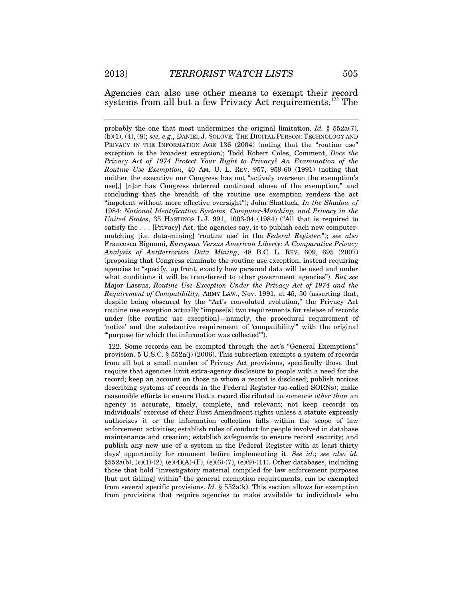$\overline{a}$ 

Agencies can also use other means to exempt their record systems from all but a few Privacy Act requirements.<sup>122</sup> The

probably the one that most undermines the original limitation. *Id.* § 552a(7), (b)(1), (4), (8); *see, e.g.*, DANIEL J. SOLOVE*,* THE DIGITAL PERSON: TECHNOLOGY AND PRIVACY IN THE INFORMATION AGE 136 (2004) (noting that the "routine use" exception is the broadest exception); Todd Robert Coles, Comment, *Does the Privacy Act of 1974 Protect Your Right to Privacy? An Examination of the Routine Use Exemption*, 40 AM. U. L. REV. 957, 959-60 (1991) (noting that neither the executive nor Congress has not "actively overseen the exemption's use[,] [n]or has Congress deterred continued abuse of the exemption," and concluding that the breadth of the routine use exemption renders the act "impotent without more effective oversight"); John Shattuck, *In the Shadow of*  1984*: National Identification Systems, Computer-Matching, and Privacy in the United States*, 35 HASTINGS L.J. 991, 1003-04 (1984) ("All that is required to satisfy the  $\dots$  [Privacy] Act, the agencies say, is to publish each new computermatching [i.e*.* data-mining] 'routine use' in the *Federal Register*."); *see also*  Francesca Bignami, *European Versus American Liberty: A Comparative Privacy Analysis of Antiterrorism Data Mining*, 48 B.C. L. REV. 609, 695 (2007) (proposing that Congress eliminate the routine use exception, instead requiring agencies to "specify, up front, exactly how personal data will be used and under what conditions it will be transferred to other government agencies"). *But see*  Major Lassus, *Routine Use Exception Under the Privacy Act of 1974 and the Requirement of Compatibility,* ARMY LAW., Nov. 1991, at 45, 50 (asserting that, despite being obscured by the "Act's convoluted evolution," the Privacy Act routine use exception actually "impose[s] two requirements for release of records under [the routine use exception]—namely, the procedural requirement of 'notice' and the substantive requirement of 'compatibility'" with the original "'purpose for which the information was collected'").

 122. Some records can be exempted through the act's "General Exemptions" provision. 5 U.S.C.  $\S 552a(j)$  (2006). This subsection exempts a system of records from all but a small number of Privacy Act provisions, specifically those that require that agencies limit extra-agency disclosure to people with a need for the record; keep an account on those to whom a record is disclosed; publish notices describing systems of records in the Federal Register (so-called SORNs); make reasonable efforts to ensure that a record distributed to someone *other than* an agency is accurate, timely, complete, and relevant; not keep records on individuals' exercise of their First Amendment rights unless a statute expressly authorizes it or the information collection falls within the scope of law enforcement activities; establish rules of conduct for people involved in database maintenance and creation; establish safeguards to ensure record security; and publish any new use of a system in the Federal Register with at least thirty days' opportunity for comment before implementing it. *See id.*; *see also id.* §552a(b), (c)(1)-(2), (e)(4)(A)-(F), (e)(6)-(7), (e)(9)-(11). Other databases, including those that hold "investigatory material compiled for law enforcement purposes [but not falling] within" the general exemption requirements, can be exempted from several specific provisions. *Id.* § 552a(k). This section allows for exemption from provisions that require agencies to make available to individuals who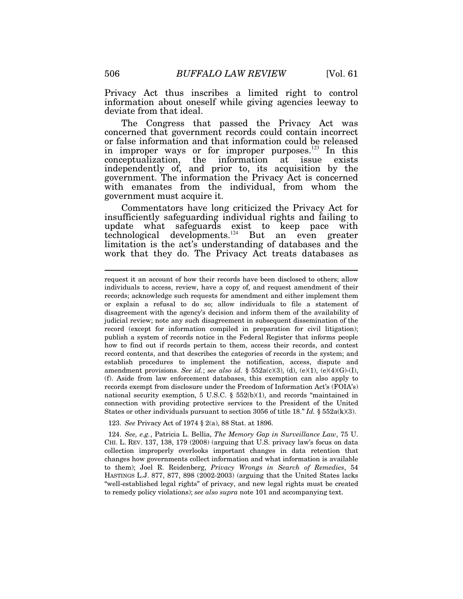Privacy Act thus inscribes a limited right to control information about oneself while giving agencies leeway to deviate from that ideal.

The Congress that passed the Privacy Act was concerned that government records could contain incorrect or false information and that information could be released in improper ways or for improper purposes.<sup>123</sup> In this conceptualization, the information at issue exists independently of, and prior to, its acquisition by the government. The information the Privacy Act is concerned with emanates from the individual, from whom the government must acquire it.

Commentators have long criticized the Privacy Act for insufficiently safeguarding individual rights and failing to update what safeguards exist to keep pace with technological developments.<sup>124</sup> But an even greater limitation is the act's understanding of databases and the work that they do. The Privacy Act treats databases as

123. *See* Privacy Act of 1974 § 2(a), 88 Stat. at 1896.

 124. *See, e.g.*, Patricia L. Bellia, *The Memory Gap in Surveillance Law*, 75 U. CHI. L. REV. 137, 138, 179 (2008) (arguing that U.S. privacy law's focus on data collection improperly overlooks important changes in data retention that changes how governments collect information and what information is available to them); Joel R. Reidenberg, *Privacy Wrongs in Search of Remedies*, 54 HASTINGS L.J. 877, 877, 898 (2002-2003) (arguing that the United States lacks "well-established legal rights" of privacy, and new legal rights must be created to remedy policy violations); *see also supra* note 101 and accompanying text.

request it an account of how their records have been disclosed to others; allow individuals to access, review, have a copy of, and request amendment of their records; acknowledge such requests for amendment and either implement them or explain a refusal to do so; allow individuals to file a statement of disagreement with the agency's decision and inform them of the availability of judicial review; note any such disagreement in subsequent dissemination of the record (except for information compiled in preparation for civil litigation); publish a system of records notice in the Federal Register that informs people how to find out if records pertain to them, access their records, and contest record contents, and that describes the categories of records in the system; and establish procedures to implement the notification, access, dispute and amendment provisions. *See id.*; *see also id.* § 552a(c)(3), (d), (e)(1), (e)(4)(G)-(I), (f). Aside from law enforcement databases, this exemption can also apply to records exempt from disclosure under the Freedom of Information Act's (FOIA's) national security exemption, 5 U.S.C.  $\S$  552(b)(1), and records "maintained in connection with providing protective services to the President of the United States or other individuals pursuant to section 3056 of title 18." *Id.* § 552a(k)(3).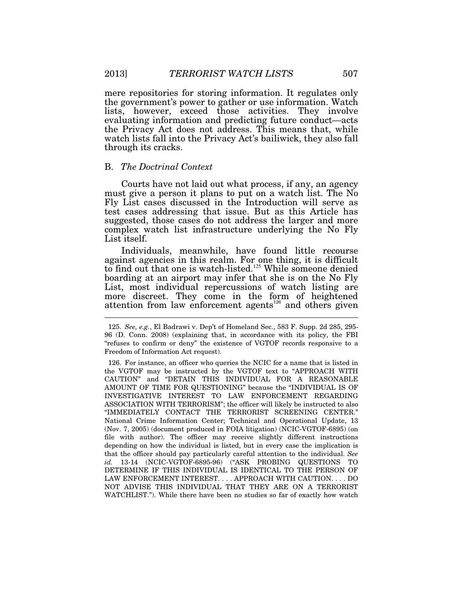mere repositories for storing information. It regulates only the government's power to gather or use information. Watch lists, however, exceed those activities. They involve evaluating information and predicting future conduct—acts the Privacy Act does not address. This means that, while watch lists fall into the Privacy Act's bailiwick, they also fall through its cracks.

## B. *The Doctrinal Context*

Courts have not laid out what process, if any, an agency must give a person it plans to put on a watch list. The No Fly List cases discussed in the Introduction will serve as test cases addressing that issue. But as this Article has suggested, those cases do not address the larger and more complex watch list infrastructure underlying the No Fly List itself.

Individuals, meanwhile, have found little recourse against agencies in this realm. For one thing, it is difficult to find out that one is watch-listed.<sup>125</sup> While someone denied boarding at an airport may infer that she is on the No Fly List, most individual repercussions of watch listing are more discreet. They come in the form of heightened attention from law enforcement agents<sup>126</sup> and others given

 <sup>125.</sup> *See, e.g.*, El Badrawi v. Dep't of Homeland Sec., 583 F. Supp. 2d 285, 295- 96 (D. Conn. 2008) (explaining that, in accordance with its policy, the FBI "refuses to confirm or deny" the existence of VGTOF records responsive to a Freedom of Information Act request).

 <sup>126.</sup> For instance, an officer who queries the NCIC for a name that is listed in the VGTOF may be instructed by the VGTOF text to "APPROACH WITH CAUTION" and "DETAIN THIS INDIVIDUAL FOR A REASONABLE AMOUNT OF TIME FOR QUESTIONING" because the "INDIVIDUAL IS OF INVESTIGATIVE INTEREST TO LAW ENFORCEMENT REGARDING ASSOCIATION WITH TERRORISM"; the officer will likely be instructed to also "IMMEDIATELY CONTACT THE TERRORIST SCREENING CENTER." National Crime Information Center; Technical and Operational Update, 13 (Nov. 7, 2005) (document produced in FOIA litigation) (NCIC-VGTOF-6895) (on file with author). The officer may receive slightly different instructions depending on how the individual is listed, but in every case the implication is that the officer should pay particularly careful attention to the individual. *See id.* 13-14 (NCIC-VGTOF-6895-96) ("ASK PROBING QUESTIONS TO DETERMINE IF THIS INDIVIDUAL IS IDENTICAL TO THE PERSON OF LAW ENFORCEMENT INTEREST. . . . APPROACH WITH CAUTION. . . . DO NOT ADVISE THIS INDIVIDUAL THAT THEY ARE ON A TERRORIST WATCHLIST."). While there have been no studies so far of exactly how watch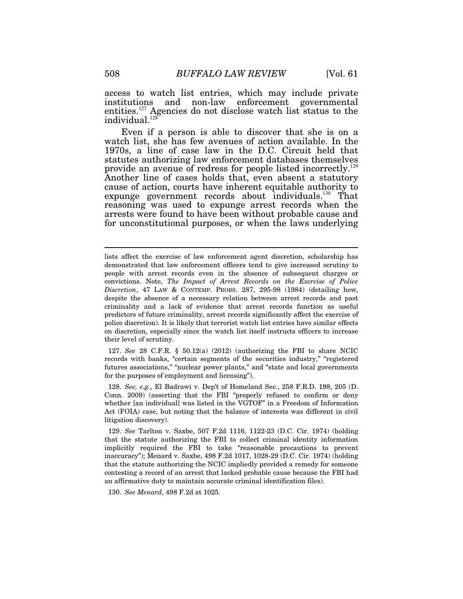access to watch list entries, which may include private institutions and non-law enforcement governmental entities.<sup>127</sup> Agencies do not disclose watch list status to the  $indivial.$ <sup>128</sup>

Even if a person is able to discover that she is on a watch list, she has few avenues of action available. In the 1970s, a line of case law in the D.C. Circuit held that statutes authorizing law enforcement databases themselves provide an avenue of redress for people listed incorrectly.<sup>129</sup> Another line of cases holds that, even absent a statutory cause of action, courts have inherent equitable authority to expunge government records about individuals.<sup>130</sup> That reasoning was used to expunge arrest records when the arrests were found to have been without probable cause and for unconstitutional purposes, or when the laws underlying

 127. *See* 28 C.F.R. § 50.12(a) (2012) (authorizing the FBI to share NCIC records with banks, "certain segments of the securities industry," "registered futures associations," "nuclear power plants," and "state and local governments for the purposes of employment and licensing").

 128. *See, e.g.*, El Badrawi v. Dep't of Homeland Sec., 258 F.R.D. 198, 205 (D. Conn. 2009) (asserting that the FBI "properly refused to confirm or deny whether [an individual] was listed in the VGTOF" in a Freedom of Information Act (FOIA) case, but noting that the balance of interests was different in civil litigation discovery).

 129. *See* Tarlton v. Saxbe, 507 F.2d 1116, 1122-23 (D.C. Cir. 1974) (holding that the statute authorizing the FBI to collect criminal identity information implicitly required the FBI to take "reasonable precautions to prevent inaccuracy"); Menard v. Saxbe, 498 F.2d 1017, 1028-29 (D.C. Cir. 1974) (holding that the statute authorizing the NCIC impliedly provided a remedy for someone contesting a record of an arrest that lacked probable cause because the FBI had an affirmative duty to maintain accurate criminal identification files).

130. *See Menard*, 498 F.2d at 1025.

lists affect the exercise of law enforcement agent discretion, scholarship has demonstrated that law enforcement officers tend to give increased scrutiny to people with arrest records even in the absence of subsequent charges or convictions. Note, *The Impact of Arrest Records on the Exercise of Police Discretion*, 47 LAW & CONTEMP. PROBS. 287, 295-98 (1984) (detailing how, despite the absence of a necessary relation between arrest records and past criminality and a lack of evidence that arrest records function as useful predictors of future criminality, arrest records significantly affect the exercise of police discretion). It is likely that terrorist watch list entries have similar effects on discretion, especially since the watch list itself instructs officers to increase their level of scrutiny.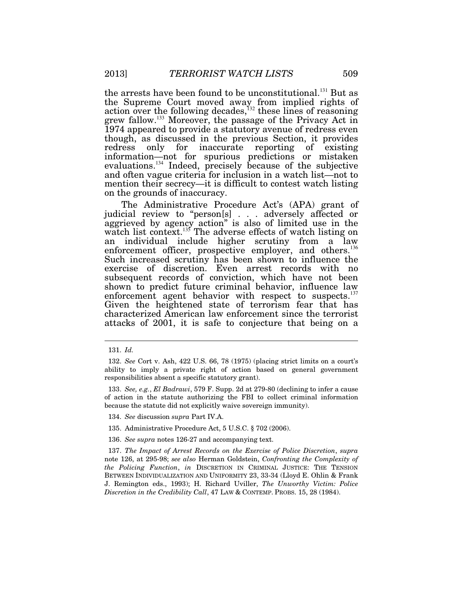the arrests have been found to be unconstitutional.<sup>131</sup> But as the Supreme Court moved away from implied rights of action over the following decades,<sup> $132$ </sup> these lines of reasoning grew fallow.<sup>133</sup> Moreover, the passage of the Privacy Act in 1974 appeared to provide a statutory avenue of redress even though, as discussed in the previous Section, it provides redress only for inaccurate reporting of existing information—not for spurious predictions or mistaken evaluations.<sup>134</sup> Indeed, precisely because of the subjective and often vague criteria for inclusion in a watch list—not to mention their secrecy—it is difficult to contest watch listing on the grounds of inaccuracy.

The Administrative Procedure Act's (APA) grant of judicial review to "person[s] . . . adversely affected or aggrieved by agency action" is also of limited use in the watch list context.<sup>135</sup> The adverse effects of watch listing on an individual include higher scrutiny from a law enforcement officer, prospective employer, and others.<sup>136</sup> Such increased scrutiny has been shown to influence the exercise of discretion. Even arrest records with no subsequent records of conviction, which have not been shown to predict future criminal behavior, influence law enforcement agent behavior with respect to suspects. $137$ Given the heightened state of terrorism fear that has characterized American law enforcement since the terrorist attacks of 2001, it is safe to conjecture that being on a

 <sup>131.</sup> *Id.*

 <sup>132.</sup> *See* Cort v. Ash, 422 U.S. 66, 78 (1975) (placing strict limits on a court's ability to imply a private right of action based on general government responsibilities absent a specific statutory grant).

 <sup>133.</sup> *See, e.g.*, *El Badrawi*, 579 F. Supp. 2d at 279-80 (declining to infer a cause of action in the statute authorizing the FBI to collect criminal information because the statute did not explicitly waive sovereign immunity).

 <sup>134.</sup> *See* discussion *supra* Part IV.A.

 <sup>135.</sup> Administrative Procedure Act, 5 U.S.C. § 702 (2006).

 <sup>136.</sup> *See supra* notes 126-27 and accompanying text.

 <sup>137.</sup> *The Impact of Arrest Records on the Exercise of Police Discretion*, *supra* note 126, at 295-98; *see also* Herman Goldstein, *Confronting the Complexity of the Policing Function*, *in* DISCRETION IN CRIMINAL JUSTICE: THE TENSION BETWEEN INDIVIDUALIZATION AND UNIFORMITY 23, 33-34 (Lloyd E. Ohlin & Frank J. Remington eds., 1993); H. Richard Uviller, *The Unworthy Victim: Police Discretion in the Credibility Call*, 47 LAW & CONTEMP. PROBS. 15, 28 (1984).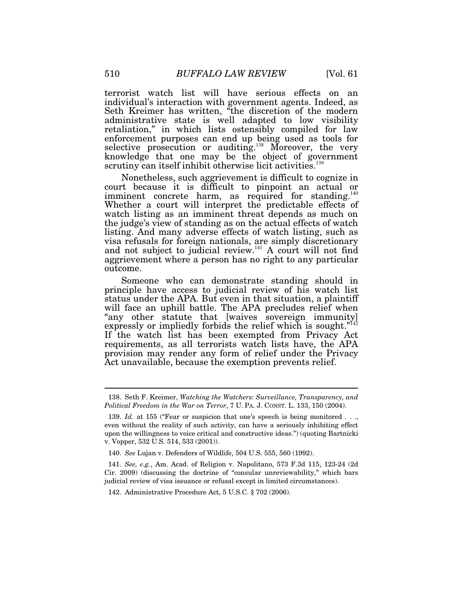terrorist watch list will have serious effects on an individual's interaction with government agents. Indeed, as Seth Kreimer has written, "the discretion of the modern administrative state is well adapted to low visibility retaliation," in which lists ostensibly compiled for law enforcement purposes can end up being used as tools for selective prosecution or auditing.<sup>138</sup> Moreover, the very knowledge that one may be the object of government scrutiny can itself inhibit otherwise licit activities.<sup>139</sup>

Nonetheless, such aggrievement is difficult to cognize in court because it is difficult to pinpoint an actual or imminent concrete harm, as required for standing.<sup>140</sup> Whether a court will interpret the predictable effects of watch listing as an imminent threat depends as much on the judge's view of standing as on the actual effects of watch listing. And many adverse effects of watch listing, such as visa refusals for foreign nationals, are simply discretionary and not subject to judicial review.<sup>141</sup> A court will not find aggrievement where a person has no right to any particular outcome.

Someone who can demonstrate standing should in principle have access to judicial review of his watch list status under the APA. But even in that situation, a plaintiff will face an uphill battle. The APA precludes relief when "any other statute that [waives sovereign immunity] expressly or impliedly forbids the relief which is sought."<sup>142</sup> If the watch list has been exempted from Privacy Act requirements, as all terrorists watch lists have, the APA provision may render any form of relief under the Privacy Act unavailable, because the exemption prevents relief.

 <sup>138.</sup> Seth F. Kreimer, *Watching the Watchers: Surveillance, Transparency, and Political Freedom in the War on Terror*, 7 U. PA. J. CONST. L. 133, 150 (2004).

 <sup>139.</sup> *Id.* at 155 ("Fear or suspicion that one's speech is being monitored . . ., even without the reality of such activity, can have a seriously inhibiting effect upon the willingness to voice critical and constructive ideas.") (quoting Bartnicki v. Vopper, 532 U.S. 514, 533 (2001)).

 <sup>140.</sup> *See* Lujan v. Defenders of Wildlife, 504 U.S. 555, 560 (1992).

 <sup>141.</sup> *See, e.g.*, Am. Acad. of Religion v. Napolitano, 573 F.3d 115, 123-24 (2d Cir. 2009) (discussing the doctrine of "consular unreviewability," which bars judicial review of visa issuance or refusal except in limited circumstances).

 <sup>142.</sup> Administrative Procedure Act, 5 U.S.C. § 702 (2006).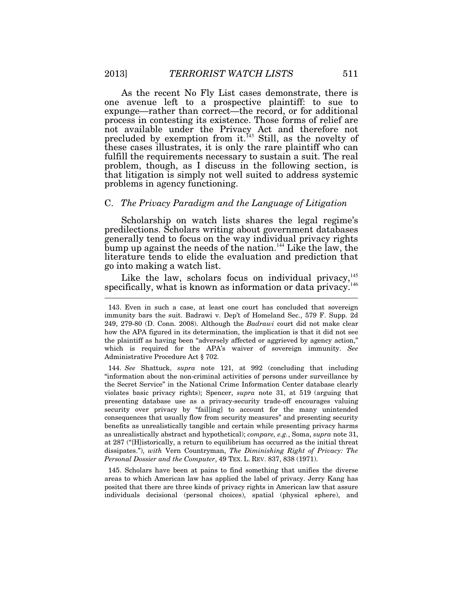As the recent No Fly List cases demonstrate, there is one avenue left to a prospective plaintiff: to sue to expunge—rather than correct—the record, or for additional process in contesting its existence. Those forms of relief are not available under the Privacy Act and therefore not precluded by exemption from it.<sup> $143$ </sup> Still, as the novelty of these cases illustrates, it is only the rare plaintiff who can fulfill the requirements necessary to sustain a suit. The real problem, though, as I discuss in the following section, is that litigation is simply not well suited to address systemic problems in agency functioning.

## C. *The Privacy Paradigm and the Language of Litigation*

Scholarship on watch lists shares the legal regime's predilections. Scholars writing about government databases generally tend to focus on the way individual privacy rights bump up against the needs of the nation.<sup>144</sup> Like the law, the literature tends to elide the evaluation and prediction that go into making a watch list.

Like the law, scholars focus on individual privacy, $^{145}$ specifically, what is known as information or data privacy.<sup>146</sup>  $\overline{a}$ 

 144. *See* Shattuck, *supra* note 121, at 992 (concluding that including "information about the non-criminal activities of persons under surveillance by the Secret Service" in the National Crime Information Center database clearly violates basic privacy rights); Spencer, *supra* note 31, at 519 (arguing that presenting database use as a privacy-security trade-off encourages valuing security over privacy by "fail[ing] to account for the many unintended consequences that usually flow from security measures" and presenting security benefits as unrealistically tangible and certain while presenting privacy harms as unrealistically abstract and hypothetical); *compare, e.g.*, Soma, *supra* note 31, at 287 ("[H]istorically, a return to equilibrium has occurred as the initial threat dissipates."), *with* Vern Countryman, *The Diminishing Right of Privacy: The Personal Dossier and the Computer*, 49 TEX. L. REV. 837, 838 (1971).

 145. Scholars have been at pains to find something that unifies the diverse areas to which American law has applied the label of privacy. Jerry Kang has posited that there are three kinds of privacy rights in American law that assure individuals decisional (personal choices), spatial (physical sphere), and

 <sup>143.</sup> Even in such a case, at least one court has concluded that sovereign immunity bars the suit. Badrawi v. Dep't of Homeland Sec., 579 F. Supp. 2d 249, 279-80 (D. Conn. 2008). Although the *Badrawi* court did not make clear how the APA figured in its determination, the implication is that it did not see the plaintiff as having been "adversely affected or aggrieved by agency action," which is required for the APA's waiver of sovereign immunity. *See* Administrative Procedure Act § 702.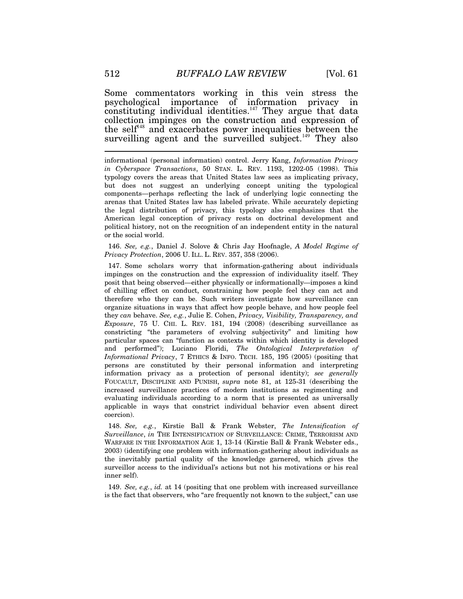Some commentators working in this vein stress the psychological importance of information privacy in constituting individual identities.<sup> $147$ </sup> They argue that data collection impinges on the construction and expression of the self<sup> $48$ </sup> and exacerbates power inequalities between the surveilling agent and the surveilled subject.<sup>149</sup> They also

informational (personal information) control. Jerry Kang, *Information Privacy in Cyberspace Transactions*, 50 STAN. L. REV. 1193, 1202-05 (1998). This typology covers the areas that United States law sees as implicating privacy, but does not suggest an underlying concept uniting the typological components—perhaps reflecting the lack of underlying logic connecting the arenas that United States law has labeled private. While accurately depicting the legal distribution of privacy, this typology also emphasizes that the American legal conception of privacy rests on doctrinal development and political history, not on the recognition of an independent entity in the natural or the social world.

 146. *See, e.g.*, Daniel J. Solove & Chris Jay Hoofnagle, *A Model Regime of Privacy Protection*, 2006 U. ILL. L. REV. 357, 358 (2006).

 147. Some scholars worry that information-gathering about individuals impinges on the construction and the expression of individuality itself. They posit that being observed—either physically or informationally—imposes a kind of chilling effect on conduct, constraining how people feel they can act and therefore who they can be. Such writers investigate how surveillance can organize situations in ways that affect how people behave, and how people feel they *can* behave. *See, e.g.*, Julie E. Cohen, *Privacy, Visibility, Transparency, and Exposure*, 75 U. CHI. L. REV. 181, 194 (2008) (describing surveillance as constricting "the parameters of evolving subjectivity" and limiting how particular spaces can "function as contexts within which identity is developed and performed"); Luciano Floridi, *The Ontological Interpretation of Informational Privacy*, 7 ETHICS & INFO. TECH. 185, 195 (2005) (positing that persons are constituted by their personal information and interpreting information privacy as a protection of personal identity); *see generally* FOUCAULT, DISCIPLINE AND PUNISH, *supra* note 81, at 125-31 (describing the increased surveillance practices of modern institutions as regimenting and evaluating individuals according to a norm that is presented as universally applicable in ways that constrict individual behavior even absent direct coercion).

 148. *See, e.g.*, Kirstie Ball & Frank Webster, *The Intensification of Surveillance*, *in* THE INTENSIFICATION OF SURVEILLANCE: CRIME, TERRORISM AND WARFARE IN THE INFORMATION AGE 1, 13-14 (Kirstie Ball & Frank Webster eds., 2003) (identifying one problem with information-gathering about individuals as the inevitably partial quality of the knowledge garnered, which gives the surveillor access to the individual's actions but not his motivations or his real inner self).

 149. *See, e.g.*, *id.* at 14 (positing that one problem with increased surveillance is the fact that observers, who "are frequently not known to the subject," can use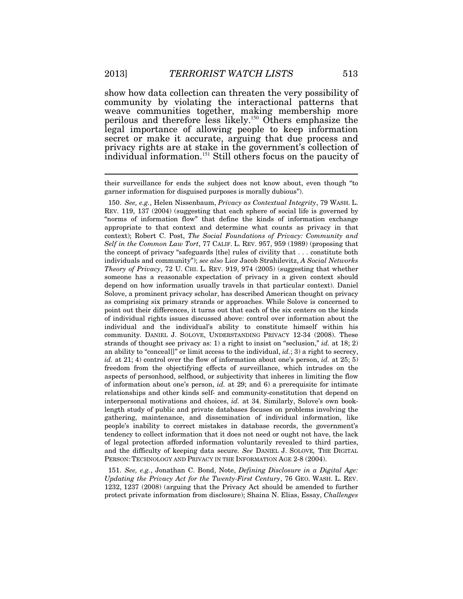show how data collection can threaten the very possibility of community by violating the interactional patterns that weave communities together, making membership more perilous and therefore less likely.<sup>150</sup> Others emphasize the legal importance of allowing people to keep information secret or make it accurate, arguing that due process and privacy rights are at stake in the government's collection of individual information.<sup>151</sup> Still others focus on the paucity of

their surveillance for ends the subject does not know about, even though "to garner information for disguised purposes is morally dubious").

 150. *See, e.g.*, Helen Nissenbaum, *Privacy as Contextual Integrity*, 79 WASH. L. REV. 119, 137 (2004) (suggesting that each sphere of social life is governed by "norms of information flow" that define the kinds of information exchange appropriate to that context and determine what counts as privacy in that context); Robert C. Post, *The Social Foundations of Privacy: Community and Self in the Common Law Tort*, 77 CALIF. L. REV. 957, 959 (1989) (proposing that the concept of privacy "safeguards [the] rules of civility that . . . constitute both individuals and community"); *see also* Lior Jacob Strahilevitz, *A Social Networks Theory of Privacy*, 72 U. CHI. L. REV. 919, 974 (2005) (suggesting that whether someone has a reasonable expectation of privacy in a given context should depend on how information usually travels in that particular context). Daniel Solove, a prominent privacy scholar, has described American thought on privacy as comprising six primary strands or approaches. While Solove is concerned to point out their differences, it turns out that each of the six centers on the kinds of individual rights issues discussed above: control over information about the individual and the individual's ability to constitute himself within his community. DANIEL J. SOLOVE, UNDERSTANDING PRIVACY 12-34 (2008). These strands of thought see privacy as: 1) a right to insist on "seclusion," *id.* at 18; 2) an ability to "conceal[]" or limit access to the individual, *id.*; 3) a right to secrecy, *id.* at 21; 4) control over the flow of information about one's person, *id.* at 25; 5) freedom from the objectifying effects of surveillance, which intrudes on the aspects of personhood, selfhood, or subjectivity that inheres in limiting the flow of information about one's person, *id.* at 29; and 6) a prerequisite for intimate relationships and other kinds self- and community-constitution that depend on interpersonal motivations and choices, *id.* at 34. Similarly, Solove's own booklength study of public and private databases focuses on problems involving the gathering, maintenance, and dissemination of individual information, like people's inability to correct mistakes in database records, the government's tendency to collect information that it does not need or ought not have, the lack of legal protection afforded information voluntarily revealed to third parties, and the difficulty of keeping data secure. *See* DANIEL J. SOLOVE*,* THE DIGITAL PERSON: TECHNOLOGY AND PRIVACY IN THE INFORMATION AGE 2-8 (2004).

 151. *See, e.g.*, Jonathan C. Bond, Note, *Defining Disclosure in a Digital Age: Updating the Privacy Act for the Twenty-First Century*, 76 GEO. WASH. L. REV. 1232, 1237 (2008) (arguing that the Privacy Act should be amended to further protect private information from disclosure); Shaina N. Elias, Essay, *Challenges*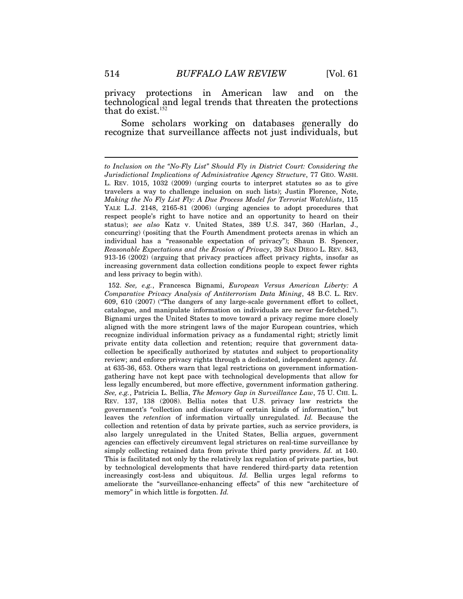privacy protections in American law and on the technological and legal trends that threaten the protections that do exist. $152$ 

Some scholars working on databases generally do recognize that surveillance affects not just individuals, but

*to Inclusion on the "No-Fly List" Should Fly in District Court: Considering the Jurisdictional Implications of Administrative Agency Structure*, 77 GEO. WASH. L. REV. 1015, 1032 (2009) (urging courts to interpret statutes so as to give travelers a way to challenge inclusion on such lists); Justin Florence, Note, *Making the No Fly List Fly: A Due Process Model for Terrorist Watchlists*, 115 YALE L.J. 2148, 2165-81 (2006) (urging agencies to adopt procedures that respect people's right to have notice and an opportunity to heard on their status); *see also* Katz v. United States, 389 U.S. 347, 360 (Harlan, J., concurring) (positing that the Fourth Amendment protects arenas in which an individual has a "reasonable expectation of privacy"); Shaun B. Spencer, *Reasonable Expectations and the Erosion of Privacy*, 39 SAN DIEGO L. REV. 843, 913-16 (2002) (arguing that privacy practices affect privacy rights, insofar as increasing government data collection conditions people to expect fewer rights and less privacy to begin with).

 <sup>152.</sup> *See, e.g.*, Francesca Bignami, *European Versus American Liberty: A Comparative Privacy Analysis of Antiterrorism Data Mining*, 48 B.C. L. REV. 609, 610 (2007) ("The dangers of any large-scale government effort to collect, catalogue, and manipulate information on individuals are never far-fetched."). Bignami urges the United States to move toward a privacy regime more closely aligned with the more stringent laws of the major European countries, which recognize individual information privacy as a fundamental right; strictly limit private entity data collection and retention; require that government datacollection be specifically authorized by statutes and subject to proportionality review; and enforce privacy rights through a dedicated, independent agency. *Id.* at 635-36, 653. Others warn that legal restrictions on government informationgathering have not kept pace with technological developments that allow for less legally encumbered, but more effective, government information gathering. *See, e.g.*, Patricia L. Bellia, *The Memory Gap in Surveillance Law*, 75 U. CHI. L. REV. 137, 138 (2008). Bellia notes that U.S. privacy law restricts the government's "collection and disclosure of certain kinds of information," but leaves the *retention* of information virtually unregulated. *Id.* Because the collection and retention of data by private parties, such as service providers, is also largely unregulated in the United States, Bellia argues, government agencies can effectively circumvent legal strictures on real-time surveillance by simply collecting retained data from private third party providers. *Id.* at 140. This is facilitated not only by the relatively lax regulation of private parties, but by technological developments that have rendered third-party data retention increasingly cost-less and ubiquitous. *Id.* Bellia urges legal reforms to ameliorate the "surveillance-enhancing effects" of this new "architecture of memory" in which little is forgotten. *Id.*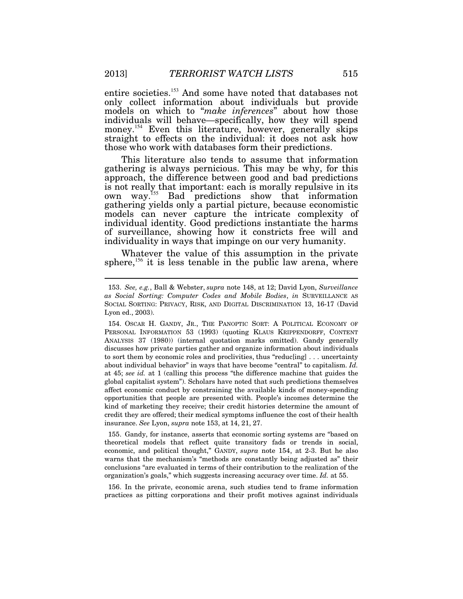entire societies.<sup>153</sup> And some have noted that databases not only collect information about individuals but provide models on which to "*make inferences*" about how those individuals will behave—specifically, how they will spend money.<sup>154</sup> Even this literature, however, generally skips straight to effects on the individual: it does not ask how those who work with databases form their predictions.

This literature also tends to assume that information gathering is always pernicious. This may be why, for this approach, the difference between good and bad predictions is not really that important: each is morally repulsive in its own way.<sup>155</sup> Bad predictions show that information gathering yields only a partial picture, because economistic models can never capture the intricate complexity of individual identity. Good predictions instantiate the harms of surveillance, showing how it constricts free will and individuality in ways that impinge on our very humanity.

Whatever the value of this assumption in the private sphere,<sup>156</sup> it is less tenable in the public law arena, where

 155. Gandy, for instance, asserts that economic sorting systems are "based on theoretical models that reflect quite transitory fads or trends in social, economic, and political thought," GANDY, *supra* note 154, at 2-3. But he also warns that the mechanism's "methods are constantly being adjusted as" their conclusions "are evaluated in terms of their contribution to the realization of the organization's goals," which suggests increasing accuracy over time. *Id.* at 55.

 156. In the private, economic arena, such studies tend to frame information practices as pitting corporations and their profit motives against individuals

 <sup>153.</sup> *See, e.g.*, Ball & Webster, *supra* note 148, at 12; David Lyon, *Surveillance as Social Sorting: Computer Codes and Mobile Bodies*, *in* SURVEILLANCE AS SOCIAL SORTING: PRIVACY, RISK, AND DIGITAL DISCRIMINATION 13, 16-17 (David Lyon ed., 2003).

 <sup>154.</sup> OSCAR H. GANDY, JR., THE PANOPTIC SORT: A POLITICAL ECONOMY OF PERSONAL INFORMATION 53 (1993) (quoting KLAUS KRIPPENDORFF, CONTENT ANALYSIS 37 (1980)) (internal quotation marks omitted). Gandy generally discusses how private parties gather and organize information about individuals to sort them by economic roles and proclivities, thus "reduc[ing] . . . uncertainty about individual behavior" in ways that have become "central" to capitalism. *Id.* at 45; *see id.* at 1 (calling this process "the difference machine that guides the global capitalist system"). Scholars have noted that such predictions themselves affect economic conduct by constraining the available kinds of money-spending opportunities that people are presented with. People's incomes determine the kind of marketing they receive; their credit histories determine the amount of credit they are offered; their medical symptoms influence the cost of their health insurance. *See* Lyon, *supra* note 153, at 14, 21, 27.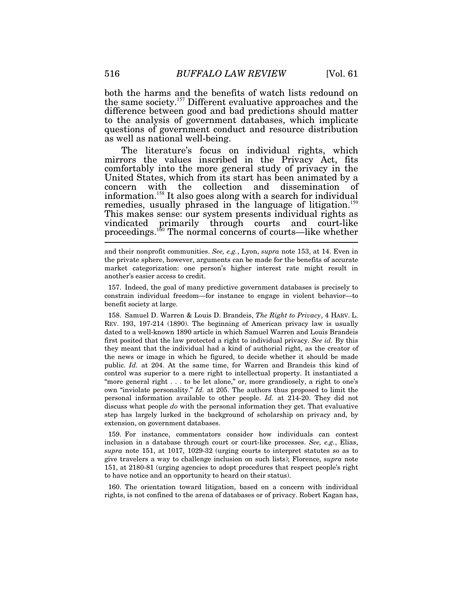both the harms and the benefits of watch lists redound on the same society.<sup>157</sup> Different evaluative approaches and the difference between good and bad predictions should matter to the analysis of government databases, which implicate questions of government conduct and resource distribution as well as national well-being.

The literature's focus on individual rights, which mirrors the values inscribed in the Privacy Act, fits comfortably into the more general study of privacy in the United States, which from its start has been animated by a concern with the collection and dissemination of information.<sup>158</sup> It also goes along with a search for individual remedies, usually phrased in the language of litigation.<sup>159</sup> This makes sense: our system presents individual rights as vindicated primarily through courts and court-like proceedings.<sup>160</sup> The normal concerns of courts—like whether

and their nonprofit communities. *See, e.g.*, Lyon, *supra* note 153, at 14. Even in the private sphere, however, arguments can be made for the benefits of accurate market categorization: one person's higher interest rate might result in another's easier access to credit.

 157. Indeed, the goal of many predictive government databases is precisely to constrain individual freedom—for instance to engage in violent behavior—to benefit society at large.

 158. Samuel D. Warren & Louis D. Brandeis, *The Right to Privacy*, 4 HARV. L. REV. 193, 197-214 (1890). The beginning of American privacy law is usually dated to a well-known 1890 article in which Samuel Warren and Louis Brandeis first posited that the law protected a right to individual privacy. *See id.* By this they meant that the individual had a kind of authorial right, as the creator of the news or image in which he figured, to decide whether it should be made public. *Id.* at 204. At the same time, for Warren and Brandeis this kind of control was superior to a mere right to intellectual property. It instantiated a "more general right  $\dots$  to be let alone," or, more grandiosely, a right to one's own "inviolate personality." *Id.* at 205. The authors thus proposed to limit the personal information available to other people. *Id.* at 214-20. They did not discuss what people *do* with the personal information they get. That evaluative step has largely lurked in the background of scholarship on privacy and, by extension, on government databases.

 159. For instance, commentators consider how individuals can contest inclusion in a database through court or court-like processes. *See, e.g.*, Elias, *supra* note 151, at 1017, 1029-32 (urging courts to interpret statutes so as to give travelers a way to challenge inclusion on such lists); Florence, *supra* note 151, at 2180-81 (urging agencies to adopt procedures that respect people's right to have notice and an opportunity to heard on their status).

 160. The orientation toward litigation, based on a concern with individual rights, is not confined to the arena of databases or of privacy. Robert Kagan has,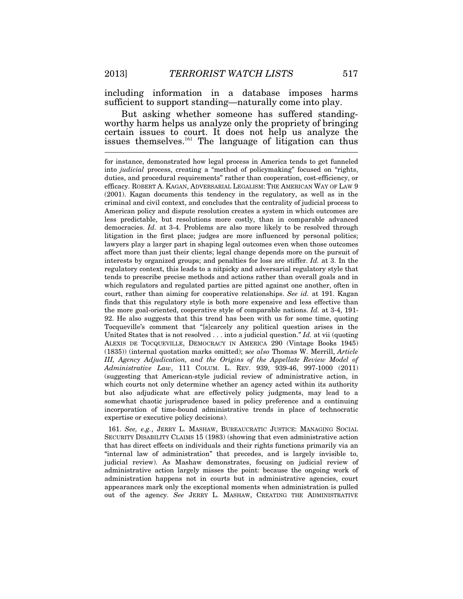including information in a database imposes harms sufficient to support standing—naturally come into play.

But asking whether someone has suffered standingworthy harm helps us analyze only the propriety of bringing certain issues to court. It does not help us analyze the issues themselves.<sup>161</sup> The language of litigation can thus

 161. *See, e.g.*, JERRY L. MASHAW, BUREAUCRATIC JUSTICE: MANAGING SOCIAL SECURITY DISABILITY CLAIMS 15 (1983) (showing that even administrative action that has direct effects on individuals and their rights functions primarily via an "internal law of administration" that precedes, and is largely invisible to, judicial review). As Mashaw demonstrates, focusing on judicial review of administrative action largely misses the point: because the ongoing work of administration happens not in courts but in administrative agencies, court appearances mark only the exceptional moments when administration is pulled out of the agency. *See* JERRY L. MASHAW, CREATING THE ADMINISTRATIVE

for instance, demonstrated how legal process in America tends to get funneled into *judicial* process, creating a "method of policymaking" focused on "rights, duties, and procedural requirements" rather than cooperation, cost-efficiency, or efficacy. ROBERT A. KAGAN, ADVERSARIAL LEGALISM: THE AMERICAN WAY OF LAW 9 (2001). Kagan documents this tendency in the regulatory, as well as in the criminal and civil context, and concludes that the centrality of judicial process to American policy and dispute resolution creates a system in which outcomes are less predictable, but resolutions more costly, than in comparable advanced democracies. *Id.* at 3-4. Problems are also more likely to be resolved through litigation in the first place; judges are more influenced by personal politics; lawyers play a larger part in shaping legal outcomes even when those outcomes affect more than just their clients; legal change depends more on the pursuit of interests by organized groups; and penalties for loss are stiffer. *Id.* at 3. In the regulatory context, this leads to a nitpicky and adversarial regulatory style that tends to prescribe precise methods and actions rather than overall goals and in which regulators and regulated parties are pitted against one another, often in court, rather than aiming for cooperative relationships. *See id.* at 191. Kagan finds that this regulatory style is both more expensive and less effective than the more goal-oriented, cooperative style of comparable nations. *Id.* at 3-4, 191- 92. He also suggests that this trend has been with us for some time, quoting Tocqueville's comment that "[s]carcely any political question arises in the United States that is not resolved . . . into a judicial question." *Id.* at vii (quoting ALEXIS DE TOCQUEVILLE, DEMOCRACY IN AMERICA 290 (Vintage Books 1945) (1835)) (internal quotation marks omitted); s*ee also* Thomas W. Merrill, *Article III, Agency Adjudication, and the Origins of the Appellate Review Model of Administrative Law*, 111 COLUM. L. REV. 939, 939-46, 997-1000 (2011) (suggesting that American-style judicial review of administrative action, in which courts not only determine whether an agency acted within its authority but also adjudicate what are effectively policy judgments, may lead to a somewhat chaotic jurisprudence based in policy preference and a continuing incorporation of time-bound administrative trends in place of technocratic expertise or executive policy decisions).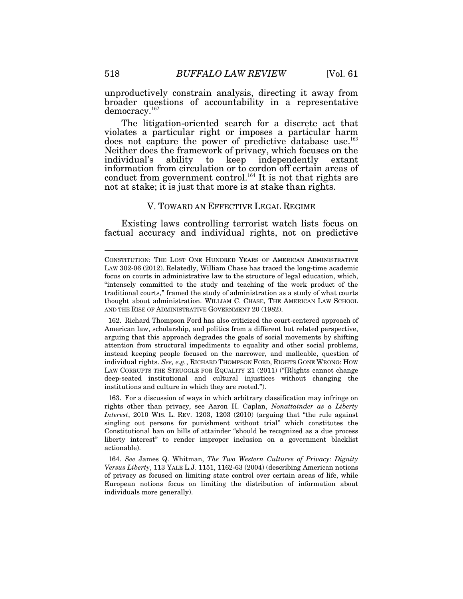unproductively constrain analysis, directing it away from broader questions of accountability in a representative democracy.<sup>162</sup>

The litigation-oriented search for a discrete act that violates a particular right or imposes a particular harm does not capture the power of predictive database use.<sup>163</sup> Neither does the framework of privacy, which focuses on the individual's ability to keep independently extant information from circulation or to cordon off certain areas of conduct from government control.<sup>164</sup> It is not that rights are not at stake; it is just that more is at stake than rights.

# V. TOWARD AN EFFECTIVE LEGAL REGIME

Existing laws controlling terrorist watch lists focus on factual accuracy and individual rights, not on predictive

 162. Richard Thompson Ford has also criticized the court-centered approach of American law, scholarship, and politics from a different but related perspective, arguing that this approach degrades the goals of social movements by shifting attention from structural impediments to equality and other social problems, instead keeping people focused on the narrower, and malleable, question of individual rights. *See, e.g.*, RICHARD THOMPSON FORD, RIGHTS GONE WRONG: HOW LAW CORRUPTS THE STRUGGLE FOR EQUALITY 21 (2011) ("[R]ights cannot change deep-seated institutional and cultural injustices without changing the institutions and culture in which they are rooted.").

 163. For a discussion of ways in which arbitrary classification may infringe on rights other than privacy, see Aaron H. Caplan, *Nonattainder as a Liberty Interest*, 2010 WIS. L. REV. 1203, 1203 (2010) (arguing that "the rule against singling out persons for punishment without trial" which constitutes the Constitutional ban on bills of attainder "should be recognized as a due process liberty interest" to render improper inclusion on a government blacklist actionable).

 164. *See* James Q. Whitman, *The Two Western Cultures of Privacy: Dignity Versus Liberty*, 113 YALE L.J. 1151, 1162-63 (2004) (describing American notions of privacy as focused on limiting state control over certain areas of life, while European notions focus on limiting the distribution of information about individuals more generally).

CONSTITUTION: THE LOST ONE HUNDRED YEARS OF AMERICAN ADMINISTRATIVE LAW 302-06 (2012). Relatedly, William Chase has traced the long-time academic focus on courts in administrative law to the structure of legal education, which, "intensely committed to the study and teaching of the work product of the traditional courts," framed the study of administration as a study of what courts thought about administration. WILLIAM C. CHASE, THE AMERICAN LAW SCHOOL AND THE RISE OF ADMINISTRATIVE GOVERNMENT 20 (1982).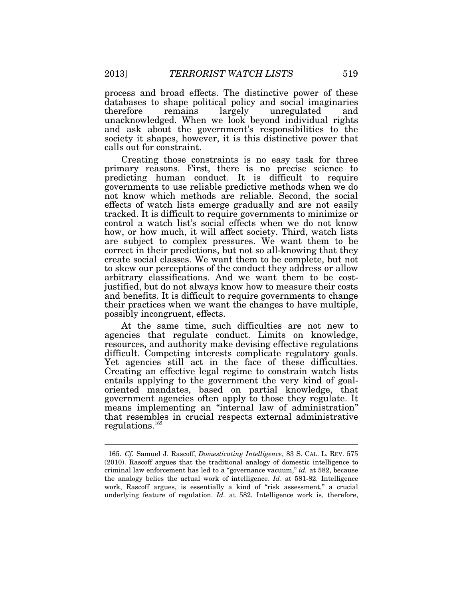process and broad effects. The distinctive power of these databases to shape political policy and social imaginaries therefore remains largely unregulated and unacknowledged. When we look beyond individual rights and ask about the government's responsibilities to the society it shapes, however, it is this distinctive power that calls out for constraint.

Creating those constraints is no easy task for three primary reasons. First, there is no precise science to predicting human conduct. It is difficult to require governments to use reliable predictive methods when we do not know which methods are reliable. Second, the social effects of watch lists emerge gradually and are not easily tracked. It is difficult to require governments to minimize or control a watch list's social effects when we do not know how, or how much, it will affect society. Third, watch lists are subject to complex pressures. We want them to be correct in their predictions, but not so all-knowing that they create social classes. We want them to be complete, but not to skew our perceptions of the conduct they address or allow arbitrary classifications. And we want them to be costjustified, but do not always know how to measure their costs and benefits. It is difficult to require governments to change their practices when we want the changes to have multiple, possibly incongruent, effects.

At the same time, such difficulties are not new to agencies that regulate conduct. Limits on knowledge, resources, and authority make devising effective regulations difficult. Competing interests complicate regulatory goals. Yet agencies still act in the face of these difficulties. Creating an effective legal regime to constrain watch lists entails applying to the government the very kind of goaloriented mandates, based on partial knowledge, that government agencies often apply to those they regulate. It means implementing an "internal law of administration" that resembles in crucial respects external administrative regulations.<sup>165</sup>

 <sup>165.</sup> *Cf.* Samuel J. Rascoff, *Domesticating Intelligence*, 83 S. CAL. L. REV. 575 (2010). Rascoff argues that the traditional analogy of domestic intelligence to criminal law enforcement has led to a "governance vacuum," *id.* at 582, because the analogy belies the actual work of intelligence. *Id*. at 581-82. Intelligence work, Rascoff argues, is essentially a kind of "risk assessment," a crucial underlying feature of regulation. *Id.* at 582. Intelligence work is, therefore,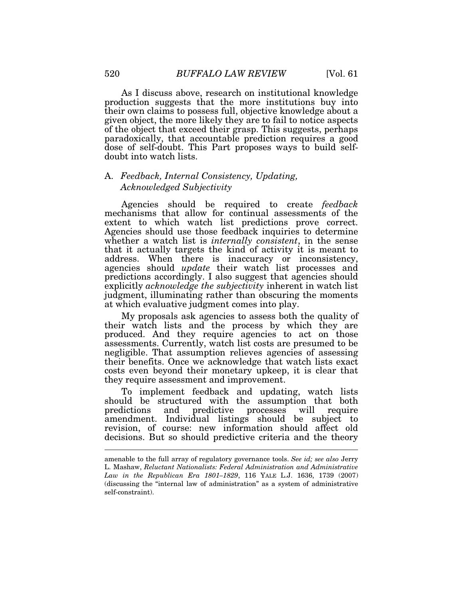As I discuss above, research on institutional knowledge production suggests that the more institutions buy into their own claims to possess full, objective knowledge about a given object, the more likely they are to fail to notice aspects of the object that exceed their grasp. This suggests, perhaps paradoxically, that accountable prediction requires a good dose of self-doubt. This Part proposes ways to build selfdoubt into watch lists.

# A. *Feedback, Internal Consistency, Updating, Acknowledged Subjectivity*

Agencies should be required to create *feedback* mechanisms that allow for continual assessments of the extent to which watch list predictions prove correct. Agencies should use those feedback inquiries to determine whether a watch list is *internally consistent*, in the sense that it actually targets the kind of activity it is meant to address. When there is inaccuracy or inconsistency, agencies should *update* their watch list processes and predictions accordingly. I also suggest that agencies should explicitly *acknowledge the subjectivity* inherent in watch list judgment, illuminating rather than obscuring the moments at which evaluative judgment comes into play.

My proposals ask agencies to assess both the quality of their watch lists and the process by which they are produced. And they require agencies to act on those assessments. Currently, watch list costs are presumed to be negligible. That assumption relieves agencies of assessing their benefits. Once we acknowledge that watch lists exact costs even beyond their monetary upkeep, it is clear that they require assessment and improvement.

To implement feedback and updating, watch lists should be structured with the assumption that both predictions and predictive processes will require and predictive processes will require amendment. Individual listings should be subject to revision, of course: new information should affect old decisions. But so should predictive criteria and the theory  $\overline{a}$ 

amenable to the full array of regulatory governance tools. *See id; see also* Jerry L. Mashaw, *Reluctant Nationalists: Federal Administration and Administrative Law in the Republican Era 1801–1829*, 116 YALE L.J. 1636, 1739 (2007) (discussing the "internal law of administration" as a system of administrative self-constraint).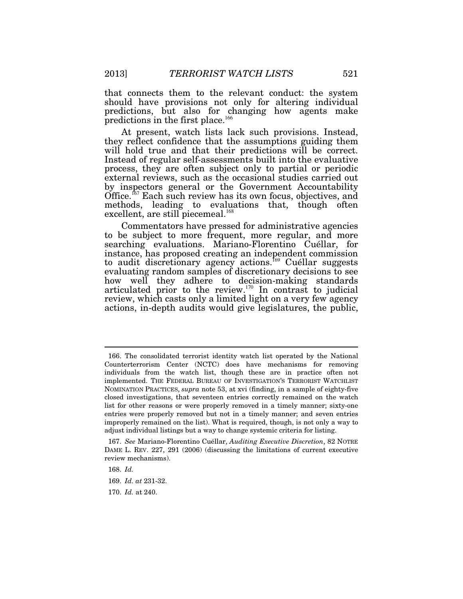that connects them to the relevant conduct: the system should have provisions not only for altering individual predictions, but also for changing how agents make predictions in the first place.<sup>166</sup>

At present, watch lists lack such provisions. Instead, they reflect confidence that the assumptions guiding them will hold true and that their predictions will be correct. Instead of regular self-assessments built into the evaluative process, they are often subject only to partial or periodic external reviews, such as the occasional studies carried out by inspectors general or the Government Accountability Office.<sup> $67$ </sup> Each such review has its own focus, objectives, and methods, leading to evaluations that, though often excellent, are still piecemeal.<sup>168</sup>

Commentators have pressed for administrative agencies to be subject to more frequent, more regular, and more searching evaluations. Mariano-Florentino Cuéllar, for instance, has proposed creating an independent commission to audit discretionary agency actions.<sup>169</sup> Cuéllar suggests evaluating random samples of discretionary decisions to see how well they adhere to decision-making standards articulated prior to the review. $170 \text{ In contrast to judicial}$ review, which casts only a limited light on a very few agency actions, in-depth audits would give legislatures, the public,

 <sup>166.</sup> The consolidated terrorist identity watch list operated by the National Counterterrorism Center (NCTC) does have mechanisms for removing individuals from the watch list, though these are in practice often not implemented. THE FEDERAL BUREAU OF INVESTIGATION'S TERRORIST WATCHLIST NOMINATION PRACTICES, *supra* note 53, at xvi (finding, in a sample of eighty-five closed investigations, that seventeen entries correctly remained on the watch list for other reasons or were properly removed in a timely manner; sixty-one entries were properly removed but not in a timely manner; and seven entries improperly remained on the list). What is required, though, is not only a way to adjust individual listings but a way to change systemic criteria for listing.

 <sup>167.</sup> *See* Mariano-Florentino Cuéllar, *Auditing Executive Discretion*, 82 NOTRE DAME L. REV. 227, 291 (2006) (discussing the limitations of current executive review mechanisms).

 <sup>168.</sup> *Id.* 

 <sup>169.</sup> *Id. at* 231-32.

 <sup>170.</sup> *Id.* at 240.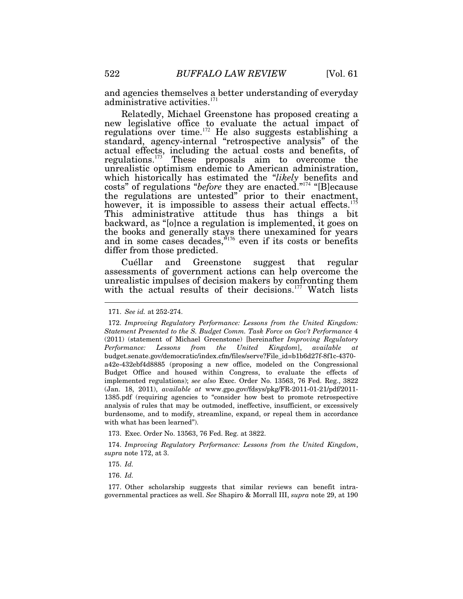and agencies themselves a better understanding of everyday administrative activities. $171$ 

Relatedly, Michael Greenstone has proposed creating a new legislative office to evaluate the actual impact of regulations over time.<sup>172</sup> He also suggests establishing a standard, agency-internal "retrospective analysis" of the actual effects, including the actual costs and benefits, of regulations.<sup>173</sup> These proposals aim to overcome the unrealistic optimism endemic to American administration, which historically has estimated the "*likely* benefits and costs" of regulations "*before* they are enacted."<sup>174</sup> "[B]ecause the regulations are untested" prior to their enactment, however, it is impossible to assess their actual effects.<sup>175</sup> This administrative attitude thus has things a bit backward, as "[o]nce a regulation is implemented, it goes on the books and generally stays there unexamined for years and in some cases decades,<sup>"176</sup> even if its costs or benefits differ from those predicted.

Cuéllar and Greenstone suggest that regular assessments of government actions can help overcome the unrealistic impulses of decision makers by confronting them with the actual results of their decisions.<sup>177</sup> Watch lists

173. Exec. Order No. 13563, 76 Fed. Reg. at 3822.

 174. *Improving Regulatory Performance: Lessons from the United Kingdom*, *supra* note 172, at 3.

175. *Id.*

176. *Id.* 

 177. Other scholarship suggests that similar reviews can benefit intragovernmental practices as well. *See* Shapiro & Morrall III, *supra* note 29, at 190

 <sup>171.</sup> *See id.* at 252-274.

 <sup>172.</sup> *Improving Regulatory Performance: Lessons from the United Kingdom: Statement Presented to the S. Budget Comm. Task Force on Gov't Performance* 4 (2011) (statement of Michael Greenstone) [hereinafter *Improving Regulatory Performance: Lessons from the United Kingdom*], *available at*  budget.senate.gov/democratic/index.cfm/files/serve?File\_id=b1b6d27f-8f1c-4370 a42e-432ebf4d8885 (proposing a new office, modeled on the Congressional Budget Office and housed within Congress, to evaluate the effects of implemented regulations); *see also* Exec. Order No. 13563, 76 Fed. Reg., 3822 (Jan. 18, 2011), *available at* www.gpo.gov/fdsys/pkg/FR-2011-01-21/pdf/2011- 1385.pdf (requiring agencies to "consider how best to promote retrospective analysis of rules that may be outmoded, ineffective, insufficient, or excessively burdensome, and to modify, streamline, expand, or repeal them in accordance with what has been learned").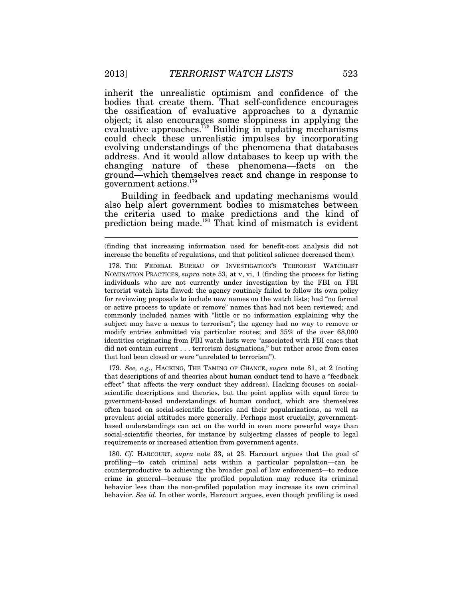inherit the unrealistic optimism and confidence of the bodies that create them. That self-confidence encourages the ossification of evaluative approaches to a dynamic object; it also encourages some sloppiness in applying the evaluative approaches.<sup> $778$ </sup> Building in updating mechanisms could check these unrealistic impulses by incorporating evolving understandings of the phenomena that databases address. And it would allow databases to keep up with the changing nature of these phenomena—facts on the ground—which themselves react and change in response to government actions.<sup>179</sup>

Building in feedback and updating mechanisms would also help alert government bodies to mismatches between the criteria used to make predictions and the kind of prediction being made.<sup>180</sup> That kind of mismatch is evident

 179. *See, e.g.*, HACKING, THE TAMING OF CHANCE, *supra* note 81, at 2 (noting that descriptions of and theories about human conduct tend to have a "feedback effect" that affects the very conduct they address). Hacking focuses on socialscientific descriptions and theories, but the point applies with equal force to government-based understandings of human conduct, which are themselves often based on social-scientific theories and their popularizations, as well as prevalent social attitudes more generally. Perhaps most crucially, governmentbased understandings can act on the world in even more powerful ways than social-scientific theories, for instance by subjecting classes of people to legal requirements or increased attention from government agents.

 180. *Cf.* HARCOURT, *supra* note 33, at 23. Harcourt argues that the goal of profiling—to catch criminal acts within a particular population—can be counterproductive to achieving the broader goal of law enforcement—to reduce crime in general—because the profiled population may reduce its criminal behavior less than the non-profiled population may increase its own criminal behavior. *See id.* In other words, Harcourt argues, even though profiling is used

<sup>(</sup>finding that increasing information used for benefit-cost analysis did not increase the benefits of regulations, and that political salience decreased them).

 <sup>178.</sup> THE FEDERAL BUREAU OF INVESTIGATION'S TERRORIST WATCHLIST NOMINATION PRACTICES, *supra* note 53, at v, vi, 1 (finding the process for listing individuals who are not currently under investigation by the FBI on FBI terrorist watch lists flawed: the agency routinely failed to follow its own policy for reviewing proposals to include new names on the watch lists; had "no formal or active process to update or remove" names that had not been reviewed; and commonly included names with "little or no information explaining why the subject may have a nexus to terrorism"; the agency had no way to remove or modify entries submitted via particular routes; and 35% of the over 68,000 identities originating from FBI watch lists were "associated with FBI cases that did not contain current . . . terrorism designations," but rather arose from cases that had been closed or were "unrelated to terrorism").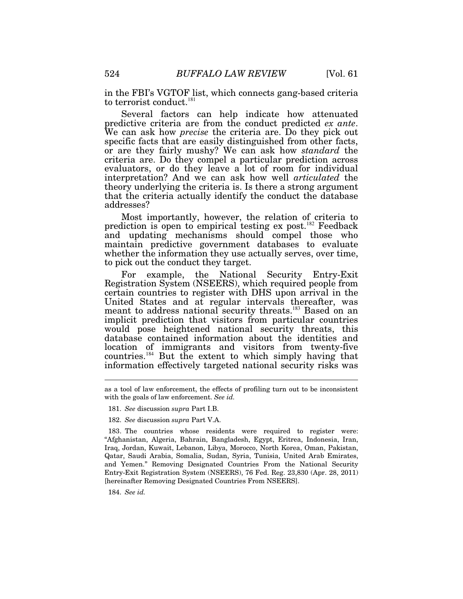in the FBI's VGTOF list, which connects gang-based criteria to terrorist conduct.<sup>181</sup>

Several factors can help indicate how attenuated predictive criteria are from the conduct predicted *ex ante*. We can ask how *precise* the criteria are. Do they pick out specific facts that are easily distinguished from other facts, or are they fairly mushy? We can ask how *standard* the criteria are. Do they compel a particular prediction across evaluators, or do they leave a lot of room for individual interpretation? And we can ask how well *articulated* the theory underlying the criteria is. Is there a strong argument that the criteria actually identify the conduct the database addresses?

Most importantly, however, the relation of criteria to prediction is open to empirical testing ex post.<sup>182</sup> Feedback and updating mechanisms should compel those who maintain predictive government databases to evaluate whether the information they use actually serves, over time, to pick out the conduct they target.

For example, the National Security Entry-Exit Registration System (NSEERS), which required people from certain countries to register with DHS upon arrival in the United States and at regular intervals thereafter, was meant to address national security threats.<sup>183</sup> Based on an implicit prediction that visitors from particular countries would pose heightened national security threats, this database contained information about the identities and location of immigrants and visitors from twenty-five countries.<sup>184</sup> But the extent to which simply having that information effectively targeted national security risks was

- 181. *See* discussion *supra* Part I.B.
- 182. *See* discussion *supra* Part V.A.

 183. The countries whose residents were required to register were: "Afghanistan, Algeria, Bahrain, Bangladesh, Egypt, Eritrea, Indonesia, Iran, Iraq, Jordan, Kuwait, Lebanon, Libya, Morocco, North Korea, Oman, Pakistan, Qatar, Saudi Arabia, Somalia, Sudan, Syria, Tunisia, United Arab Emirates, and Yemen." Removing Designated Countries From the National Security Entry-Exit Registration System (NSEERS), 76 Fed. Reg. 23,830 (Apr. 28, 2011) [hereinafter Removing Designated Countries From NSEERS].

184. *See id.*

as a tool of law enforcement, the effects of profiling turn out to be inconsistent with the goals of law enforcement. *See id.*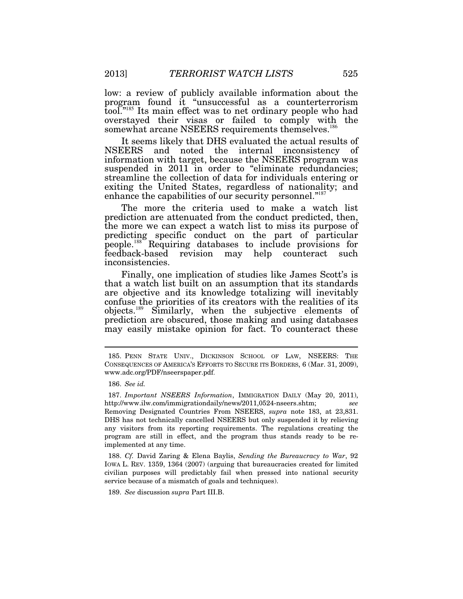low: a review of publicly available information about the program found it "unsuccessful as a counterterrorism tool."<sup>185</sup> Its main effect was to net ordinary people who had overstayed their visas or failed to comply with the somewhat arcane NSEERS requirements themselves.<sup>186</sup>

It seems likely that DHS evaluated the actual results of NSEERS and noted the internal inconsistency of information with target, because the NSEERS program was suspended in 2011 in order to "eliminate redundancies; streamline the collection of data for individuals entering or exiting the United States, regardless of nationality; and enhance the capabilities of our security personnel."<sup>187</sup>

The more the criteria used to make a watch list prediction are attenuated from the conduct predicted, then, the more we can expect a watch list to miss its purpose of predicting specific conduct on the part of particular people.<sup>188</sup> Requiring databases to include provisions for feedback-based revision may help counteract such revision may help counteract such inconsistencies.

Finally, one implication of studies like James Scott's is that a watch list built on an assumption that its standards are objective and its knowledge totalizing will inevitably confuse the priorities of its creators with the realities of its objects.<sup>189</sup> Similarly, when the subjective elements of prediction are obscured, those making and using databases may easily mistake opinion for fact. To counteract these

 $\overline{a}$ 

 188. *Cf.* David Zaring & Elena Baylis, *Sending the Bureaucracy to War*, 92 IOWA L. REV. 1359, 1364 (2007) (arguing that bureaucracies created for limited civilian purposes will predictably fail when pressed into national security service because of a mismatch of goals and techniques).

189. *See* discussion *supra* Part III.B.

 <sup>185.</sup> PENN STATE UNIV., DICKINSON SCHOOL OF LAW, NSEERS: THE CONSEQUENCES OF AMERICA'S EFFORTS TO SECURE ITS BORDERS, 6 (Mar. 31, 2009), www.adc.org/PDF/nseerspaper.pdf.

 <sup>186.</sup> *See id.*

 <sup>187.</sup> *Important NSEERS Information*, IMMIGRATION DAILY (May 20, 2011), http://www.ilw.com/immigrationdaily/news/2011,0524-nseers.shtm; *see* Removing Designated Countries From NSEERS, *supra* note 183, at 23,831. DHS has not technically cancelled NSEERS but only suspended it by relieving any visitors from its reporting requirements. The regulations creating the program are still in effect, and the program thus stands ready to be reimplemented at any time.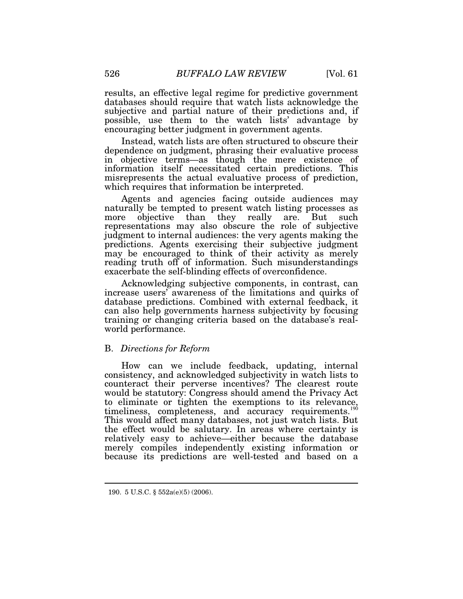results, an effective legal regime for predictive government databases should require that watch lists acknowledge the subjective and partial nature of their predictions and, if possible, use them to the watch lists' advantage by encouraging better judgment in government agents.

Instead, watch lists are often structured to obscure their dependence on judgment, phrasing their evaluative process in objective terms—as though the mere existence of information itself necessitated certain predictions. This misrepresents the actual evaluative process of prediction, which requires that information be interpreted.

Agents and agencies facing outside audiences may naturally be tempted to present watch listing processes as more objective than they really are. But such representations may also obscure the role of subjective judgment to internal audiences: the very agents making the predictions. Agents exercising their subjective judgment may be encouraged to think of their activity as merely reading truth off of information. Such misunderstandings exacerbate the self-blinding effects of overconfidence.

Acknowledging subjective components, in contrast, can increase users' awareness of the limitations and quirks of database predictions. Combined with external feedback, it can also help governments harness subjectivity by focusing training or changing criteria based on the database's realworld performance.

# B. *Directions for Reform*

How can we include feedback, updating, internal consistency, and acknowledged subjectivity in watch lists to counteract their perverse incentives? The clearest route would be statutory: Congress should amend the Privacy Act to eliminate or tighten the exemptions to its relevance, timeliness, completeness, and accuracy requirements.<sup>190</sup> This would affect many databases, not just watch lists. But the effect would be salutary. In areas where certainty is relatively easy to achieve—either because the database merely compiles independently existing information or because its predictions are well-tested and based on a

 <sup>190. 5</sup> U.S.C. § 552a(e)(5) (2006).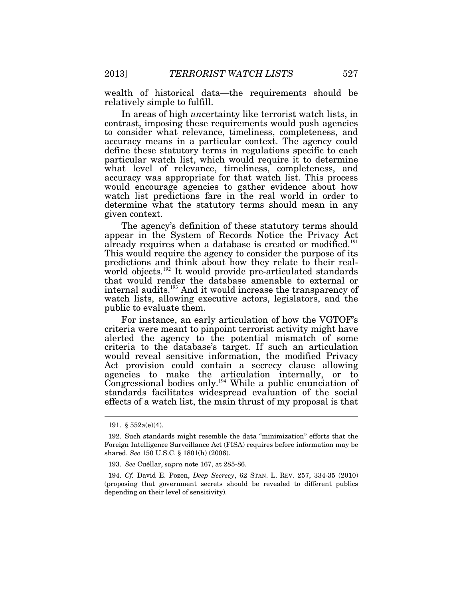wealth of historical data—the requirements should be relatively simple to fulfill.

In areas of high *un*certainty like terrorist watch lists, in contrast, imposing these requirements would push agencies to consider what relevance, timeliness, completeness, and accuracy means in a particular context. The agency could define these statutory terms in regulations specific to each particular watch list, which would require it to determine what level of relevance, timeliness, completeness, and accuracy was appropriate for that watch list. This process would encourage agencies to gather evidence about how watch list predictions fare in the real world in order to determine what the statutory terms should mean in any given context.

The agency's definition of these statutory terms should appear in the System of Records Notice the Privacy Act already requires when a database is created or modified.<sup>191</sup> This would require the agency to consider the purpose of its predictions and think about how they relate to their realworld objects.<sup>192</sup> It would provide pre-articulated standards that would render the database amenable to external or internal audits.<sup>193</sup> And it would increase the transparency of watch lists, allowing executive actors, legislators, and the public to evaluate them.

For instance, an early articulation of how the VGTOF's criteria were meant to pinpoint terrorist activity might have alerted the agency to the potential mismatch of some criteria to the database's target. If such an articulation would reveal sensitive information, the modified Privacy Act provision could contain a secrecy clause allowing agencies to make the articulation internally, or to Congressional bodies only.<sup>194</sup> While a public enunciation of standards facilitates widespread evaluation of the social effects of a watch list, the main thrust of my proposal is that

 <sup>191. § 552</sup>a(e)(4).

 <sup>192.</sup> Such standards might resemble the data "minimization" efforts that the Foreign Intelligence Surveillance Act (FISA) requires before information may be shared. *See* 150 U.S.C. § 1801(h) (2006).

 <sup>193.</sup> *See* Cuéllar, *supra* note 167, at 285-86.

 <sup>194.</sup> *Cf.* David E. Pozen, *Deep Secrecy*, 62 STAN. L. REV. 257, 334-35 (2010) (proposing that government secrets should be revealed to different publics depending on their level of sensitivity).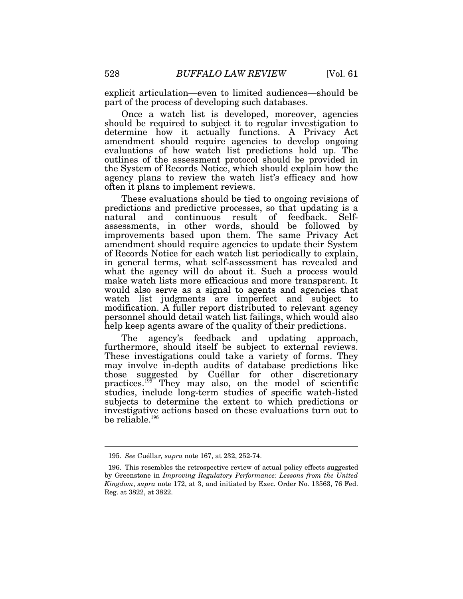explicit articulation—even to limited audiences—should be part of the process of developing such databases.

Once a watch list is developed, moreover, agencies should be required to subject it to regular investigation to determine how it actually functions. A Privacy Act amendment should require agencies to develop ongoing evaluations of how watch list predictions hold up. The outlines of the assessment protocol should be provided in the System of Records Notice, which should explain how the agency plans to review the watch list's efficacy and how often it plans to implement reviews.

These evaluations should be tied to ongoing revisions of predictions and predictive processes, so that updating is a natural and continuous result of feedback. Selfassessments, in other words, should be followed by improvements based upon them. The same Privacy Act amendment should require agencies to update their System of Records Notice for each watch list periodically to explain, in general terms, what self-assessment has revealed and what the agency will do about it. Such a process would make watch lists more efficacious and more transparent. It would also serve as a signal to agents and agencies that watch list judgments are imperfect and subject to modification. A fuller report distributed to relevant agency personnel should detail watch list failings, which would also help keep agents aware of the quality of their predictions.

The agency's feedback and updating approach, furthermore, should itself be subject to external reviews. These investigations could take a variety of forms. They may involve in-depth audits of database predictions like those suggested by Cuéllar for other discretionary practices.<sup>195</sup> They may also, on the model of scientific studies, include long-term studies of specific watch-listed subjects to determine the extent to which predictions or investigative actions based on these evaluations turn out to be reliable.<sup>196</sup>

 <sup>195.</sup> *See* Cuéllar*, supra* note 167, at 232, 252-74.

 <sup>196.</sup> This resembles the retrospective review of actual policy effects suggested by Greenstone in *Improving Regulatory Performance: Lessons from the United Kingdom*, *supra* note 172, at 3, and initiated by Exec. Order No. 13563, 76 Fed. Reg. at 3822, at 3822.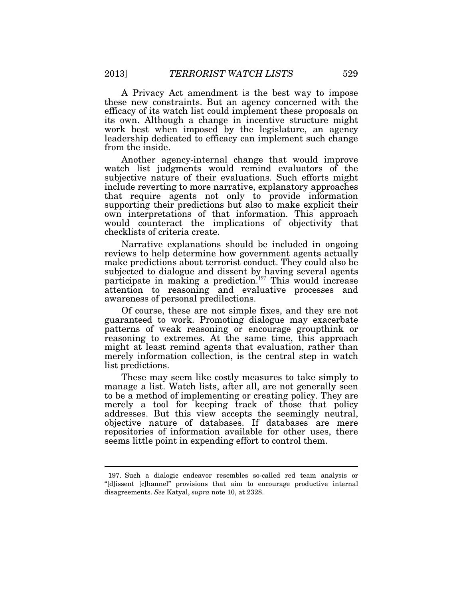A Privacy Act amendment is the best way to impose these new constraints. But an agency concerned with the efficacy of its watch list could implement these proposals on its own. Although a change in incentive structure might work best when imposed by the legislature, an agency leadership dedicated to efficacy can implement such change from the inside.

Another agency-internal change that would improve watch list judgments would remind evaluators of the subjective nature of their evaluations. Such efforts might include reverting to more narrative, explanatory approaches that require agents not only to provide information supporting their predictions but also to make explicit their own interpretations of that information. This approach would counteract the implications of objectivity that checklists of criteria create.

Narrative explanations should be included in ongoing reviews to help determine how government agents actually make predictions about terrorist conduct. They could also be subjected to dialogue and dissent by having several agents participate in making a prediction.<sup>197</sup> This would increase attention to reasoning and evaluative processes and awareness of personal predilections.

Of course, these are not simple fixes, and they are not guaranteed to work. Promoting dialogue may exacerbate patterns of weak reasoning or encourage groupthink or reasoning to extremes. At the same time, this approach might at least remind agents that evaluation, rather than merely information collection, is the central step in watch list predictions.

These may seem like costly measures to take simply to manage a list. Watch lists, after all, are not generally seen to be a method of implementing or creating policy. They are merely a tool for keeping track of those that policy addresses. But this view accepts the seemingly neutral, objective nature of databases. If databases are mere repositories of information available for other uses, there seems little point in expending effort to control them.

 <sup>197.</sup> Such a dialogic endeavor resembles so-called red team analysis or "[d]issent [c]hannel" provisions that aim to encourage productive internal disagreements. *See* Katyal, *supra* note 10, at 2328.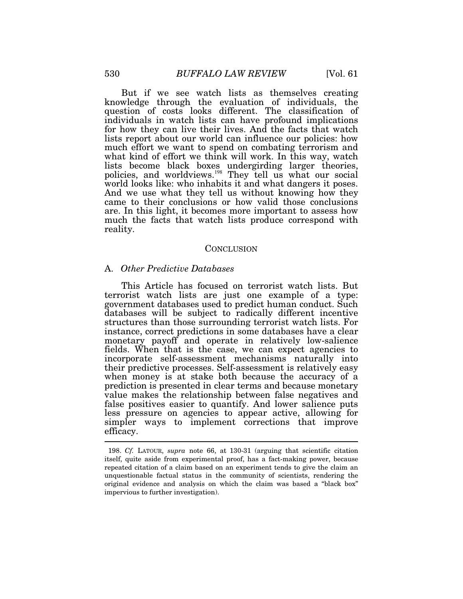But if we see watch lists as themselves creating knowledge through the evaluation of individuals, the question of costs looks different. The classification of individuals in watch lists can have profound implications for how they can live their lives. And the facts that watch lists report about our world can influence our policies: how much effort we want to spend on combating terrorism and what kind of effort we think will work. In this way, watch lists become black boxes undergirding larger theories, policies, and worldviews.<sup>198</sup> They tell us what our social world looks like: who inhabits it and what dangers it poses. And we use what they tell us without knowing how they came to their conclusions or how valid those conclusions are. In this light, it becomes more important to assess how much the facts that watch lists produce correspond with reality.

#### CONCLUSION

### A. *Other Predictive Databases*

This Article has focused on terrorist watch lists. But terrorist watch lists are just one example of a type: government databases used to predict human conduct. Such databases will be subject to radically different incentive structures than those surrounding terrorist watch lists. For instance, correct predictions in some databases have a clear monetary payoff and operate in relatively low-salience fields. When that is the case, we can expect agencies to incorporate self-assessment mechanisms naturally into their predictive processes. Self-assessment is relatively easy when money is at stake both because the accuracy of a prediction is presented in clear terms and because monetary value makes the relationship between false negatives and false positives easier to quantify. And lower salience puts less pressure on agencies to appear active, allowing for simpler ways to implement corrections that improve efficacy.  $\overline{\phantom{a}}$ 

 <sup>198.</sup> *Cf.* LATOUR, *supra* note 66, at 130-31 (arguing that scientific citation itself, quite aside from experimental proof, has a fact-making power, because repeated citation of a claim based on an experiment tends to give the claim an unquestionable factual status in the community of scientists, rendering the original evidence and analysis on which the claim was based a "black box" impervious to further investigation).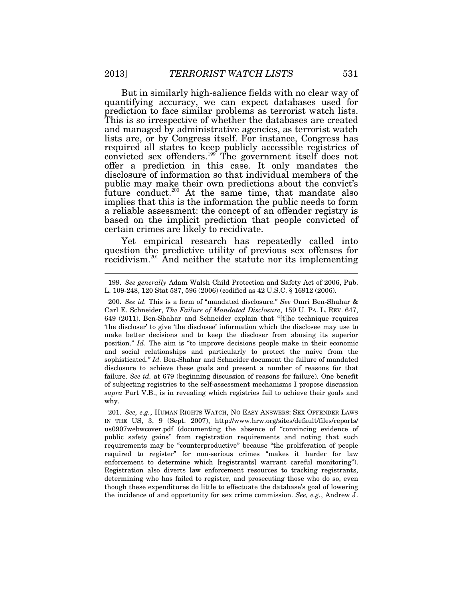But in similarly high-salience fields with no clear way of quantifying accuracy, we can expect databases used for prediction to face similar problems as terrorist watch lists. This is so irrespective of whether the databases are created and managed by administrative agencies, as terrorist watch lists are, or by Congress itself. For instance, Congress has required all states to keep publicly accessible registries of convicted sex offenders.<sup>199</sup> The government itself does not offer a prediction in this case. It only mandates the disclosure of information so that individual members of the public may make their own predictions about the convict's future conduct.<sup>200</sup> At the same time, that mandate also implies that this is the information the public needs to form a reliable assessment: the concept of an offender registry is based on the implicit prediction that people convicted of certain crimes are likely to recidivate.

Yet empirical research has repeatedly called into question the predictive utility of previous sex offenses for recidivism.<sup>201</sup> And neither the statute nor its implementing

 201. *See, e.g.*, HUMAN RIGHTS WATCH, NO EASY ANSWERS: SEX OFFENDER LAWS IN THE US, 3, 9 (Sept. 2007), http://www.hrw.org/sites/default/files/reports/ us0907webwcover.pdf (documenting the absence of "convincing evidence of public safety gains" from registration requirements and noting that such requirements may be "counterproductive" because "the proliferation of people required to register" for non-serious crimes "makes it harder for law enforcement to determine which [registrants] warrant careful monitoring"). Registration also diverts law enforcement resources to tracking registrants, determining who has failed to register, and prosecuting those who do so, even though these expenditures do little to effectuate the database's goal of lowering the incidence of and opportunity for sex crime commission. *See, e.g.*, Andrew J.

 <sup>199.</sup> *See generally* Adam Walsh Child Protection and Safety Act of 2006, Pub. L. 109-248, 120 Stat 587, 596 (2006) (codified as 42 U.S.C. § 16912 (2006).

 <sup>200.</sup> *See id.* This is a form of "mandated disclosure." *See* Omri Ben-Shahar & Carl E. Schneider, *The Failure of Mandated Disclosure*, 159 U. PA. L. REV. 647, 649 (2011). Ben-Shahar and Schneider explain that "[t]he technique requires 'the discloser' to give 'the disclosee' information which the disclosee may use to make better decisions and to keep the discloser from abusing its superior position." *Id*. The aim is "to improve decisions people make in their economic and social relationships and particularly to protect the naive from the sophisticated." *Id.* Ben-Shahar and Schneider document the failure of mandated disclosure to achieve these goals and present a number of reasons for that failure. *See id.* at 679 (beginning discussion of reasons for failure). One benefit of subjecting registries to the self-assessment mechanisms I propose discussion *supra* Part V.B., is in revealing which registries fail to achieve their goals and why.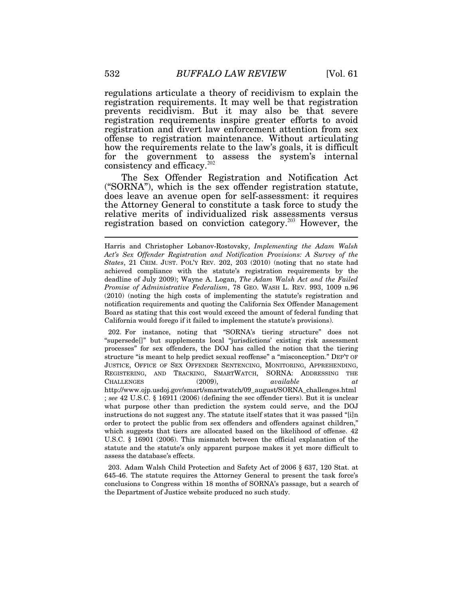regulations articulate a theory of recidivism to explain the registration requirements. It may well be that registration prevents recidivism. But it may also be that severe registration requirements inspire greater efforts to avoid registration and divert law enforcement attention from sex offense to registration maintenance. Without articulating how the requirements relate to the law's goals, it is difficult for the government to assess the system's internal consistency and efficacy. $202$ 

The Sex Offender Registration and Notification Act ("SORNA"), which is the sex offender registration statute, does leave an avenue open for self-assessment: it requires the Attorney General to constitute a task force to study the relative merits of individualized risk assessments versus registration based on conviction category.<sup>203</sup> However, the

 202. For instance, noting that "SORNA's tiering structure" does not "supersede[]" but supplements local "jurisdictions' existing risk assessment processes" for sex offenders, the DOJ has called the notion that the tiering structure "is meant to help predict sexual reoffense" a "misconception." DEP'T OF JUSTICE, OFFICE OF SEX OFFENDER SENTENCING, MONITORING, APPREHENDING, REGISTERING, AND TRACKING, SMARTWATCH, SORNA: ADDRESSING THE CHALLENGES (2009), *available at* http://www.ojp.usdoj.gov/smart/smartwatch/09\_august/SORNA\_challenges.html ; *see* 42 U.S.C. § 16911 (2006) (defining the sec offender tiers). But it is unclear what purpose other than prediction the system could serve, and the DOJ instructions do not suggest any. The statute itself states that it was passed "[i]n order to protect the public from sex offenders and offenders against children," which suggests that tiers are allocated based on the likelihood of offense. 42 U.S.C. § 16901 (2006). This mismatch between the official explanation of the statute and the statute's only apparent purpose makes it yet more difficult to assess the database's effects.

 203. Adam Walsh Child Protection and Safety Act of 2006 § 637, 120 Stat. at 645-46. The statute requires the Attorney General to present the task force's conclusions to Congress within 18 months of SORNA's passage, but a search of the Department of Justice website produced no such study.

Harris and Christopher Lobanov-Rostovsky, *Implementing the Adam Walsh Act's Sex Offender Registration and Notification Provisions: A Survey of the States*, 21 CRIM. JUST. POL'Y REV. 202, 203 (2010) (noting that no state had achieved compliance with the statute's registration requirements by the deadline of July 2009); Wayne A. Logan, *The Adam Walsh Act and the Failed Promise of Administrative Federalism*, 78 GEO. WASH L. REV. 993, 1009 n.96 (2010) (noting the high costs of implementing the statute's registration and notification requirements and quoting the California Sex Offender Management Board as stating that this cost would exceed the amount of federal funding that California would forego if it failed to implement the statute's provisions).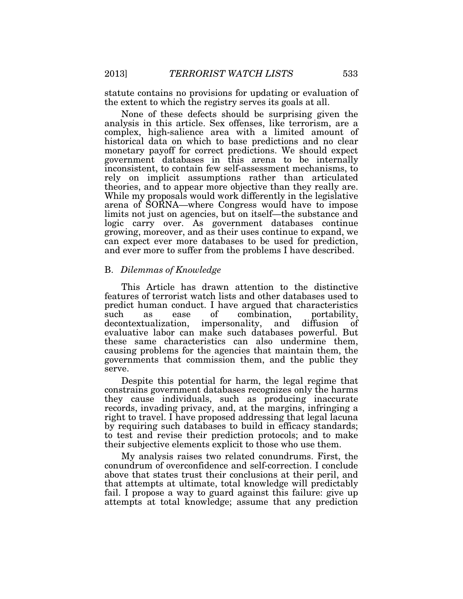statute contains no provisions for updating or evaluation of the extent to which the registry serves its goals at all.

None of these defects should be surprising given the analysis in this article. Sex offenses, like terrorism, are a complex, high-salience area with a limited amount of historical data on which to base predictions and no clear monetary payoff for correct predictions. We should expect government databases in this arena to be internally inconsistent, to contain few self-assessment mechanisms, to rely on implicit assumptions rather than articulated theories, and to appear more objective than they really are. While my proposals would work differently in the legislative arena of SORNA—where Congress would have to impose limits not just on agencies, but on itself—the substance and logic carry over. As government databases continue growing, moreover, and as their uses continue to expand, we can expect ever more databases to be used for prediction, and ever more to suffer from the problems I have described.

## B. *Dilemmas of Knowledge*

This Article has drawn attention to the distinctive features of terrorist watch lists and other databases used to predict human conduct. I have argued that characteristics such as ease of combination, portability, decontextualization, impersonality, and diffusion of evaluative labor can make such databases powerful. But these same characteristics can also undermine them, causing problems for the agencies that maintain them, the governments that commission them, and the public they serve.

Despite this potential for harm, the legal regime that constrains government databases recognizes only the harms they cause individuals, such as producing inaccurate records, invading privacy, and, at the margins, infringing a right to travel. I have proposed addressing that legal lacuna by requiring such databases to build in efficacy standards; to test and revise their prediction protocols; and to make their subjective elements explicit to those who use them.

My analysis raises two related conundrums. First, the conundrum of overconfidence and self-correction. I conclude above that states trust their conclusions at their peril, and that attempts at ultimate, total knowledge will predictably fail. I propose a way to guard against this failure: give up attempts at total knowledge; assume that any prediction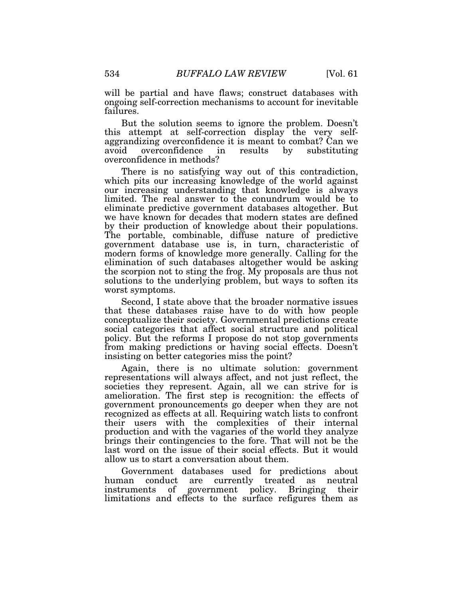will be partial and have flaws; construct databases with ongoing self-correction mechanisms to account for inevitable failures.

But the solution seems to ignore the problem. Doesn't this attempt at self-correction display the very selfaggrandizing overconfidence it is meant to combat? Can we avoid overconfidence in results by substituting avoid overconfidence in overconfidence in methods?

There is no satisfying way out of this contradiction, which pits our increasing knowledge of the world against our increasing understanding that knowledge is always limited. The real answer to the conundrum would be to eliminate predictive government databases altogether. But we have known for decades that modern states are defined by their production of knowledge about their populations. The portable, combinable, diffuse nature of predictive government database use is, in turn, characteristic of modern forms of knowledge more generally. Calling for the elimination of such databases altogether would be asking the scorpion not to sting the frog. My proposals are thus not solutions to the underlying problem, but ways to soften its worst symptoms.

Second, I state above that the broader normative issues that these databases raise have to do with how people conceptualize their society. Governmental predictions create social categories that affect social structure and political policy. But the reforms I propose do not stop governments from making predictions or having social effects. Doesn't insisting on better categories miss the point?

Again, there is no ultimate solution: government representations will always affect, and not just reflect, the societies they represent. Again, all we can strive for is amelioration. The first step is recognition: the effects of government pronouncements go deeper when they are not recognized as effects at all. Requiring watch lists to confront their users with the complexities of their internal production and with the vagaries of the world they analyze brings their contingencies to the fore. That will not be the last word on the issue of their social effects. But it would allow us to start a conversation about them.

Government databases used for predictions about human conduct are currently treated as neutral instruments of government policy. Bringing their limitations and effects to the surface refigures them as